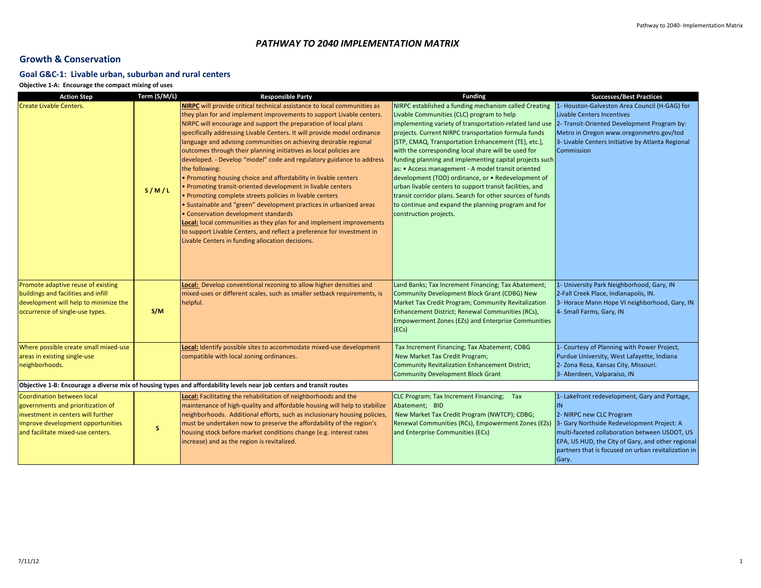## *PATHWAY TO 2040 IMPLEMENTATION MATRIX*

## **Growth & Conservation**

## **Goal G&C-1: Livable urban, suburban and rural centers**

**Objective 1-A: Encourage the compact mixing of uses**

| <b>Action Step</b>                                                                                                   | Term (S/M/L) | <b>Responsible Party</b>                                                                                     | <b>Funding</b>                                                                                      | <b>Successes/Best Practices</b>                     |  |  |
|----------------------------------------------------------------------------------------------------------------------|--------------|--------------------------------------------------------------------------------------------------------------|-----------------------------------------------------------------------------------------------------|-----------------------------------------------------|--|--|
| <b>Create Livable Centers.</b>                                                                                       |              | <b>NIRPC</b> will provide critical technical assistance to local communities as                              | NIRPC established a funding mechanism called Creating                                               | 1- Houston-Galveston Area Council (H-GAG) for       |  |  |
|                                                                                                                      |              | they plan for and implement improvements to support Livable centers.                                         | Livable Communities (CLC) program to help                                                           | <b>Livable Centers Incentives</b>                   |  |  |
|                                                                                                                      |              | NIRPC will encourage and support the preparation of local plans                                              | implementing variety of transportation-related land use 2- Transit-Oriented Development Program by: |                                                     |  |  |
|                                                                                                                      |              | specifically addressing Livable Centers. It will provide model ordinance                                     | projects. Current NIRPC transportation formula funds                                                | Metro in Oregon www.oregonmetro.gov/tod             |  |  |
|                                                                                                                      |              | language and advising communities on achieving desirable regional                                            | [STP, CMAQ, Transportation Enhancement (TE), etc.],                                                 | 3- Livable Centers Initiative by Atlanta Regional   |  |  |
|                                                                                                                      |              | outcomes through their planning initiatives as local policies are                                            | with the corresponding local share will be used for                                                 | Commission                                          |  |  |
|                                                                                                                      |              | developed. - Develop "model" code and regulatory guidance to address                                         | funding planning and implementing capital projects such                                             |                                                     |  |  |
|                                                                                                                      |              | the following:                                                                                               | as: • Access management - A model transit oriented                                                  |                                                     |  |  |
|                                                                                                                      |              | . Promoting housing choice and affordability in livable centers                                              | development (TOD) ordinance, or • Redevelopment of                                                  |                                                     |  |  |
|                                                                                                                      | S/M/L        | • Promoting transit-oriented development in livable centers                                                  | urban livable centers to support transit facilities, and                                            |                                                     |  |  |
|                                                                                                                      |              | • Promoting complete streets policies in livable centers                                                     | transit corridor plans. Search for other sources of funds                                           |                                                     |  |  |
|                                                                                                                      |              | • Sustainable and "green" development practices in urbanized areas                                           | to continue and expand the planning program and for                                                 |                                                     |  |  |
|                                                                                                                      |              | • Conservation development standards<br>Local: local communities as they plan for and implement improvements | construction projects.                                                                              |                                                     |  |  |
|                                                                                                                      |              | to support Livable Centers, and reflect a preference for investment in                                       |                                                                                                     |                                                     |  |  |
|                                                                                                                      |              | Livable Centers in funding allocation decisions.                                                             |                                                                                                     |                                                     |  |  |
|                                                                                                                      |              |                                                                                                              |                                                                                                     |                                                     |  |  |
|                                                                                                                      |              |                                                                                                              |                                                                                                     |                                                     |  |  |
|                                                                                                                      |              |                                                                                                              |                                                                                                     |                                                     |  |  |
|                                                                                                                      |              |                                                                                                              |                                                                                                     |                                                     |  |  |
| Promote adaptive reuse of existing                                                                                   |              | Local: Develop conventional rezoning to allow higher densities and                                           | Land Banks; Tax Increment Financing; Tax Abatement;                                                 | 1- University Park Neighborhood, Gary, IN           |  |  |
| buildings and facilities and infill                                                                                  |              | mixed-uses or different scales, such as smaller setback requirements, is                                     | Community Development Block Grant (CDBG) New                                                        | 2-Fall Creek Place, Indianapolis, IN.               |  |  |
| development will help to minimize the                                                                                |              | helpful.                                                                                                     | Market Tax Credit Program; Community Revitalization                                                 | 3- Horace Mann Hope VI neighborhood, Gary, IN       |  |  |
| occurrence of single-use types.                                                                                      | S/M          |                                                                                                              | Enhancement District; Renewal Communities (RCs),                                                    | 4- Small Farms, Gary, IN                            |  |  |
|                                                                                                                      |              |                                                                                                              | <b>Empowerment Zones (EZs) and Enterprise Communities</b>                                           |                                                     |  |  |
|                                                                                                                      |              |                                                                                                              | (ECs)                                                                                               |                                                     |  |  |
| Where possible create small mixed-use                                                                                |              | Local: Identify possible sites to accommodate mixed-use development                                          | Tax Increment Financing; Tax Abatement; CDBG                                                        | 1- Courtesy of Planning with Power Project,         |  |  |
| areas in existing single-use                                                                                         |              | compatible with local zoning ordinances.                                                                     | New Market Tax Credit Program;                                                                      | Purdue University, West Lafayette, Indiana          |  |  |
| neighborhoods.                                                                                                       |              |                                                                                                              | <b>Community Revitalization Enhancement District;</b>                                               | 2- Zona Rosa, Kansas City, Missouri.                |  |  |
|                                                                                                                      |              |                                                                                                              | <b>Community Development Block Grant</b>                                                            | 3- Aberdeen, Valparaiso, IN                         |  |  |
| Objective 1-B: Encourage a diverse mix of housing types and affordability levels near job centers and transit routes |              |                                                                                                              |                                                                                                     |                                                     |  |  |
| Coordination between local                                                                                           |              | Local: Facilitating the rehabilitation of neighborhoods and the                                              | CLC Program; Tax Increment Financing; Tax                                                           | 1- Lakefront redevelopment, Gary and Portage,       |  |  |
| governments and prioritization of                                                                                    |              | maintenance of high-quality and affordable housing will help to stabilize                                    | Abatement; BID                                                                                      | IN                                                  |  |  |
| investment in centers will further                                                                                   |              | neighborhoods. Additional efforts, such as inclusionary housing policies,                                    | New Market Tax Credit Program (NWTCP); CDBG;                                                        | 2- NIRPC new CLC Program                            |  |  |
| improve development opportunities                                                                                    | S.           | must be undertaken now to preserve the affordability of the region's                                         | Renewal Communities (RCs), Empowerment Zones (EZs)                                                  | 3- Gary Northside Redevelopment Project: A          |  |  |
| and facilitate mixed-use centers.                                                                                    |              | housing stock before market conditions change (e.g. interest rates                                           | and Enterprise Communities (ECs)                                                                    | multi-faceted collaboration between USDOT, US       |  |  |
|                                                                                                                      |              | increase) and as the region is revitalized.                                                                  |                                                                                                     | EPA, US HUD, the City of Gary, and other regional   |  |  |
|                                                                                                                      |              |                                                                                                              |                                                                                                     | partners that is focused on urban revitalization in |  |  |
|                                                                                                                      |              |                                                                                                              |                                                                                                     | Gary.                                               |  |  |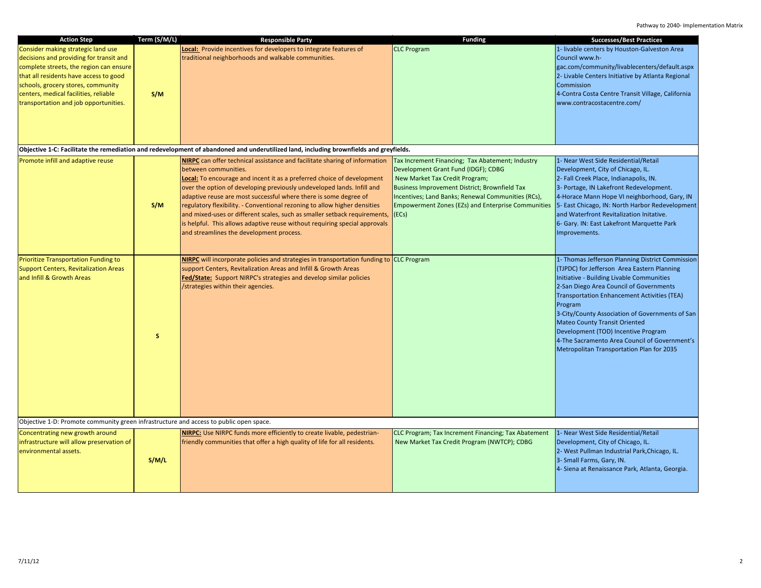| <b>CLC Program</b><br>Local: Provide incentives for developers to integrate features of<br>1- livable centers by Houston-Galveston Area<br>Consider making strategic land use<br>decisions and providing for transit and<br>traditional neighborhoods and walkable communities.<br>Council www.h-<br>gac.com/community/livablecenters/default.aspx<br>complete streets, the region can ensure<br>2- Livable Centers Initiative by Atlanta Regional<br>that all residents have access to good<br>schools, grocery stores, community<br>Commission<br>centers, medical facilities, reliable<br>4-Contra Costa Centre Transit Village, California<br>S/M<br>transportation and job opportunities.<br>www.contracostacentre.com/<br>Objective 1-C: Facilitate the remediation and redevelopment of abandoned and underutilized land, including brownfields and greyfields.<br>Promote infill and adaptive reuse<br>1- Near West Side Residential/Retail<br>NIRPC can offer technical assistance and facilitate sharing of information<br>Tax Increment Financing; Tax Abatement; Industry<br>between communities.<br>Development Grant Fund (IDGF); CDBG<br>Development, City of Chicago, IL.<br>Local: To encourage and incent it as a preferred choice of development<br>New Market Tax Credit Program;<br>2- Fall Creek Place, Indianapolis, IN.<br>over the option of developing previously undeveloped lands. Infill and<br>Business Improvement District; Brownfield Tax<br>3- Portage, IN Lakefront Redevelopment.<br>4-Horace Mann Hope VI neighborhood, Gary, IN<br>adaptive reuse are most successful where there is some degree of<br>Incentives; Land Banks; Renewal Communities (RCs),<br>S/M<br>regulatory flexibility. - Conventional rezoning to allow higher densities<br>Empowerment Zones (EZs) and Enterprise Communities 5- East Chicago, IN: North Harbor Redevelopment<br>and mixed-uses or different scales, such as smaller setback requirements,<br>(ECs)<br>and Waterfront Revitalization Initative.<br>is helpful. This allows adaptive reuse without requiring special approvals<br>6- Gary. IN: East Lakefront Marquette Park<br>and streamlines the development process.<br>Improvements.<br><b>Prioritize Transportation Funding to</b><br><b>NIRPC</b> will incorporate policies and strategies in transportation funding to CLC Program<br>1- Thomas Jefferson Planning District Commission<br>(TJPDC) for Jefferson Area Eastern Planning<br><b>Support Centers, Revitalization Areas</b><br>support Centers, Revitalization Areas and Infill & Growth Areas<br>Initiative - Building Livable Communities<br>and Infill & Growth Areas<br><b>Fed/State:</b> Support NIRPC's strategies and develop similar policies<br>2-San Diego Area Council of Governments<br>/strategies within their agencies.<br><b>Transportation Enhancement Activities (TEA)</b><br>Program<br>3-City/County Association of Governments of San<br><b>Mateo County Transit Oriented</b><br>Development (TOD) Incentive Program<br><b>S</b><br>4-The Sacramento Area Council of Government's<br>Metropolitan Transportation Plan for 2035<br>Objective 1-D: Promote community green infrastructure and access to public open space.<br><b>NIRPC:</b> Use NIRPC funds more efficiently to create livable, pedestrian-<br>CLC Program; Tax Increment Financing; Tax Abatement<br>1- Near West Side Residential/Retail<br>Concentrating new growth around<br>infrastructure will allow preservation of<br>friendly communities that offer a high quality of life for all residents.<br>New Market Tax Credit Program (NWTCP); CDBG<br>Development, City of Chicago, IL.<br>2- West Pullman Industrial Park, Chicago, IL.<br>environmental assets.<br>3- Small Farms, Gary, IN.<br>S/M/L<br>4- Siena at Renaissance Park, Atlanta, Georgia. | <b>Action Step</b> | Term (S/M/L) | <b>Responsible Party</b> | <b>Funding</b> | <b>Successes/Best Practices</b> |
|------------------------------------------------------------------------------------------------------------------------------------------------------------------------------------------------------------------------------------------------------------------------------------------------------------------------------------------------------------------------------------------------------------------------------------------------------------------------------------------------------------------------------------------------------------------------------------------------------------------------------------------------------------------------------------------------------------------------------------------------------------------------------------------------------------------------------------------------------------------------------------------------------------------------------------------------------------------------------------------------------------------------------------------------------------------------------------------------------------------------------------------------------------------------------------------------------------------------------------------------------------------------------------------------------------------------------------------------------------------------------------------------------------------------------------------------------------------------------------------------------------------------------------------------------------------------------------------------------------------------------------------------------------------------------------------------------------------------------------------------------------------------------------------------------------------------------------------------------------------------------------------------------------------------------------------------------------------------------------------------------------------------------------------------------------------------------------------------------------------------------------------------------------------------------------------------------------------------------------------------------------------------------------------------------------------------------------------------------------------------------------------------------------------------------------------------------------------------------------------------------------------------------------------------------------------------------------------------------------------------------------------------------------------------------------------------------------------------------------------------------------------------------------------------------------------------------------------------------------------------------------------------------------------------------------------------------------------------------------------------------------------------------------------------------------------------------------------------------------------------------------------------------------------------------------------------------------------------------------------------------------------------------------------------------------------------------------------------------------------------------------------------------------------------------------------------------------------------------------------------------------------------------------------------------------------------------------------------------------------------------------------------------------------------------------------------------------------------------------------------------------------------------------------------------------------------------------------------|--------------------|--------------|--------------------------|----------------|---------------------------------|
|                                                                                                                                                                                                                                                                                                                                                                                                                                                                                                                                                                                                                                                                                                                                                                                                                                                                                                                                                                                                                                                                                                                                                                                                                                                                                                                                                                                                                                                                                                                                                                                                                                                                                                                                                                                                                                                                                                                                                                                                                                                                                                                                                                                                                                                                                                                                                                                                                                                                                                                                                                                                                                                                                                                                                                                                                                                                                                                                                                                                                                                                                                                                                                                                                                                                                                                                                                                                                                                                                                                                                                                                                                                                                                                                                                                                                                                |                    |              |                          |                |                                 |
|                                                                                                                                                                                                                                                                                                                                                                                                                                                                                                                                                                                                                                                                                                                                                                                                                                                                                                                                                                                                                                                                                                                                                                                                                                                                                                                                                                                                                                                                                                                                                                                                                                                                                                                                                                                                                                                                                                                                                                                                                                                                                                                                                                                                                                                                                                                                                                                                                                                                                                                                                                                                                                                                                                                                                                                                                                                                                                                                                                                                                                                                                                                                                                                                                                                                                                                                                                                                                                                                                                                                                                                                                                                                                                                                                                                                                                                |                    |              |                          |                |                                 |
|                                                                                                                                                                                                                                                                                                                                                                                                                                                                                                                                                                                                                                                                                                                                                                                                                                                                                                                                                                                                                                                                                                                                                                                                                                                                                                                                                                                                                                                                                                                                                                                                                                                                                                                                                                                                                                                                                                                                                                                                                                                                                                                                                                                                                                                                                                                                                                                                                                                                                                                                                                                                                                                                                                                                                                                                                                                                                                                                                                                                                                                                                                                                                                                                                                                                                                                                                                                                                                                                                                                                                                                                                                                                                                                                                                                                                                                |                    |              |                          |                |                                 |
|                                                                                                                                                                                                                                                                                                                                                                                                                                                                                                                                                                                                                                                                                                                                                                                                                                                                                                                                                                                                                                                                                                                                                                                                                                                                                                                                                                                                                                                                                                                                                                                                                                                                                                                                                                                                                                                                                                                                                                                                                                                                                                                                                                                                                                                                                                                                                                                                                                                                                                                                                                                                                                                                                                                                                                                                                                                                                                                                                                                                                                                                                                                                                                                                                                                                                                                                                                                                                                                                                                                                                                                                                                                                                                                                                                                                                                                |                    |              |                          |                |                                 |
|                                                                                                                                                                                                                                                                                                                                                                                                                                                                                                                                                                                                                                                                                                                                                                                                                                                                                                                                                                                                                                                                                                                                                                                                                                                                                                                                                                                                                                                                                                                                                                                                                                                                                                                                                                                                                                                                                                                                                                                                                                                                                                                                                                                                                                                                                                                                                                                                                                                                                                                                                                                                                                                                                                                                                                                                                                                                                                                                                                                                                                                                                                                                                                                                                                                                                                                                                                                                                                                                                                                                                                                                                                                                                                                                                                                                                                                |                    |              |                          |                |                                 |
|                                                                                                                                                                                                                                                                                                                                                                                                                                                                                                                                                                                                                                                                                                                                                                                                                                                                                                                                                                                                                                                                                                                                                                                                                                                                                                                                                                                                                                                                                                                                                                                                                                                                                                                                                                                                                                                                                                                                                                                                                                                                                                                                                                                                                                                                                                                                                                                                                                                                                                                                                                                                                                                                                                                                                                                                                                                                                                                                                                                                                                                                                                                                                                                                                                                                                                                                                                                                                                                                                                                                                                                                                                                                                                                                                                                                                                                |                    |              |                          |                |                                 |
|                                                                                                                                                                                                                                                                                                                                                                                                                                                                                                                                                                                                                                                                                                                                                                                                                                                                                                                                                                                                                                                                                                                                                                                                                                                                                                                                                                                                                                                                                                                                                                                                                                                                                                                                                                                                                                                                                                                                                                                                                                                                                                                                                                                                                                                                                                                                                                                                                                                                                                                                                                                                                                                                                                                                                                                                                                                                                                                                                                                                                                                                                                                                                                                                                                                                                                                                                                                                                                                                                                                                                                                                                                                                                                                                                                                                                                                |                    |              |                          |                |                                 |
|                                                                                                                                                                                                                                                                                                                                                                                                                                                                                                                                                                                                                                                                                                                                                                                                                                                                                                                                                                                                                                                                                                                                                                                                                                                                                                                                                                                                                                                                                                                                                                                                                                                                                                                                                                                                                                                                                                                                                                                                                                                                                                                                                                                                                                                                                                                                                                                                                                                                                                                                                                                                                                                                                                                                                                                                                                                                                                                                                                                                                                                                                                                                                                                                                                                                                                                                                                                                                                                                                                                                                                                                                                                                                                                                                                                                                                                |                    |              |                          |                |                                 |
|                                                                                                                                                                                                                                                                                                                                                                                                                                                                                                                                                                                                                                                                                                                                                                                                                                                                                                                                                                                                                                                                                                                                                                                                                                                                                                                                                                                                                                                                                                                                                                                                                                                                                                                                                                                                                                                                                                                                                                                                                                                                                                                                                                                                                                                                                                                                                                                                                                                                                                                                                                                                                                                                                                                                                                                                                                                                                                                                                                                                                                                                                                                                                                                                                                                                                                                                                                                                                                                                                                                                                                                                                                                                                                                                                                                                                                                |                    |              |                          |                |                                 |
|                                                                                                                                                                                                                                                                                                                                                                                                                                                                                                                                                                                                                                                                                                                                                                                                                                                                                                                                                                                                                                                                                                                                                                                                                                                                                                                                                                                                                                                                                                                                                                                                                                                                                                                                                                                                                                                                                                                                                                                                                                                                                                                                                                                                                                                                                                                                                                                                                                                                                                                                                                                                                                                                                                                                                                                                                                                                                                                                                                                                                                                                                                                                                                                                                                                                                                                                                                                                                                                                                                                                                                                                                                                                                                                                                                                                                                                |                    |              |                          |                |                                 |
|                                                                                                                                                                                                                                                                                                                                                                                                                                                                                                                                                                                                                                                                                                                                                                                                                                                                                                                                                                                                                                                                                                                                                                                                                                                                                                                                                                                                                                                                                                                                                                                                                                                                                                                                                                                                                                                                                                                                                                                                                                                                                                                                                                                                                                                                                                                                                                                                                                                                                                                                                                                                                                                                                                                                                                                                                                                                                                                                                                                                                                                                                                                                                                                                                                                                                                                                                                                                                                                                                                                                                                                                                                                                                                                                                                                                                                                |                    |              |                          |                |                                 |
|                                                                                                                                                                                                                                                                                                                                                                                                                                                                                                                                                                                                                                                                                                                                                                                                                                                                                                                                                                                                                                                                                                                                                                                                                                                                                                                                                                                                                                                                                                                                                                                                                                                                                                                                                                                                                                                                                                                                                                                                                                                                                                                                                                                                                                                                                                                                                                                                                                                                                                                                                                                                                                                                                                                                                                                                                                                                                                                                                                                                                                                                                                                                                                                                                                                                                                                                                                                                                                                                                                                                                                                                                                                                                                                                                                                                                                                |                    |              |                          |                |                                 |
|                                                                                                                                                                                                                                                                                                                                                                                                                                                                                                                                                                                                                                                                                                                                                                                                                                                                                                                                                                                                                                                                                                                                                                                                                                                                                                                                                                                                                                                                                                                                                                                                                                                                                                                                                                                                                                                                                                                                                                                                                                                                                                                                                                                                                                                                                                                                                                                                                                                                                                                                                                                                                                                                                                                                                                                                                                                                                                                                                                                                                                                                                                                                                                                                                                                                                                                                                                                                                                                                                                                                                                                                                                                                                                                                                                                                                                                |                    |              |                          |                |                                 |
|                                                                                                                                                                                                                                                                                                                                                                                                                                                                                                                                                                                                                                                                                                                                                                                                                                                                                                                                                                                                                                                                                                                                                                                                                                                                                                                                                                                                                                                                                                                                                                                                                                                                                                                                                                                                                                                                                                                                                                                                                                                                                                                                                                                                                                                                                                                                                                                                                                                                                                                                                                                                                                                                                                                                                                                                                                                                                                                                                                                                                                                                                                                                                                                                                                                                                                                                                                                                                                                                                                                                                                                                                                                                                                                                                                                                                                                |                    |              |                          |                |                                 |
|                                                                                                                                                                                                                                                                                                                                                                                                                                                                                                                                                                                                                                                                                                                                                                                                                                                                                                                                                                                                                                                                                                                                                                                                                                                                                                                                                                                                                                                                                                                                                                                                                                                                                                                                                                                                                                                                                                                                                                                                                                                                                                                                                                                                                                                                                                                                                                                                                                                                                                                                                                                                                                                                                                                                                                                                                                                                                                                                                                                                                                                                                                                                                                                                                                                                                                                                                                                                                                                                                                                                                                                                                                                                                                                                                                                                                                                |                    |              |                          |                |                                 |
|                                                                                                                                                                                                                                                                                                                                                                                                                                                                                                                                                                                                                                                                                                                                                                                                                                                                                                                                                                                                                                                                                                                                                                                                                                                                                                                                                                                                                                                                                                                                                                                                                                                                                                                                                                                                                                                                                                                                                                                                                                                                                                                                                                                                                                                                                                                                                                                                                                                                                                                                                                                                                                                                                                                                                                                                                                                                                                                                                                                                                                                                                                                                                                                                                                                                                                                                                                                                                                                                                                                                                                                                                                                                                                                                                                                                                                                |                    |              |                          |                |                                 |
|                                                                                                                                                                                                                                                                                                                                                                                                                                                                                                                                                                                                                                                                                                                                                                                                                                                                                                                                                                                                                                                                                                                                                                                                                                                                                                                                                                                                                                                                                                                                                                                                                                                                                                                                                                                                                                                                                                                                                                                                                                                                                                                                                                                                                                                                                                                                                                                                                                                                                                                                                                                                                                                                                                                                                                                                                                                                                                                                                                                                                                                                                                                                                                                                                                                                                                                                                                                                                                                                                                                                                                                                                                                                                                                                                                                                                                                |                    |              |                          |                |                                 |
|                                                                                                                                                                                                                                                                                                                                                                                                                                                                                                                                                                                                                                                                                                                                                                                                                                                                                                                                                                                                                                                                                                                                                                                                                                                                                                                                                                                                                                                                                                                                                                                                                                                                                                                                                                                                                                                                                                                                                                                                                                                                                                                                                                                                                                                                                                                                                                                                                                                                                                                                                                                                                                                                                                                                                                                                                                                                                                                                                                                                                                                                                                                                                                                                                                                                                                                                                                                                                                                                                                                                                                                                                                                                                                                                                                                                                                                |                    |              |                          |                |                                 |
|                                                                                                                                                                                                                                                                                                                                                                                                                                                                                                                                                                                                                                                                                                                                                                                                                                                                                                                                                                                                                                                                                                                                                                                                                                                                                                                                                                                                                                                                                                                                                                                                                                                                                                                                                                                                                                                                                                                                                                                                                                                                                                                                                                                                                                                                                                                                                                                                                                                                                                                                                                                                                                                                                                                                                                                                                                                                                                                                                                                                                                                                                                                                                                                                                                                                                                                                                                                                                                                                                                                                                                                                                                                                                                                                                                                                                                                |                    |              |                          |                |                                 |
|                                                                                                                                                                                                                                                                                                                                                                                                                                                                                                                                                                                                                                                                                                                                                                                                                                                                                                                                                                                                                                                                                                                                                                                                                                                                                                                                                                                                                                                                                                                                                                                                                                                                                                                                                                                                                                                                                                                                                                                                                                                                                                                                                                                                                                                                                                                                                                                                                                                                                                                                                                                                                                                                                                                                                                                                                                                                                                                                                                                                                                                                                                                                                                                                                                                                                                                                                                                                                                                                                                                                                                                                                                                                                                                                                                                                                                                |                    |              |                          |                |                                 |
|                                                                                                                                                                                                                                                                                                                                                                                                                                                                                                                                                                                                                                                                                                                                                                                                                                                                                                                                                                                                                                                                                                                                                                                                                                                                                                                                                                                                                                                                                                                                                                                                                                                                                                                                                                                                                                                                                                                                                                                                                                                                                                                                                                                                                                                                                                                                                                                                                                                                                                                                                                                                                                                                                                                                                                                                                                                                                                                                                                                                                                                                                                                                                                                                                                                                                                                                                                                                                                                                                                                                                                                                                                                                                                                                                                                                                                                |                    |              |                          |                |                                 |
|                                                                                                                                                                                                                                                                                                                                                                                                                                                                                                                                                                                                                                                                                                                                                                                                                                                                                                                                                                                                                                                                                                                                                                                                                                                                                                                                                                                                                                                                                                                                                                                                                                                                                                                                                                                                                                                                                                                                                                                                                                                                                                                                                                                                                                                                                                                                                                                                                                                                                                                                                                                                                                                                                                                                                                                                                                                                                                                                                                                                                                                                                                                                                                                                                                                                                                                                                                                                                                                                                                                                                                                                                                                                                                                                                                                                                                                |                    |              |                          |                |                                 |
|                                                                                                                                                                                                                                                                                                                                                                                                                                                                                                                                                                                                                                                                                                                                                                                                                                                                                                                                                                                                                                                                                                                                                                                                                                                                                                                                                                                                                                                                                                                                                                                                                                                                                                                                                                                                                                                                                                                                                                                                                                                                                                                                                                                                                                                                                                                                                                                                                                                                                                                                                                                                                                                                                                                                                                                                                                                                                                                                                                                                                                                                                                                                                                                                                                                                                                                                                                                                                                                                                                                                                                                                                                                                                                                                                                                                                                                |                    |              |                          |                |                                 |
|                                                                                                                                                                                                                                                                                                                                                                                                                                                                                                                                                                                                                                                                                                                                                                                                                                                                                                                                                                                                                                                                                                                                                                                                                                                                                                                                                                                                                                                                                                                                                                                                                                                                                                                                                                                                                                                                                                                                                                                                                                                                                                                                                                                                                                                                                                                                                                                                                                                                                                                                                                                                                                                                                                                                                                                                                                                                                                                                                                                                                                                                                                                                                                                                                                                                                                                                                                                                                                                                                                                                                                                                                                                                                                                                                                                                                                                |                    |              |                          |                |                                 |
|                                                                                                                                                                                                                                                                                                                                                                                                                                                                                                                                                                                                                                                                                                                                                                                                                                                                                                                                                                                                                                                                                                                                                                                                                                                                                                                                                                                                                                                                                                                                                                                                                                                                                                                                                                                                                                                                                                                                                                                                                                                                                                                                                                                                                                                                                                                                                                                                                                                                                                                                                                                                                                                                                                                                                                                                                                                                                                                                                                                                                                                                                                                                                                                                                                                                                                                                                                                                                                                                                                                                                                                                                                                                                                                                                                                                                                                |                    |              |                          |                |                                 |
|                                                                                                                                                                                                                                                                                                                                                                                                                                                                                                                                                                                                                                                                                                                                                                                                                                                                                                                                                                                                                                                                                                                                                                                                                                                                                                                                                                                                                                                                                                                                                                                                                                                                                                                                                                                                                                                                                                                                                                                                                                                                                                                                                                                                                                                                                                                                                                                                                                                                                                                                                                                                                                                                                                                                                                                                                                                                                                                                                                                                                                                                                                                                                                                                                                                                                                                                                                                                                                                                                                                                                                                                                                                                                                                                                                                                                                                |                    |              |                          |                |                                 |
|                                                                                                                                                                                                                                                                                                                                                                                                                                                                                                                                                                                                                                                                                                                                                                                                                                                                                                                                                                                                                                                                                                                                                                                                                                                                                                                                                                                                                                                                                                                                                                                                                                                                                                                                                                                                                                                                                                                                                                                                                                                                                                                                                                                                                                                                                                                                                                                                                                                                                                                                                                                                                                                                                                                                                                                                                                                                                                                                                                                                                                                                                                                                                                                                                                                                                                                                                                                                                                                                                                                                                                                                                                                                                                                                                                                                                                                |                    |              |                          |                |                                 |
|                                                                                                                                                                                                                                                                                                                                                                                                                                                                                                                                                                                                                                                                                                                                                                                                                                                                                                                                                                                                                                                                                                                                                                                                                                                                                                                                                                                                                                                                                                                                                                                                                                                                                                                                                                                                                                                                                                                                                                                                                                                                                                                                                                                                                                                                                                                                                                                                                                                                                                                                                                                                                                                                                                                                                                                                                                                                                                                                                                                                                                                                                                                                                                                                                                                                                                                                                                                                                                                                                                                                                                                                                                                                                                                                                                                                                                                |                    |              |                          |                |                                 |
|                                                                                                                                                                                                                                                                                                                                                                                                                                                                                                                                                                                                                                                                                                                                                                                                                                                                                                                                                                                                                                                                                                                                                                                                                                                                                                                                                                                                                                                                                                                                                                                                                                                                                                                                                                                                                                                                                                                                                                                                                                                                                                                                                                                                                                                                                                                                                                                                                                                                                                                                                                                                                                                                                                                                                                                                                                                                                                                                                                                                                                                                                                                                                                                                                                                                                                                                                                                                                                                                                                                                                                                                                                                                                                                                                                                                                                                |                    |              |                          |                |                                 |
|                                                                                                                                                                                                                                                                                                                                                                                                                                                                                                                                                                                                                                                                                                                                                                                                                                                                                                                                                                                                                                                                                                                                                                                                                                                                                                                                                                                                                                                                                                                                                                                                                                                                                                                                                                                                                                                                                                                                                                                                                                                                                                                                                                                                                                                                                                                                                                                                                                                                                                                                                                                                                                                                                                                                                                                                                                                                                                                                                                                                                                                                                                                                                                                                                                                                                                                                                                                                                                                                                                                                                                                                                                                                                                                                                                                                                                                |                    |              |                          |                |                                 |
|                                                                                                                                                                                                                                                                                                                                                                                                                                                                                                                                                                                                                                                                                                                                                                                                                                                                                                                                                                                                                                                                                                                                                                                                                                                                                                                                                                                                                                                                                                                                                                                                                                                                                                                                                                                                                                                                                                                                                                                                                                                                                                                                                                                                                                                                                                                                                                                                                                                                                                                                                                                                                                                                                                                                                                                                                                                                                                                                                                                                                                                                                                                                                                                                                                                                                                                                                                                                                                                                                                                                                                                                                                                                                                                                                                                                                                                |                    |              |                          |                |                                 |
|                                                                                                                                                                                                                                                                                                                                                                                                                                                                                                                                                                                                                                                                                                                                                                                                                                                                                                                                                                                                                                                                                                                                                                                                                                                                                                                                                                                                                                                                                                                                                                                                                                                                                                                                                                                                                                                                                                                                                                                                                                                                                                                                                                                                                                                                                                                                                                                                                                                                                                                                                                                                                                                                                                                                                                                                                                                                                                                                                                                                                                                                                                                                                                                                                                                                                                                                                                                                                                                                                                                                                                                                                                                                                                                                                                                                                                                |                    |              |                          |                |                                 |
|                                                                                                                                                                                                                                                                                                                                                                                                                                                                                                                                                                                                                                                                                                                                                                                                                                                                                                                                                                                                                                                                                                                                                                                                                                                                                                                                                                                                                                                                                                                                                                                                                                                                                                                                                                                                                                                                                                                                                                                                                                                                                                                                                                                                                                                                                                                                                                                                                                                                                                                                                                                                                                                                                                                                                                                                                                                                                                                                                                                                                                                                                                                                                                                                                                                                                                                                                                                                                                                                                                                                                                                                                                                                                                                                                                                                                                                |                    |              |                          |                |                                 |
|                                                                                                                                                                                                                                                                                                                                                                                                                                                                                                                                                                                                                                                                                                                                                                                                                                                                                                                                                                                                                                                                                                                                                                                                                                                                                                                                                                                                                                                                                                                                                                                                                                                                                                                                                                                                                                                                                                                                                                                                                                                                                                                                                                                                                                                                                                                                                                                                                                                                                                                                                                                                                                                                                                                                                                                                                                                                                                                                                                                                                                                                                                                                                                                                                                                                                                                                                                                                                                                                                                                                                                                                                                                                                                                                                                                                                                                |                    |              |                          |                |                                 |
|                                                                                                                                                                                                                                                                                                                                                                                                                                                                                                                                                                                                                                                                                                                                                                                                                                                                                                                                                                                                                                                                                                                                                                                                                                                                                                                                                                                                                                                                                                                                                                                                                                                                                                                                                                                                                                                                                                                                                                                                                                                                                                                                                                                                                                                                                                                                                                                                                                                                                                                                                                                                                                                                                                                                                                                                                                                                                                                                                                                                                                                                                                                                                                                                                                                                                                                                                                                                                                                                                                                                                                                                                                                                                                                                                                                                                                                |                    |              |                          |                |                                 |
|                                                                                                                                                                                                                                                                                                                                                                                                                                                                                                                                                                                                                                                                                                                                                                                                                                                                                                                                                                                                                                                                                                                                                                                                                                                                                                                                                                                                                                                                                                                                                                                                                                                                                                                                                                                                                                                                                                                                                                                                                                                                                                                                                                                                                                                                                                                                                                                                                                                                                                                                                                                                                                                                                                                                                                                                                                                                                                                                                                                                                                                                                                                                                                                                                                                                                                                                                                                                                                                                                                                                                                                                                                                                                                                                                                                                                                                |                    |              |                          |                |                                 |
|                                                                                                                                                                                                                                                                                                                                                                                                                                                                                                                                                                                                                                                                                                                                                                                                                                                                                                                                                                                                                                                                                                                                                                                                                                                                                                                                                                                                                                                                                                                                                                                                                                                                                                                                                                                                                                                                                                                                                                                                                                                                                                                                                                                                                                                                                                                                                                                                                                                                                                                                                                                                                                                                                                                                                                                                                                                                                                                                                                                                                                                                                                                                                                                                                                                                                                                                                                                                                                                                                                                                                                                                                                                                                                                                                                                                                                                |                    |              |                          |                |                                 |
|                                                                                                                                                                                                                                                                                                                                                                                                                                                                                                                                                                                                                                                                                                                                                                                                                                                                                                                                                                                                                                                                                                                                                                                                                                                                                                                                                                                                                                                                                                                                                                                                                                                                                                                                                                                                                                                                                                                                                                                                                                                                                                                                                                                                                                                                                                                                                                                                                                                                                                                                                                                                                                                                                                                                                                                                                                                                                                                                                                                                                                                                                                                                                                                                                                                                                                                                                                                                                                                                                                                                                                                                                                                                                                                                                                                                                                                |                    |              |                          |                |                                 |
|                                                                                                                                                                                                                                                                                                                                                                                                                                                                                                                                                                                                                                                                                                                                                                                                                                                                                                                                                                                                                                                                                                                                                                                                                                                                                                                                                                                                                                                                                                                                                                                                                                                                                                                                                                                                                                                                                                                                                                                                                                                                                                                                                                                                                                                                                                                                                                                                                                                                                                                                                                                                                                                                                                                                                                                                                                                                                                                                                                                                                                                                                                                                                                                                                                                                                                                                                                                                                                                                                                                                                                                                                                                                                                                                                                                                                                                |                    |              |                          |                |                                 |
|                                                                                                                                                                                                                                                                                                                                                                                                                                                                                                                                                                                                                                                                                                                                                                                                                                                                                                                                                                                                                                                                                                                                                                                                                                                                                                                                                                                                                                                                                                                                                                                                                                                                                                                                                                                                                                                                                                                                                                                                                                                                                                                                                                                                                                                                                                                                                                                                                                                                                                                                                                                                                                                                                                                                                                                                                                                                                                                                                                                                                                                                                                                                                                                                                                                                                                                                                                                                                                                                                                                                                                                                                                                                                                                                                                                                                                                |                    |              |                          |                |                                 |
|                                                                                                                                                                                                                                                                                                                                                                                                                                                                                                                                                                                                                                                                                                                                                                                                                                                                                                                                                                                                                                                                                                                                                                                                                                                                                                                                                                                                                                                                                                                                                                                                                                                                                                                                                                                                                                                                                                                                                                                                                                                                                                                                                                                                                                                                                                                                                                                                                                                                                                                                                                                                                                                                                                                                                                                                                                                                                                                                                                                                                                                                                                                                                                                                                                                                                                                                                                                                                                                                                                                                                                                                                                                                                                                                                                                                                                                |                    |              |                          |                |                                 |
|                                                                                                                                                                                                                                                                                                                                                                                                                                                                                                                                                                                                                                                                                                                                                                                                                                                                                                                                                                                                                                                                                                                                                                                                                                                                                                                                                                                                                                                                                                                                                                                                                                                                                                                                                                                                                                                                                                                                                                                                                                                                                                                                                                                                                                                                                                                                                                                                                                                                                                                                                                                                                                                                                                                                                                                                                                                                                                                                                                                                                                                                                                                                                                                                                                                                                                                                                                                                                                                                                                                                                                                                                                                                                                                                                                                                                                                |                    |              |                          |                |                                 |
|                                                                                                                                                                                                                                                                                                                                                                                                                                                                                                                                                                                                                                                                                                                                                                                                                                                                                                                                                                                                                                                                                                                                                                                                                                                                                                                                                                                                                                                                                                                                                                                                                                                                                                                                                                                                                                                                                                                                                                                                                                                                                                                                                                                                                                                                                                                                                                                                                                                                                                                                                                                                                                                                                                                                                                                                                                                                                                                                                                                                                                                                                                                                                                                                                                                                                                                                                                                                                                                                                                                                                                                                                                                                                                                                                                                                                                                |                    |              |                          |                |                                 |
|                                                                                                                                                                                                                                                                                                                                                                                                                                                                                                                                                                                                                                                                                                                                                                                                                                                                                                                                                                                                                                                                                                                                                                                                                                                                                                                                                                                                                                                                                                                                                                                                                                                                                                                                                                                                                                                                                                                                                                                                                                                                                                                                                                                                                                                                                                                                                                                                                                                                                                                                                                                                                                                                                                                                                                                                                                                                                                                                                                                                                                                                                                                                                                                                                                                                                                                                                                                                                                                                                                                                                                                                                                                                                                                                                                                                                                                |                    |              |                          |                |                                 |
|                                                                                                                                                                                                                                                                                                                                                                                                                                                                                                                                                                                                                                                                                                                                                                                                                                                                                                                                                                                                                                                                                                                                                                                                                                                                                                                                                                                                                                                                                                                                                                                                                                                                                                                                                                                                                                                                                                                                                                                                                                                                                                                                                                                                                                                                                                                                                                                                                                                                                                                                                                                                                                                                                                                                                                                                                                                                                                                                                                                                                                                                                                                                                                                                                                                                                                                                                                                                                                                                                                                                                                                                                                                                                                                                                                                                                                                |                    |              |                          |                |                                 |
|                                                                                                                                                                                                                                                                                                                                                                                                                                                                                                                                                                                                                                                                                                                                                                                                                                                                                                                                                                                                                                                                                                                                                                                                                                                                                                                                                                                                                                                                                                                                                                                                                                                                                                                                                                                                                                                                                                                                                                                                                                                                                                                                                                                                                                                                                                                                                                                                                                                                                                                                                                                                                                                                                                                                                                                                                                                                                                                                                                                                                                                                                                                                                                                                                                                                                                                                                                                                                                                                                                                                                                                                                                                                                                                                                                                                                                                |                    |              |                          |                |                                 |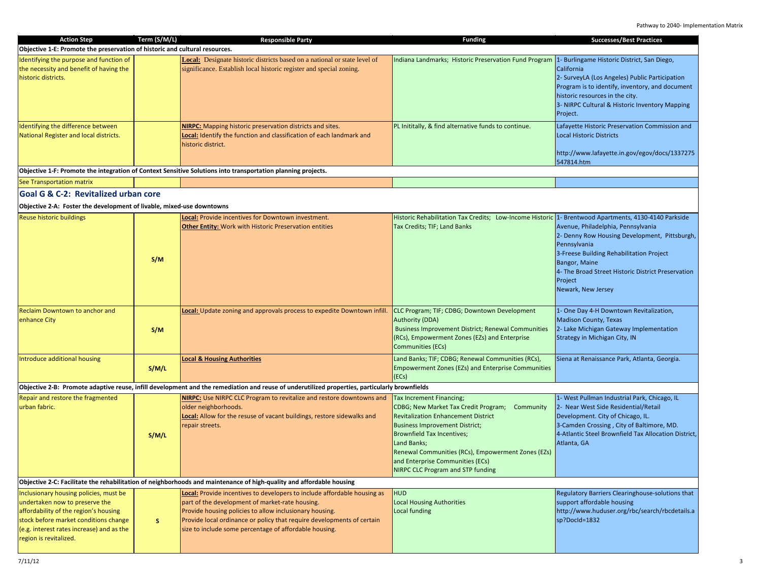| <b>Action Step</b>                                                                                                                                                                                                                | Term (S/M/L) | <b>Responsible Party</b>                                                                                                                                                                                                                                                                                                   | <b>Funding</b>                                                                                                                                                                                                                                                                                                                                | <b>Successes/Best Practices</b>                                                                                                                                                                                                                                 |  |
|-----------------------------------------------------------------------------------------------------------------------------------------------------------------------------------------------------------------------------------|--------------|----------------------------------------------------------------------------------------------------------------------------------------------------------------------------------------------------------------------------------------------------------------------------------------------------------------------------|-----------------------------------------------------------------------------------------------------------------------------------------------------------------------------------------------------------------------------------------------------------------------------------------------------------------------------------------------|-----------------------------------------------------------------------------------------------------------------------------------------------------------------------------------------------------------------------------------------------------------------|--|
| Objective 1-E: Promote the preservation of historic and cultural resources.                                                                                                                                                       |              |                                                                                                                                                                                                                                                                                                                            |                                                                                                                                                                                                                                                                                                                                               |                                                                                                                                                                                                                                                                 |  |
| Identifying the purpose and function of<br>the necessity and benefit of having the<br>historic districts.                                                                                                                         |              | Local: Designate historic districts based on a national or state level of<br>significance. Establish local historic register and special zoning.                                                                                                                                                                           | Indiana Landmarks; Historic Preservation Fund Program                                                                                                                                                                                                                                                                                         | 1- Burlingame Historic District, San Diego,<br>California<br>2- SurveyLA (Los Angeles) Public Participation<br>Program is to identify, inventory, and document<br>historic resources in the city.<br>3- NIRPC Cultural & Historic Inventory Mapping<br>Project. |  |
| Identifying the difference between<br>National Register and local districts.                                                                                                                                                      |              | <b>NIRPC:</b> Mapping historic preservation districts and sites.<br><b>Local:</b> Identify the function and classification of each landmark and<br>historic district.                                                                                                                                                      | PL Inititally, & find alternative funds to continue.                                                                                                                                                                                                                                                                                          | Lafayette Historic Preservation Commission and<br><b>Local Historic Districts</b><br>http://www.lafayette.in.gov/egov/docs/1337275<br>547814.htm                                                                                                                |  |
|                                                                                                                                                                                                                                   |              | Objective 1-F: Promote the integration of Context Sensitive Solutions into transportation planning projects.                                                                                                                                                                                                               |                                                                                                                                                                                                                                                                                                                                               |                                                                                                                                                                                                                                                                 |  |
| See Transportation matrix                                                                                                                                                                                                         |              |                                                                                                                                                                                                                                                                                                                            |                                                                                                                                                                                                                                                                                                                                               |                                                                                                                                                                                                                                                                 |  |
| <b>Goal G &amp; C-2: Revitalized urban core</b>                                                                                                                                                                                   |              |                                                                                                                                                                                                                                                                                                                            |                                                                                                                                                                                                                                                                                                                                               |                                                                                                                                                                                                                                                                 |  |
| Objective 2-A: Foster the development of livable, mixed-use downtowns                                                                                                                                                             |              |                                                                                                                                                                                                                                                                                                                            |                                                                                                                                                                                                                                                                                                                                               |                                                                                                                                                                                                                                                                 |  |
| <b>Reuse historic buildings</b>                                                                                                                                                                                                   | S/M          | Local: Provide incentives for Downtown investment.<br><b>Other Entity:</b> Work with Historic Preservation entities                                                                                                                                                                                                        | Historic Rehabilitation Tax Credits; Low-Income Historic 1- Brentwood Apartments, 4130-4140 Parkside<br>Tax Credits; TIF; Land Banks                                                                                                                                                                                                          | Avenue, Philadelphia, Pennsylvania<br>2- Denny Row Housing Development, Pittsburgh,<br>Pennsylvania<br>3-Freese Building Rehabilitation Project<br>Bangor, Maine<br>4- The Broad Street Historic District Preservation<br>Project<br>Newark, New Jersey         |  |
| Reclaim Downtown to anchor and<br>enhance City                                                                                                                                                                                    | S/M          | <b>Local:</b> Update zoning and approvals process to expedite Downtown infill.                                                                                                                                                                                                                                             | CLC Program; TIF; CDBG; Downtown Development<br><b>Authority (DDA)</b><br><b>Business Improvement District; Renewal Communities</b><br>(RCs), Empowerment Zones (EZs) and Enterprise<br><b>Communities (ECs)</b>                                                                                                                              | 1- One Day 4-H Downtown Revitalization,<br><b>Madison County, Texas</b><br>2- Lake Michigan Gateway Implementation<br>Strategy in Michigan City, IN                                                                                                             |  |
| Introduce additional housing                                                                                                                                                                                                      | S/M/L        | <b>Local &amp; Housing Authorities</b>                                                                                                                                                                                                                                                                                     | Land Banks; TIF; CDBG; Renewal Communities (RCs),<br><b>Empowerment Zones (EZs) and Enterprise Communities</b><br>(ECs)                                                                                                                                                                                                                       | Siena at Renaissance Park, Atlanta, Georgia.                                                                                                                                                                                                                    |  |
|                                                                                                                                                                                                                                   |              | Objective 2-B: Promote adaptive reuse, infill development and the remediation and reuse of underutilized properties, particularly brownfields                                                                                                                                                                              |                                                                                                                                                                                                                                                                                                                                               |                                                                                                                                                                                                                                                                 |  |
| Repair and restore the fragmented<br>urban fabric.                                                                                                                                                                                | S/M/L        | <b>NIRPC:</b> Use NIRPC CLC Program to revitalize and restore downtowns and<br>older neighborhoods.<br>Local: Allow for the resuse of vacant buildings, restore sidewalks and<br>repair streets.                                                                                                                           | Tax Increment Financing;<br>CDBG; New Market Tax Credit Program; Community<br><b>Revitalization Enhancement District</b><br><b>Business Improvement District;</b><br>Brownfield Tax Incentives;<br>Land Banks;<br>Renewal Communities (RCs), Empowerment Zones (EZs)<br>and Enterprise Communities (ECs)<br>NIRPC CLC Program and STP funding | 1- West Pullman Industrial Park, Chicago, IL<br>2- Near West Side Residential/Retail<br>Development. City of Chicago, IL.<br>3-Camden Crossing, City of Baltimore, MD.<br>4-Atlantic Steel Brownfield Tax Allocation District,<br>Atlanta, GA                   |  |
| Objective 2-C: Facilitate the rehabilitation of neighborhoods and maintenance of high-quality and affordable housing                                                                                                              |              |                                                                                                                                                                                                                                                                                                                            |                                                                                                                                                                                                                                                                                                                                               |                                                                                                                                                                                                                                                                 |  |
| Inclusionary housing policies, must be<br>undertaken now to preserve the<br>affordability of the region's housing<br>stock before market conditions change<br>(e.g. interest rates increase) and as the<br>region is revitalized. | S            | Local: Provide incentives to developers to include affordable housing as<br>part of the development of market-rate housing.<br>Provide housing policies to allow inclusionary housing.<br>Provide local ordinance or policy that require developments of certain<br>size to include some percentage of affordable housing. | <b>HUD</b><br><b>Local Housing Authorities</b><br>Local funding                                                                                                                                                                                                                                                                               | Regulatory Barriers Clearinghouse-solutions that<br>support affordable housing<br>http://www.huduser.org/rbc/search/rbcdetails.a<br>sp?Docld=1832                                                                                                               |  |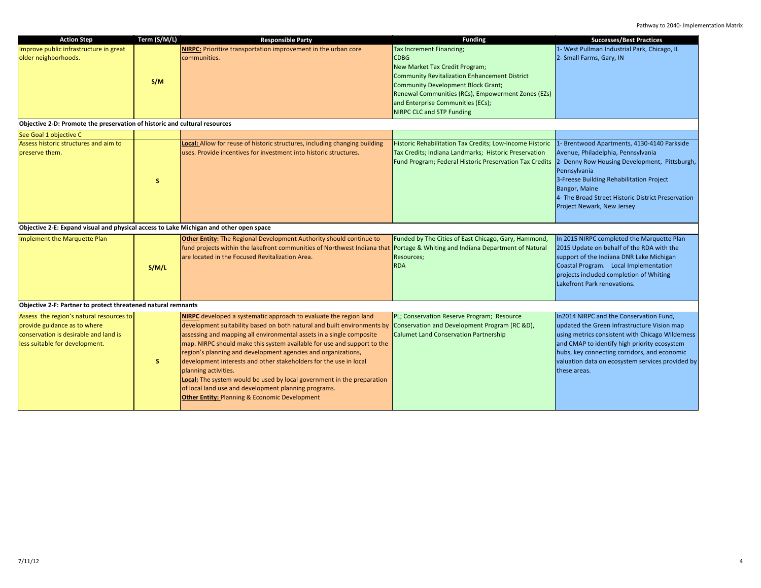| <b>Action Step</b>                                                                                                                                  | Term (S/M/L) | <b>Responsible Party</b>                                                                                                                                                                                                                                                                                                                                                                                                                                                                                                                                                                                                                                    | <b>Funding</b>                                                                                                                                                                                                                                                                           | <b>Successes/Best Practices</b>                                                                                                                                                                                                                                                                                |
|-----------------------------------------------------------------------------------------------------------------------------------------------------|--------------|-------------------------------------------------------------------------------------------------------------------------------------------------------------------------------------------------------------------------------------------------------------------------------------------------------------------------------------------------------------------------------------------------------------------------------------------------------------------------------------------------------------------------------------------------------------------------------------------------------------------------------------------------------------|------------------------------------------------------------------------------------------------------------------------------------------------------------------------------------------------------------------------------------------------------------------------------------------|----------------------------------------------------------------------------------------------------------------------------------------------------------------------------------------------------------------------------------------------------------------------------------------------------------------|
| Improve public infrastructure in great<br>older neighborhoods.                                                                                      | S/M          | NIRPC: Prioritize transportation improvement in the urban core<br>communities.                                                                                                                                                                                                                                                                                                                                                                                                                                                                                                                                                                              | Tax Increment Financing;<br><b>CDBG</b><br>New Market Tax Credit Program;<br>Community Revitalization Enhancement District<br>Community Development Block Grant;<br>Renewal Communities (RCs), Empowerment Zones (EZs)<br>and Enterprise Communities (ECs);<br>NIRPC CLC and STP Funding | 1- West Pullman Industrial Park, Chicago, IL<br>2- Small Farms, Gary, IN                                                                                                                                                                                                                                       |
| Objective 2-D: Promote the preservation of historic and cultural resources                                                                          |              |                                                                                                                                                                                                                                                                                                                                                                                                                                                                                                                                                                                                                                                             |                                                                                                                                                                                                                                                                                          |                                                                                                                                                                                                                                                                                                                |
| See Goal 1 objective C                                                                                                                              |              |                                                                                                                                                                                                                                                                                                                                                                                                                                                                                                                                                                                                                                                             |                                                                                                                                                                                                                                                                                          |                                                                                                                                                                                                                                                                                                                |
| Assess historic structures and aim to<br>preserve them.                                                                                             | S.           | Local: Allow for reuse of historic structures, including changing building<br>uses. Provide incentives for investment into historic structures.                                                                                                                                                                                                                                                                                                                                                                                                                                                                                                             | Historic Rehabilitation Tax Credits; Low-Income Historic<br>Tax Credits; Indiana Landmarks; Historic Preservation<br>Fund Program; Federal Historic Preservation Tax Credits                                                                                                             | 1- Brentwood Apartments, 4130-4140 Parkside<br>Avenue, Philadelphia, Pennsylvania<br>2- Denny Row Housing Development, Pittsburgh,<br>Pennsylvania<br>3-Freese Building Rehabilitation Project<br>Bangor, Maine<br>4- The Broad Street Historic District Preservation<br>Project Newark, New Jersey            |
| Objective 2-E: Expand visual and physical access to Lake Michigan and other open space                                                              |              |                                                                                                                                                                                                                                                                                                                                                                                                                                                                                                                                                                                                                                                             |                                                                                                                                                                                                                                                                                          |                                                                                                                                                                                                                                                                                                                |
| Implement the Marquette Plan                                                                                                                        | S/M/L        | Other Entity: The Regional Development Authority should continue to<br>fund projects within the lakefront communities of Northwest Indiana that Portage & Whiting and Indiana Department of Natural<br>are located in the Focused Revitalization Area.                                                                                                                                                                                                                                                                                                                                                                                                      | Funded by The Cities of East Chicago, Gary, Hammond,<br>Resources;<br><b>RDA</b>                                                                                                                                                                                                         | In 2015 NIRPC completed the Marquette Plan<br>2015 Update on behalf of the RDA with the<br>support of the Indiana DNR Lake Michigan<br>Coastal Program. Local Implementation<br>projects included completion of Whiting<br>Lakefront Park renovations.                                                         |
| Objective 2-F: Partner to protect threatened natural remnants                                                                                       |              |                                                                                                                                                                                                                                                                                                                                                                                                                                                                                                                                                                                                                                                             |                                                                                                                                                                                                                                                                                          |                                                                                                                                                                                                                                                                                                                |
| Assess the region's natural resources to<br>provide guidance as to where<br>conservation is desirable and land is<br>less suitable for development. | S.           | NIRPC developed a systematic approach to evaluate the region land<br>development suitability based on both natural and built environments by<br>assessing and mapping all environmental assets in a single composite<br>map. NIRPC should make this system available for use and support to the<br>region's planning and development agencies and organizations,<br>development interests and other stakeholders for the use in local<br>planning activities.<br>Local: The system would be used by local government in the preparation<br>of local land use and development planning programs.<br><b>Other Entity: Planning &amp; Economic Development</b> | PL; Conservation Reserve Program; Resource<br>Conservation and Development Program (RC &D),<br><b>Calumet Land Conservation Partnership</b>                                                                                                                                              | In2014 NIRPC and the Conservation Fund,<br>updated the Green Infrastructure Vision map<br>using metrics consistent with Chicago Wilderness<br>and CMAP to identify high priority ecosystem<br>hubs, key connecting corridors, and economic<br>valuation data on ecosystem services provided by<br>these areas. |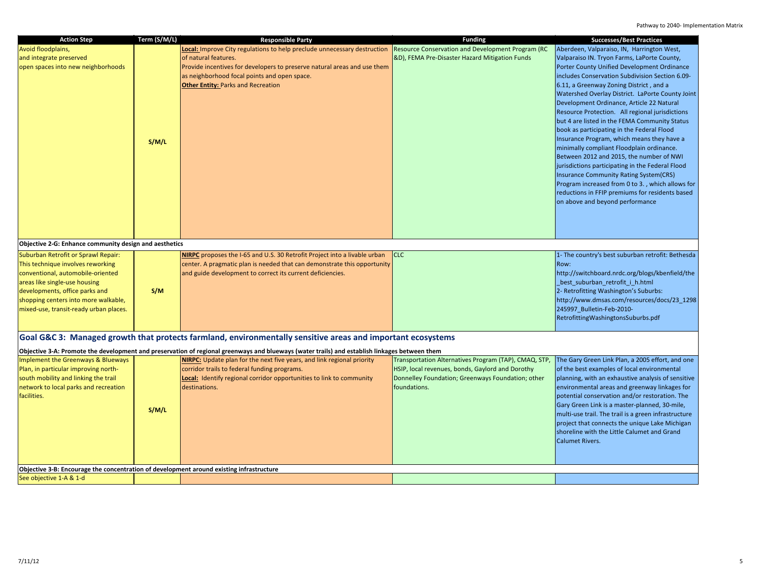| <b>Action Step</b>                                                                                                                                                                                                                                                 | Term (S/M/L) | <b>Responsible Party</b>                                                                                                                                                                                                                                                                                                    | <b>Funding</b>                                                                                                                                                                 | <b>Successes/Best Practices</b>                                                                                                                                                                                                                                                                                                                                                                                                                                                                                                                                                                                                                                                                                                                                                                                                                                                 |
|--------------------------------------------------------------------------------------------------------------------------------------------------------------------------------------------------------------------------------------------------------------------|--------------|-----------------------------------------------------------------------------------------------------------------------------------------------------------------------------------------------------------------------------------------------------------------------------------------------------------------------------|--------------------------------------------------------------------------------------------------------------------------------------------------------------------------------|---------------------------------------------------------------------------------------------------------------------------------------------------------------------------------------------------------------------------------------------------------------------------------------------------------------------------------------------------------------------------------------------------------------------------------------------------------------------------------------------------------------------------------------------------------------------------------------------------------------------------------------------------------------------------------------------------------------------------------------------------------------------------------------------------------------------------------------------------------------------------------|
| Avoid floodplains,<br>and integrate preserved<br>open spaces into new neighborhoods                                                                                                                                                                                | S/M/L        | Local: Improve City regulations to help preclude unnecessary destruction Resource Conservation and Development Program (RC<br>of natural features.<br>Provide incentives for developers to preserve natural areas and use them<br>as neighborhood focal points and open space.<br><b>Other Entity: Parks and Recreation</b> | &D), FEMA Pre-Disaster Hazard Mitigation Funds                                                                                                                                 | Aberdeen, Valparaiso, IN, Harrington West,<br>Valparaiso IN. Tryon Farms, LaPorte County,<br>Porter County Unified Development Ordinance<br>includes Conservation Subdivision Section 6.09-<br>6.11, a Greenway Zoning District, and a<br>Watershed Overlay District. LaPorte County Joint<br>Development Ordinance, Article 22 Natural<br>Resource Protection. All regional jurisdictions<br>but 4 are listed in the FEMA Community Status<br>book as participating in the Federal Flood<br>Insurance Program, which means they have a<br>minimally compliant Floodplain ordinance.<br>Between 2012 and 2015, the number of NWI<br>jurisdictions participating in the Federal Flood<br><b>Insurance Community Rating System(CRS)</b><br>Program increased from 0 to 3., which allows for<br>reductions in FFIP premiums for residents based<br>on above and beyond performance |
| Objective 2-G: Enhance community design and aesthetics                                                                                                                                                                                                             |              |                                                                                                                                                                                                                                                                                                                             |                                                                                                                                                                                |                                                                                                                                                                                                                                                                                                                                                                                                                                                                                                                                                                                                                                                                                                                                                                                                                                                                                 |
| Suburban Retrofit or Sprawl Repair:<br>This technique involves reworking<br>conventional, automobile-oriented<br>areas like single-use housing<br>developments, office parks and<br>shopping centers into more walkable,<br>mixed-use, transit-ready urban places. | S/M          | NIRPC proposes the I-65 and U.S. 30 Retrofit Project into a livable urban<br>center. A pragmatic plan is needed that can demonstrate this opportunity<br>and guide development to correct its current deficiencies.                                                                                                         | <b>CLC</b>                                                                                                                                                                     | 1- The country's best suburban retrofit: Bethesda<br>Row:<br>http://switchboard.nrdc.org/blogs/kbenfield/the<br>_best_suburban_retrofit_i_h.html<br>2- Retrofitting Washington's Suburbs:<br>http://www.dmsas.com/resources/docs/23 1298<br>245997_Bulletin-Feb-2010-<br>RetrofittingWashingtonsSuburbs.pdf                                                                                                                                                                                                                                                                                                                                                                                                                                                                                                                                                                     |
|                                                                                                                                                                                                                                                                    |              | Goal G&C 3: Managed growth that protects farmland, environmentally sensitive areas and important ecosystems                                                                                                                                                                                                                 |                                                                                                                                                                                |                                                                                                                                                                                                                                                                                                                                                                                                                                                                                                                                                                                                                                                                                                                                                                                                                                                                                 |
|                                                                                                                                                                                                                                                                    |              | Objective 3-A: Promote the development and preservation of regional greenways and blueways (water trails) and establish linkages between them                                                                                                                                                                               |                                                                                                                                                                                |                                                                                                                                                                                                                                                                                                                                                                                                                                                                                                                                                                                                                                                                                                                                                                                                                                                                                 |
| Implement the Greenways & Blueways<br>Plan, in particular improving north-<br>south mobility and linking the trail<br>network to local parks and recreation<br>facilities.                                                                                         | S/M/L        | <b>NIRPC:</b> Update plan for the next five years, and link regional priority<br>corridor trails to federal funding programs.<br>Local: Identify regional corridor opportunities to link to community<br>destinations.                                                                                                      | Transportation Alternatives Program (TAP), CMAQ, STP,<br>HSIP, local revenues, bonds, Gaylord and Dorothy<br>Donnelley Foundation; Greenways Foundation; other<br>foundations. | The Gary Green Link Plan, a 2005 effort, and one<br>of the best examples of local environmental<br>planning, with an exhaustive analysis of sensitive<br>environmental areas and greenway linkages for<br>potential conservation and/or restoration. The<br>Gary Green Link is a master-planned, 30-mile,<br>multi-use trail. The trail is a green infrastructure<br>project that connects the unique Lake Michigan<br>shoreline with the Little Calumet and Grand<br><b>Calumet Rivers.</b>                                                                                                                                                                                                                                                                                                                                                                                    |
| Objective 3-B: Encourage the concentration of development around existing infrastructure                                                                                                                                                                           |              |                                                                                                                                                                                                                                                                                                                             |                                                                                                                                                                                |                                                                                                                                                                                                                                                                                                                                                                                                                                                                                                                                                                                                                                                                                                                                                                                                                                                                                 |
| See objective 1-A & 1-d                                                                                                                                                                                                                                            |              |                                                                                                                                                                                                                                                                                                                             |                                                                                                                                                                                |                                                                                                                                                                                                                                                                                                                                                                                                                                                                                                                                                                                                                                                                                                                                                                                                                                                                                 |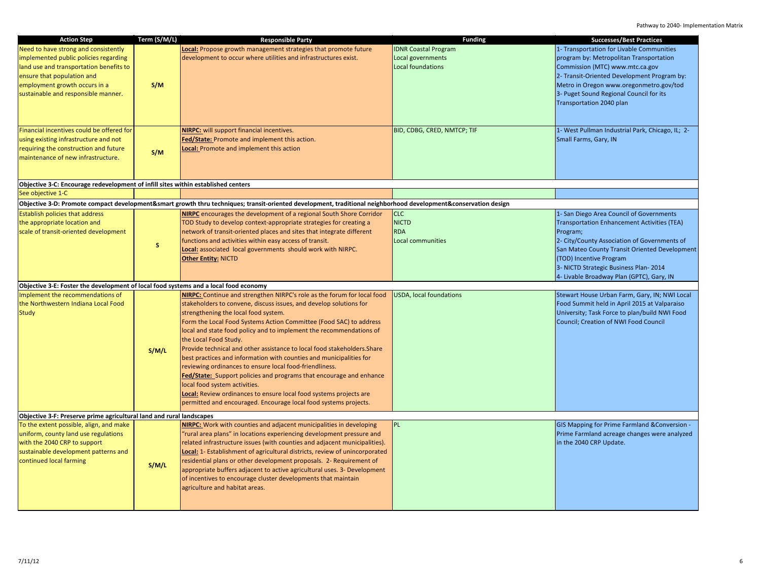| <b>Action Step</b>                                                                                     | Term (S/M/L) | <b>Responsible Party</b>                                                                                                                                        | <b>Funding</b>                 | <b>Successes/Best Practices</b>                                                                |
|--------------------------------------------------------------------------------------------------------|--------------|-----------------------------------------------------------------------------------------------------------------------------------------------------------------|--------------------------------|------------------------------------------------------------------------------------------------|
| Need to have strong and consistently                                                                   |              | Local: Propose growth management strategies that promote future                                                                                                 | <b>IDNR Coastal Program</b>    | 1- Transportation for Livable Communities                                                      |
| implemented public policies regarding                                                                  |              | development to occur where utilities and infrastructures exist.                                                                                                 | Local governments              | program by: Metropolitan Transportation                                                        |
| land use and transportation benefits to                                                                |              |                                                                                                                                                                 | Local foundations              | Commission (MTC) www.mtc.ca.gov                                                                |
| ensure that population and                                                                             |              |                                                                                                                                                                 |                                | 2- Transit-Oriented Development Program by:                                                    |
| employment growth occurs in a                                                                          | S/M          |                                                                                                                                                                 |                                | Metro in Oregon www.oregonmetro.gov/tod                                                        |
| sustainable and responsible manner.                                                                    |              |                                                                                                                                                                 |                                | 3- Puget Sound Regional Council for its                                                        |
|                                                                                                        |              |                                                                                                                                                                 |                                | Transportation 2040 plan                                                                       |
|                                                                                                        |              |                                                                                                                                                                 |                                |                                                                                                |
|                                                                                                        |              |                                                                                                                                                                 |                                |                                                                                                |
| Financial incentives could be offered for                                                              |              | NIRPC: will support financial incentives.                                                                                                                       | BID, CDBG, CRED, NMTCP; TIF    | 1- West Pullman Industrial Park, Chicago, IL; 2-                                               |
| using existing infrastructure and not                                                                  |              | Fed/State: Promote and implement this action.                                                                                                                   |                                | Small Farms, Gary, IN                                                                          |
| requiring the construction and future                                                                  | S/M          | <b>Local:</b> Promote and implement this action                                                                                                                 |                                |                                                                                                |
| maintenance of new infrastructure.                                                                     |              |                                                                                                                                                                 |                                |                                                                                                |
|                                                                                                        |              |                                                                                                                                                                 |                                |                                                                                                |
|                                                                                                        |              |                                                                                                                                                                 |                                |                                                                                                |
| Objective 3-C: Encourage redevelopment of infill sites within established centers<br>See objective 1-C |              |                                                                                                                                                                 |                                |                                                                                                |
|                                                                                                        |              |                                                                                                                                                                 |                                |                                                                                                |
|                                                                                                        |              | Objective 3-D: Promote compact development&smart growth thru techniques; transit-oriented development, traditional neighborhood development&conservation design |                                |                                                                                                |
| Establish policies that address                                                                        |              | <b>NIRPC</b> encourages the development of a regional South Shore Corridor                                                                                      | <b>CLC</b><br><b>NICTD</b>     | 1- San Diego Area Council of Governments<br><b>Transportation Enhancement Activities (TEA)</b> |
| the appropriate location and<br>scale of transit-oriented development                                  |              | TOD Study to develop context-appropriate strategies for creating a<br>network of transit-oriented places and sites that integrate different                     | <b>RDA</b>                     | Program;                                                                                       |
|                                                                                                        |              | functions and activities within easy access of transit.                                                                                                         | Local communities              | 2- City/County Association of Governments of                                                   |
|                                                                                                        | S            | <b>Local:</b> associated local governments should work with NIRPC.                                                                                              |                                | San Mateo County Transit Oriented Development                                                  |
|                                                                                                        |              | <b>Other Entity: NICTD</b>                                                                                                                                      |                                | (TOD) Incentive Program                                                                        |
|                                                                                                        |              |                                                                                                                                                                 |                                | 3- NICTD Strategic Business Plan-2014                                                          |
|                                                                                                        |              |                                                                                                                                                                 |                                | 4- Livable Broadway Plan (GPTC), Gary, IN                                                      |
| Objective 3-E: Foster the development of local food systems and a local food economy                   |              |                                                                                                                                                                 |                                |                                                                                                |
| Implement the recommendations of                                                                       |              | NIRPC: Continue and strengthen NIRPC's role as the forum for local food                                                                                         | <b>USDA, local foundations</b> | Stewart House Urban Farm, Gary, IN; NWI Local                                                  |
| the Northwestern Indiana Local Food                                                                    |              | stakeholders to convene, discuss issues, and develop solutions for                                                                                              |                                | Food Summit held in April 2015 at Valparaiso                                                   |
| <b>Study</b>                                                                                           |              | strengthening the local food system.                                                                                                                            |                                | University; Task Force to plan/build NWI Food                                                  |
|                                                                                                        |              | Form the Local Food Systems Action Committee (Food SAC) to address                                                                                              |                                | Council; Creation of NWI Food Council                                                          |
|                                                                                                        |              | local and state food policy and to implement the recommendations of                                                                                             |                                |                                                                                                |
|                                                                                                        |              | the Local Food Study.                                                                                                                                           |                                |                                                                                                |
|                                                                                                        | S/M/L        | Provide technical and other assistance to local food stakeholders. Share                                                                                        |                                |                                                                                                |
|                                                                                                        |              | best practices and information with counties and municipalities for                                                                                             |                                |                                                                                                |
|                                                                                                        |              | reviewing ordinances to ensure local food-friendliness.                                                                                                         |                                |                                                                                                |
|                                                                                                        |              | Fed/State: Support policies and programs that encourage and enhance                                                                                             |                                |                                                                                                |
|                                                                                                        |              | local food system activities.                                                                                                                                   |                                |                                                                                                |
|                                                                                                        |              | Local: Review ordinances to ensure local food systems projects are                                                                                              |                                |                                                                                                |
|                                                                                                        |              | permitted and encouraged. Encourage local food systems projects.                                                                                                |                                |                                                                                                |
| Objective 3-F: Preserve prime agricultural land and rural landscapes                                   |              |                                                                                                                                                                 |                                |                                                                                                |
| To the extent possible, align, and make                                                                |              | <b>NIRPC:</b> Work with counties and adjacent municipalities in developing                                                                                      | <b>PL</b>                      | GIS Mapping for Prime Farmland & Conversion -                                                  |
| uniform, county land use regulations                                                                   |              | 'rural area plans" in locations experiencing development pressure and                                                                                           |                                | Prime Farmland acreage changes were analyzed                                                   |
| with the 2040 CRP to support                                                                           |              | related infrastructure issues (with counties and adjacent municipalities).                                                                                      |                                | in the 2040 CRP Update.                                                                        |
| sustainable development patterns and                                                                   |              | Local: 1- Establishment of agricultural districts, review of unincorporated                                                                                     |                                |                                                                                                |
| continued local farming                                                                                | S/M/L        | residential plans or other development proposals. 2- Requirement of                                                                                             |                                |                                                                                                |
|                                                                                                        |              | appropriate buffers adjacent to active agricultural uses. 3- Development                                                                                        |                                |                                                                                                |
|                                                                                                        |              | of incentives to encourage cluster developments that maintain                                                                                                   |                                |                                                                                                |
|                                                                                                        |              | agriculture and habitat areas.                                                                                                                                  |                                |                                                                                                |
|                                                                                                        |              |                                                                                                                                                                 |                                |                                                                                                |
|                                                                                                        |              |                                                                                                                                                                 |                                |                                                                                                |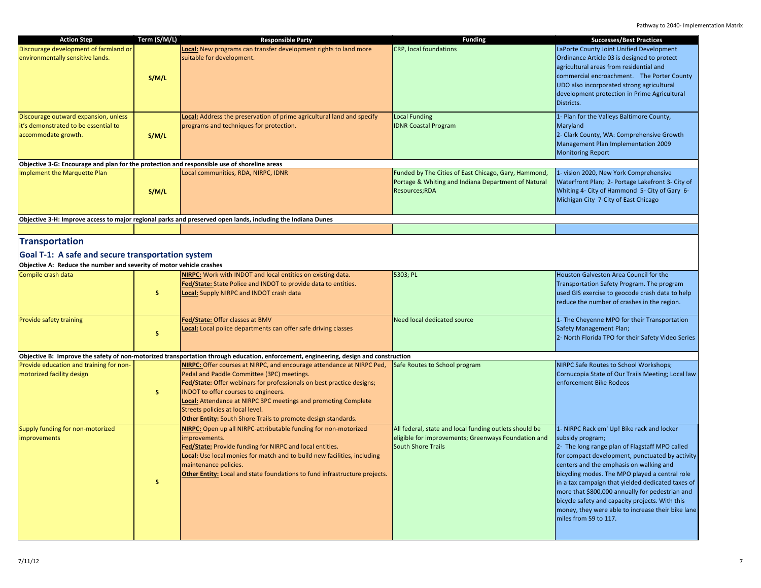| <b>Action Step</b>                                                                                                        | Term (S/M/L) | <b>Responsible Party</b>                                                                                                                                                                                                                                                                                                                                                                                                  | <b>Funding</b>                                                                                                                             | <b>Successes/Best Practices</b>                                                                                                                                                                                                                                                                                                                                                                                                                                                                           |
|---------------------------------------------------------------------------------------------------------------------------|--------------|---------------------------------------------------------------------------------------------------------------------------------------------------------------------------------------------------------------------------------------------------------------------------------------------------------------------------------------------------------------------------------------------------------------------------|--------------------------------------------------------------------------------------------------------------------------------------------|-----------------------------------------------------------------------------------------------------------------------------------------------------------------------------------------------------------------------------------------------------------------------------------------------------------------------------------------------------------------------------------------------------------------------------------------------------------------------------------------------------------|
| Discourage development of farmland or<br>environmentally sensitive lands.                                                 | S/M/L        | Local: New programs can transfer development rights to land more<br>suitable for development.                                                                                                                                                                                                                                                                                                                             | <b>CRP, local foundations</b>                                                                                                              | LaPorte County Joint Unified Development<br>Ordinance Article 03 is designed to protect<br>agricultural areas from residential and<br>commercial encroachment. The Porter County<br>UDO also incorporated strong agricultural<br>development protection in Prime Agricultural<br>Districts.                                                                                                                                                                                                               |
| Discourage outward expansion, unless<br>it's demonstrated to be essential to<br>accommodate growth.                       | S/M/L        | <b>Local:</b> Address the preservation of prime agricultural land and specify<br>programs and techniques for protection.                                                                                                                                                                                                                                                                                                  | <b>Local Funding</b><br><b>IDNR Coastal Program</b>                                                                                        | 1- Plan for the Valleys Baltimore County,<br>Maryland<br>2- Clark County, WA: Comprehensive Growth<br>Management Plan Implementation 2009<br><b>Monitoring Report</b>                                                                                                                                                                                                                                                                                                                                     |
| Objective 3-G: Encourage and plan for the protection and responsible use of shoreline areas                               |              |                                                                                                                                                                                                                                                                                                                                                                                                                           |                                                                                                                                            |                                                                                                                                                                                                                                                                                                                                                                                                                                                                                                           |
| Implement the Marquette Plan                                                                                              | S/M/L        | Local communities, RDA, NIRPC, IDNR                                                                                                                                                                                                                                                                                                                                                                                       | Funded by The Cities of East Chicago, Gary, Hammond,<br>Portage & Whiting and Indiana Department of Natural<br>Resources;RDA               | 1- vision 2020, New York Comprehensive<br>Waterfront Plan; 2- Portage Lakefront 3- City of<br>Whiting 4- City of Hammond 5- City of Gary 6-<br>Michigan City 7-City of East Chicago                                                                                                                                                                                                                                                                                                                       |
|                                                                                                                           |              | Objective 3-H: Improve access to major regional parks and preserved open lands, including the Indiana Dunes                                                                                                                                                                                                                                                                                                               |                                                                                                                                            |                                                                                                                                                                                                                                                                                                                                                                                                                                                                                                           |
|                                                                                                                           |              |                                                                                                                                                                                                                                                                                                                                                                                                                           |                                                                                                                                            |                                                                                                                                                                                                                                                                                                                                                                                                                                                                                                           |
| <b>Transportation</b>                                                                                                     |              |                                                                                                                                                                                                                                                                                                                                                                                                                           |                                                                                                                                            |                                                                                                                                                                                                                                                                                                                                                                                                                                                                                                           |
| Goal T-1: A safe and secure transportation system<br>Objective A: Reduce the number and severity of motor vehicle crashes |              |                                                                                                                                                                                                                                                                                                                                                                                                                           |                                                                                                                                            |                                                                                                                                                                                                                                                                                                                                                                                                                                                                                                           |
| Compile crash data                                                                                                        | S.           | NIRPC: Work with INDOT and local entities on existing data.<br>Fed/State: State Police and INDOT to provide data to entities.<br>Local: Supply NIRPC and INDOT crash data                                                                                                                                                                                                                                                 | 5303; PL                                                                                                                                   | Houston Galveston Area Council for the<br>Transportation Safety Program. The program<br>used GIS exercise to geocode crash data to help<br>reduce the number of crashes in the region.                                                                                                                                                                                                                                                                                                                    |
| Provide safety training                                                                                                   | S            | Fed/State: Offer classes at BMV<br>Local: Local police departments can offer safe driving classes                                                                                                                                                                                                                                                                                                                         | Need local dedicated source                                                                                                                | 1- The Cheyenne MPO for their Transportation<br><b>Safety Management Plan;</b><br>2- North Florida TPO for their Safety Video Series                                                                                                                                                                                                                                                                                                                                                                      |
|                                                                                                                           |              | Objective B: Improve the safety of non-motorized transportation through education, enforcement, engineering, design and construction                                                                                                                                                                                                                                                                                      |                                                                                                                                            |                                                                                                                                                                                                                                                                                                                                                                                                                                                                                                           |
| Provide education and training for non-<br>motorized facility design                                                      | S            | NIRPC: Offer courses at NIRPC, and encourage attendance at NIRPC Ped,<br>Pedal and Paddle Committee (3PC) meetings.<br>Fed/State: Offer webinars for professionals on best practice designs;<br>INDOT to offer courses to engineers.<br><b>Local:</b> Attendance at NIRPC 3PC meetings and promoting Complete<br>Streets policies at local level.<br><b>Other Entity:</b> South Shore Trails to promote design standards. | Safe Routes to School program                                                                                                              | NIRPC Safe Routes to School Workshops;<br>Cornucopia State of Our Trails Meeting; Local law<br>enforcement Bike Rodeos                                                                                                                                                                                                                                                                                                                                                                                    |
| Supply funding for non-motorized<br>improvements                                                                          | $\mathsf{s}$ | NIRPC: Open up all NIRPC-attributable funding for non-motorized<br>improvements.<br>Fed/State: Provide funding for NIRPC and local entities.<br>Local: Use local monies for match and to build new facilities, including<br>maintenance policies.<br>Other Entity: Local and state foundations to fund infrastructure projects.                                                                                           | All federal, state and local funding outlets should be<br>eligible for improvements; Greenways Foundation and<br><b>South Shore Trails</b> | 1- NIRPC Rack em' Up! Bike rack and locker<br>subsidy program;<br>2- The long range plan of Flagstaff MPO called<br>for compact development, punctuated by activity<br>centers and the emphasis on walking and<br>bicycling modes. The MPO played a central role<br>in a tax campaign that yielded dedicated taxes of<br>more that \$800,000 annually for pedestrian and<br>bicycle safety and capacity projects. With this<br>money, they were able to increase their bike lane<br>miles from 59 to 117. |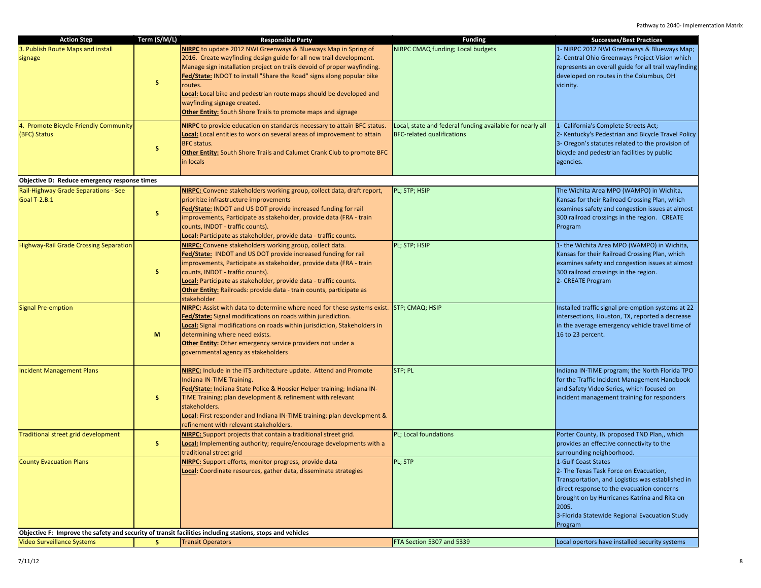| NIRPC to update 2012 NWI Greenways & Blueways Map in Spring of<br>NIRPC CMAQ funding; Local budgets<br>1- NIRPC 2012 NWI Greenways & Blueways Map;<br>2016. Create wayfinding design guide for all new trail development.<br>2- Central Ohio Greenways Project Vision which<br>Manage sign installation project on trails devoid of proper wayfinding.<br>represents an overall guide for all trail wayfinding<br>developed on routes in the Columbus, OH<br><b>Fed/State: INDOT to install "Share the Road" signs along popular bike</b><br>s<br>routes.<br>vicinity.<br>Local: Local bike and pedestrian route maps should be developed and<br>wayfinding signage created.<br><b>Other Entity:</b> South Shore Trails to promote maps and signage<br>NIRPC to provide education on standards necessary to attain BFC status.<br>Local, state and federal funding available for nearly all<br>1- California's Complete Streets Act;<br><b>BFC-related qualifications</b><br>2- Kentucky's Pedestrian and Bicycle Travel Policy<br>Local: Local entities to work on several areas of improvement to attain<br>3- Oregon's statutes related to the provision of<br>BFC status.<br>S.<br>bicycle and pedestrian facilities by public<br><b>Other Entity:</b> South Shore Trails and Calumet Crank Club to promote BFC<br>in locals<br>agencies.<br>Objective D: Reduce emergency response times<br>The Wichita Area MPO (WAMPO) in Wichita,<br>NIRPC: Convene stakeholders working group, collect data, draft report,<br>PL; STP; HSIP<br>Kansas for their Railroad Crossing Plan, which<br>prioritize infrastructure improvements<br>Fed/State: INDOT and US DOT provide increased funding for rail<br>examines safety and congestion issues at almost<br>S.<br>improvements, Participate as stakeholder, provide data (FRA - train<br>300 railroad crossings in the region. CREATE<br>counts, INDOT - traffic counts).<br>Program<br>Local: Participate as stakeholder, provide data - traffic counts.<br>NIRPC: Convene stakeholders working group, collect data.<br>PL; STP; HSIP<br>1- the Wichita Area MPO (WAMPO) in Wichita,<br>Fed/State: INDOT and US DOT provide increased funding for rail<br>Kansas for their Railroad Crossing Plan, which<br>improvements, Participate as stakeholder, provide data (FRA - train<br>examines safety and congestion issues at almost<br>s.<br>counts, INDOT - traffic counts).<br>300 railroad crossings in the region.<br>Local: Participate as stakeholder, provide data - traffic counts.<br>2- CREATE Program<br>Other Entity: Railroads: provide data - train counts, participate as<br>stakeholder<br>NIRPC: Assist with data to determine where need for these systems exist.<br>STP; CMAQ; HSIP<br>Installed traffic signal pre-emption systems at 22<br>Fed/State: Signal modifications on roads within jurisdiction.<br>intersections, Houston, TX, reported a decrease<br><b>Local:</b> Signal modifications on roads within jurisdiction, Stakeholders in<br>in the average emergency vehicle travel time of<br>determining where need exists.<br>M<br>16 to 23 percent.<br><b>Other Entity:</b> Other emergency service providers not under a<br>governmental agency as stakeholders<br>NIRPC: Include in the ITS architecture update. Attend and Promote<br>STP; PL<br>Indiana IN-TIME program; the North Florida TPO<br>for the Traffic Incident Management Handbook<br>Indiana IN-TIME Training.<br>and Safety Video Series, which focused on<br>Fed/State: Indiana State Police & Hoosier Helper training; Indiana IN-<br>s.<br>TIME Training; plan development & refinement with relevant<br>incident management training for responders<br>stakeholders.<br>Local: First responder and Indiana IN-TIME training; plan development &<br>refinement with relevant stakeholders.<br>NIRPC: Support projects that contain a traditional street grid.<br>PL; Local foundations<br>Porter County, IN proposed TND Plan,, which<br>Local: Implementing authority; require/encourage developments with a<br>provides an effective connectivity to the<br>S.<br>surrounding neighborhood.<br>traditional street grid<br>NIRPC: Support efforts, monitor progress, provide data<br>PL; STP<br>1-Gulf Coast States<br>2- The Texas Task Force on Evacuation,<br>Local: Coordinate resources, gather data, disseminate strategies<br>Transportation, and Logistics was established in<br>direct response to the evacuation concerns |                                                                    | Term (S/M/L) |                          |                | <b>Successes/Best Practices</b> |
|----------------------------------------------------------------------------------------------------------------------------------------------------------------------------------------------------------------------------------------------------------------------------------------------------------------------------------------------------------------------------------------------------------------------------------------------------------------------------------------------------------------------------------------------------------------------------------------------------------------------------------------------------------------------------------------------------------------------------------------------------------------------------------------------------------------------------------------------------------------------------------------------------------------------------------------------------------------------------------------------------------------------------------------------------------------------------------------------------------------------------------------------------------------------------------------------------------------------------------------------------------------------------------------------------------------------------------------------------------------------------------------------------------------------------------------------------------------------------------------------------------------------------------------------------------------------------------------------------------------------------------------------------------------------------------------------------------------------------------------------------------------------------------------------------------------------------------------------------------------------------------------------------------------------------------------------------------------------------------------------------------------------------------------------------------------------------------------------------------------------------------------------------------------------------------------------------------------------------------------------------------------------------------------------------------------------------------------------------------------------------------------------------------------------------------------------------------------------------------------------------------------------------------------------------------------------------------------------------------------------------------------------------------------------------------------------------------------------------------------------------------------------------------------------------------------------------------------------------------------------------------------------------------------------------------------------------------------------------------------------------------------------------------------------------------------------------------------------------------------------------------------------------------------------------------------------------------------------------------------------------------------------------------------------------------------------------------------------------------------------------------------------------------------------------------------------------------------------------------------------------------------------------------------------------------------------------------------------------------------------------------------------------------------------------------------------------------------------------------------------------------------------------------------------------------------------------------------------------------------------------------------------------------------------------------------------------------------------------------------------------------------------------------------------------------------------------------------------------------------------------------------------------------------------------------------------------------------------------------------------------------------------------------------------------------------------------------------------------------------------------------------------------------------------------------------------------------------------------------------|--------------------------------------------------------------------|--------------|--------------------------|----------------|---------------------------------|
|                                                                                                                                                                                                                                                                                                                                                                                                                                                                                                                                                                                                                                                                                                                                                                                                                                                                                                                                                                                                                                                                                                                                                                                                                                                                                                                                                                                                                                                                                                                                                                                                                                                                                                                                                                                                                                                                                                                                                                                                                                                                                                                                                                                                                                                                                                                                                                                                                                                                                                                                                                                                                                                                                                                                                                                                                                                                                                                                                                                                                                                                                                                                                                                                                                                                                                                                                                                                                                                                                                                                                                                                                                                                                                                                                                                                                                                                                                                                                                                                                                                                                                                                                                                                                                                                                                                                                                                                                                                                                        | <b>Action Step</b><br>3. Publish Route Maps and install<br>signage |              | <b>Responsible Party</b> | <b>Funding</b> |                                 |
|                                                                                                                                                                                                                                                                                                                                                                                                                                                                                                                                                                                                                                                                                                                                                                                                                                                                                                                                                                                                                                                                                                                                                                                                                                                                                                                                                                                                                                                                                                                                                                                                                                                                                                                                                                                                                                                                                                                                                                                                                                                                                                                                                                                                                                                                                                                                                                                                                                                                                                                                                                                                                                                                                                                                                                                                                                                                                                                                                                                                                                                                                                                                                                                                                                                                                                                                                                                                                                                                                                                                                                                                                                                                                                                                                                                                                                                                                                                                                                                                                                                                                                                                                                                                                                                                                                                                                                                                                                                                                        | 4. Promote Bicycle-Friendly Community<br>(BFC) Status              |              |                          |                |                                 |
|                                                                                                                                                                                                                                                                                                                                                                                                                                                                                                                                                                                                                                                                                                                                                                                                                                                                                                                                                                                                                                                                                                                                                                                                                                                                                                                                                                                                                                                                                                                                                                                                                                                                                                                                                                                                                                                                                                                                                                                                                                                                                                                                                                                                                                                                                                                                                                                                                                                                                                                                                                                                                                                                                                                                                                                                                                                                                                                                                                                                                                                                                                                                                                                                                                                                                                                                                                                                                                                                                                                                                                                                                                                                                                                                                                                                                                                                                                                                                                                                                                                                                                                                                                                                                                                                                                                                                                                                                                                                                        |                                                                    |              |                          |                |                                 |
|                                                                                                                                                                                                                                                                                                                                                                                                                                                                                                                                                                                                                                                                                                                                                                                                                                                                                                                                                                                                                                                                                                                                                                                                                                                                                                                                                                                                                                                                                                                                                                                                                                                                                                                                                                                                                                                                                                                                                                                                                                                                                                                                                                                                                                                                                                                                                                                                                                                                                                                                                                                                                                                                                                                                                                                                                                                                                                                                                                                                                                                                                                                                                                                                                                                                                                                                                                                                                                                                                                                                                                                                                                                                                                                                                                                                                                                                                                                                                                                                                                                                                                                                                                                                                                                                                                                                                                                                                                                                                        | Rail-Highway Grade Separations - See<br><b>Goal T-2.B.1</b>        |              |                          |                |                                 |
|                                                                                                                                                                                                                                                                                                                                                                                                                                                                                                                                                                                                                                                                                                                                                                                                                                                                                                                                                                                                                                                                                                                                                                                                                                                                                                                                                                                                                                                                                                                                                                                                                                                                                                                                                                                                                                                                                                                                                                                                                                                                                                                                                                                                                                                                                                                                                                                                                                                                                                                                                                                                                                                                                                                                                                                                                                                                                                                                                                                                                                                                                                                                                                                                                                                                                                                                                                                                                                                                                                                                                                                                                                                                                                                                                                                                                                                                                                                                                                                                                                                                                                                                                                                                                                                                                                                                                                                                                                                                                        | <b>Highway-Rail Grade Crossing Separation</b>                      |              |                          |                |                                 |
|                                                                                                                                                                                                                                                                                                                                                                                                                                                                                                                                                                                                                                                                                                                                                                                                                                                                                                                                                                                                                                                                                                                                                                                                                                                                                                                                                                                                                                                                                                                                                                                                                                                                                                                                                                                                                                                                                                                                                                                                                                                                                                                                                                                                                                                                                                                                                                                                                                                                                                                                                                                                                                                                                                                                                                                                                                                                                                                                                                                                                                                                                                                                                                                                                                                                                                                                                                                                                                                                                                                                                                                                                                                                                                                                                                                                                                                                                                                                                                                                                                                                                                                                                                                                                                                                                                                                                                                                                                                                                        | <b>Signal Pre-emption</b>                                          |              |                          |                |                                 |
|                                                                                                                                                                                                                                                                                                                                                                                                                                                                                                                                                                                                                                                                                                                                                                                                                                                                                                                                                                                                                                                                                                                                                                                                                                                                                                                                                                                                                                                                                                                                                                                                                                                                                                                                                                                                                                                                                                                                                                                                                                                                                                                                                                                                                                                                                                                                                                                                                                                                                                                                                                                                                                                                                                                                                                                                                                                                                                                                                                                                                                                                                                                                                                                                                                                                                                                                                                                                                                                                                                                                                                                                                                                                                                                                                                                                                                                                                                                                                                                                                                                                                                                                                                                                                                                                                                                                                                                                                                                                                        | <b>Incident Management Plans</b>                                   |              |                          |                |                                 |
|                                                                                                                                                                                                                                                                                                                                                                                                                                                                                                                                                                                                                                                                                                                                                                                                                                                                                                                                                                                                                                                                                                                                                                                                                                                                                                                                                                                                                                                                                                                                                                                                                                                                                                                                                                                                                                                                                                                                                                                                                                                                                                                                                                                                                                                                                                                                                                                                                                                                                                                                                                                                                                                                                                                                                                                                                                                                                                                                                                                                                                                                                                                                                                                                                                                                                                                                                                                                                                                                                                                                                                                                                                                                                                                                                                                                                                                                                                                                                                                                                                                                                                                                                                                                                                                                                                                                                                                                                                                                                        | Traditional street grid development                                |              |                          |                |                                 |
| brought on by Hurricanes Katrina and Rita on<br>2005.<br>3-Florida Statewide Regional Evacuation Study<br>Program<br>Objective F: Improve the safety and security of transit facilities including stations, stops and vehicles                                                                                                                                                                                                                                                                                                                                                                                                                                                                                                                                                                                                                                                                                                                                                                                                                                                                                                                                                                                                                                                                                                                                                                                                                                                                                                                                                                                                                                                                                                                                                                                                                                                                                                                                                                                                                                                                                                                                                                                                                                                                                                                                                                                                                                                                                                                                                                                                                                                                                                                                                                                                                                                                                                                                                                                                                                                                                                                                                                                                                                                                                                                                                                                                                                                                                                                                                                                                                                                                                                                                                                                                                                                                                                                                                                                                                                                                                                                                                                                                                                                                                                                                                                                                                                                         | <b>County Evacuation Plans</b>                                     |              |                          |                |                                 |
| FTA Section 5307 and 5339<br>Local opertors have installed security systems<br>S.<br><b>Transit Operators</b>                                                                                                                                                                                                                                                                                                                                                                                                                                                                                                                                                                                                                                                                                                                                                                                                                                                                                                                                                                                                                                                                                                                                                                                                                                                                                                                                                                                                                                                                                                                                                                                                                                                                                                                                                                                                                                                                                                                                                                                                                                                                                                                                                                                                                                                                                                                                                                                                                                                                                                                                                                                                                                                                                                                                                                                                                                                                                                                                                                                                                                                                                                                                                                                                                                                                                                                                                                                                                                                                                                                                                                                                                                                                                                                                                                                                                                                                                                                                                                                                                                                                                                                                                                                                                                                                                                                                                                          | <b>Video Surveillance Systems</b>                                  |              |                          |                |                                 |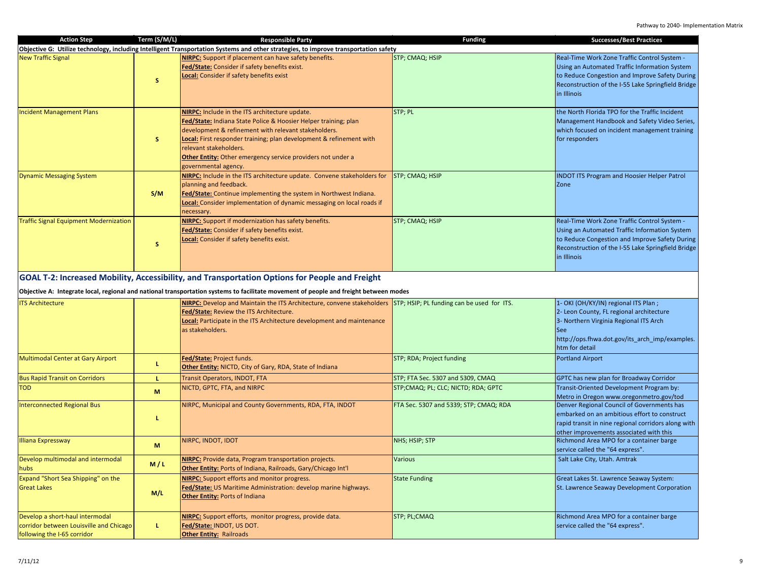| <b>Action Step</b>                                                         | Term (S/M/L) | <b>Responsible Party</b><br>Objective G: Utilize technology, including Intelligent Transportation Systems and other strategies, to improve transportation safety                                                                                                                                                                                                                                    | <b>Funding</b>                         | <b>Successes/Best Practices</b>                                                                                                                                                                                      |
|----------------------------------------------------------------------------|--------------|-----------------------------------------------------------------------------------------------------------------------------------------------------------------------------------------------------------------------------------------------------------------------------------------------------------------------------------------------------------------------------------------------------|----------------------------------------|----------------------------------------------------------------------------------------------------------------------------------------------------------------------------------------------------------------------|
| <b>New Traffic Signal</b>                                                  | S.           | NIRPC: Support if placement can have safety benefits.<br>Fed/State: Consider if safety benefits exist.<br>Local: Consider if safety benefits exist                                                                                                                                                                                                                                                  | STP; CMAQ; HSIP                        | Real-Time Work Zone Traffic Control System -<br>Using an Automated Traffic Information System<br>to Reduce Congestion and Improve Safety During<br>Reconstruction of the I-55 Lake Springfield Bridge<br>in Illinois |
| <b>Incident Management Plans</b>                                           | S.           | <b>NIRPC:</b> Include in the ITS architecture update.<br>Fed/State: Indiana State Police & Hoosier Helper training; plan<br>development & refinement with relevant stakeholders.<br>Local: First responder training; plan development & refinement with<br>relevant stakeholders.<br><b>Other Entity:</b> Other emergency service providers not under a<br>governmental agency.                     | STP; PL                                | the North Florida TPO for the Traffic Incident<br>Management Handbook and Safety Video Series,<br>which focused on incident management training<br>for responders                                                    |
| <b>Dynamic Messaging System</b>                                            | S/M          | NIRPC: Include in the ITS architecture update. Convene stakeholders for<br>planning and feedback.<br>Fed/State: Continue implementing the system in Northwest Indiana.<br>Local: Consider implementation of dynamic messaging on local roads if<br>ecessary.                                                                                                                                        | STP; CMAQ; HSIP                        | <b>INDOT ITS Program and Hoosier Helper Patrol</b><br>Zone                                                                                                                                                           |
| <b>Traffic Signal Equipment Modernization</b>                              | S.           | <b>NIRPC:</b> Support if modernization has safety benefits.<br>Fed/State: Consider if safety benefits exist.<br>Local: Consider if safety benefits exist.                                                                                                                                                                                                                                           | STP; CMAQ; HSIP                        | Real-Time Work Zone Traffic Control System -<br>Using an Automated Traffic Information System<br>to Reduce Congestion and Improve Safety During<br>Reconstruction of the I-55 Lake Springfield Bridge<br>in Illinois |
| <b>ITS Architecture</b>                                                    |              | Objective A: Integrate local, regional and national transportation systems to facilitate movement of people and freight between modes<br>NIRPC: Develop and Maintain the ITS Architecture, convene stakeholders STP; HSIP; PL funding can be used for ITS.<br>Fed/State: Review the ITS Architecture.<br>Local: Participate in the ITS Architecture development and maintenance<br>as stakeholders. |                                        | 1- OKI (OH/KY/IN) regional ITS Plan;<br>2- Leon County, FL regional architecture<br>3- Northern Virginia Regional ITS Arch<br><b>See</b><br>http://ops.fhwa.dot.gov/its_arch_imp/examples.<br>htm for detail         |
| Multimodal Center at Gary Airport                                          | L            | Fed/State: Project funds.<br>Other Entity: NICTD, City of Gary, RDA, State of Indiana                                                                                                                                                                                                                                                                                                               | STP; RDA; Project funding              | <b>Portland Airport</b>                                                                                                                                                                                              |
| <b>Bus Rapid Transit on Corridors</b>                                      | L.           | Transit Operators, INDOT, FTA                                                                                                                                                                                                                                                                                                                                                                       | STP; FTA Sec. 5307 and 5309, CMAQ      | GPTC has new plan for Broadway Corridor                                                                                                                                                                              |
| <b>TOD</b>                                                                 | M            | NICTD, GPTC, FTA, and NIRPC                                                                                                                                                                                                                                                                                                                                                                         | STP;CMAQ; PL; CLC; NICTD; RDA; GPTC    | Transit-Oriented Development Program by:<br>Metro in Oregon www.oregonmetro.gov/tod                                                                                                                                  |
| <b>Interconnected Regional Bus</b>                                         | L.           | NIRPC, Municipal and County Governments, RDA, FTA, INDOT                                                                                                                                                                                                                                                                                                                                            | FTA Sec. 5307 and 5339; STP; CMAQ; RDA | Denver Regional Council of Governments has<br>embarked on an ambitious effort to construct<br>rapid transit in nine regional corridors along with<br>other improvements associated with this                         |
| <b>Illiana Expressway</b>                                                  | M            | NIRPC, INDOT, IDOT                                                                                                                                                                                                                                                                                                                                                                                  | NHS; HSIP; STP                         | Richmond Area MPO for a container barge<br>service called the "64 express".                                                                                                                                          |
| Develop multimodal and intermodal<br>hubs                                  | M/L          | <b>NIRPC:</b> Provide data, Program transportation projects.<br>Other Entity: Ports of Indiana, Railroads, Gary/Chicago Int'l                                                                                                                                                                                                                                                                       | Various                                | Salt Lake City, Utah. Amtrak                                                                                                                                                                                         |
| Expand "Short Sea Shipping" on the<br><b>Great Lakes</b>                   | M/L          | NIRPC: Support efforts and monitor progress.<br>Fed/State: US Maritime Administration: develop marine highways.<br><b>Other Entity: Ports of Indiana</b>                                                                                                                                                                                                                                            | <b>State Funding</b>                   | Great Lakes St. Lawrence Seaway System:<br>St. Lawrence Seaway Development Corporation                                                                                                                               |
| Develop a short-haul intermodal<br>corridor between Louisville and Chicago | L.           | NIRPC: Support efforts, monitor progress, provide data.<br>Fed/State: INDOT, US DOT.                                                                                                                                                                                                                                                                                                                | STP; PL;CMAQ                           | Richmond Area MPO for a container barge<br>service called the "64 express".                                                                                                                                          |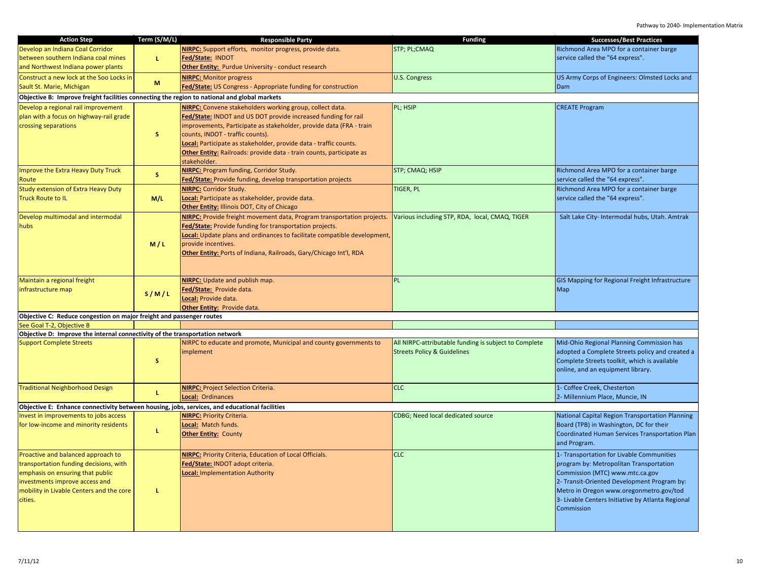| <b>Action Step</b>                                                                            | Term (S/M/L) | <b>Responsible Party</b>                                                 | <b>Funding</b>                                        | <b>Successes/Best Practices</b>                   |
|-----------------------------------------------------------------------------------------------|--------------|--------------------------------------------------------------------------|-------------------------------------------------------|---------------------------------------------------|
| Develop an Indiana Coal Corridor                                                              |              | NIRPC: Support efforts, monitor progress, provide data.                  | STP; PL;CMAQ                                          | Richmond Area MPO for a container barge           |
| between southern Indiana coal mines                                                           | L.           | Fed/State: INDOT                                                         |                                                       | service called the "64 express".                  |
| and Northwest Indiana power plants                                                            |              |                                                                          |                                                       |                                                   |
|                                                                                               |              | <b>Other Entity:</b> Purdue University - conduct research                |                                                       |                                                   |
| Construct a new lock at the Soo Locks in                                                      | M            | <b>NIRPC: Monitor progress</b>                                           | <b>U.S. Congress</b>                                  | US Army Corps of Engineers: Olmsted Locks and     |
| Sault St. Marie, Michigan                                                                     |              | Fed/State: US Congress - Appropriate funding for construction            |                                                       | <b>Dam</b>                                        |
| Objective B: Improve freight facilities connecting the region to national and global markets  |              |                                                                          |                                                       |                                                   |
| Develop a regional rail improvement                                                           |              | NIRPC: Convene stakeholders working group, collect data.                 | PL; HSIP                                              | <b>CREATE Program</b>                             |
| plan with a focus on highway-rail grade                                                       |              | Fed/State: INDOT and US DOT provide increased funding for rail           |                                                       |                                                   |
|                                                                                               |              |                                                                          |                                                       |                                                   |
| crossing separations                                                                          |              | improvements, Participate as stakeholder, provide data (FRA - train      |                                                       |                                                   |
|                                                                                               | s.           | counts, INDOT - traffic counts).                                         |                                                       |                                                   |
|                                                                                               |              | Local: Participate as stakeholder, provide data - traffic counts.        |                                                       |                                                   |
|                                                                                               |              | Other Entity: Railroads: provide data - train counts, participate as     |                                                       |                                                   |
|                                                                                               |              | stakeholder.                                                             |                                                       |                                                   |
| Improve the Extra Heavy Duty Truck                                                            |              | <b>NIRPC:</b> Program funding, Corridor Study.                           | STP; CMAQ; HSIP                                       | Richmond Area MPO for a container barge           |
| Route                                                                                         | s.           | Fed/State: Provide funding, develop transportation projects              |                                                       | service called the "64 express".                  |
| <b>Study extension of Extra Heavy Duty</b>                                                    |              | <b>NIRPC: Corridor Study.</b>                                            | <b>TIGER, PL</b>                                      | Richmond Area MPO for a container barge           |
| <b>Truck Route to IL</b>                                                                      |              |                                                                          |                                                       |                                                   |
|                                                                                               | M/L          | Local: Participate as stakeholder, provide data.                         |                                                       | service called the "64 express".                  |
|                                                                                               |              | Other Entity: Illinois DOT, City of Chicago                              |                                                       |                                                   |
| Develop multimodal and intermodal                                                             |              | NIRPC: Provide freight movement data, Program transportation projects.   | Various including STP, RDA, local, CMAQ, TIGER        | Salt Lake City- Intermodal hubs, Utah. Amtrak     |
| hubs                                                                                          |              | Fed/State: Provide funding for transportation projects.                  |                                                       |                                                   |
|                                                                                               |              | Local: Update plans and ordinances to facilitate compatible development, |                                                       |                                                   |
|                                                                                               | M/L          | provide incentives.                                                      |                                                       |                                                   |
|                                                                                               |              | Other Entity: Ports of Indiana, Railroads, Gary/Chicago Int'l, RDA       |                                                       |                                                   |
|                                                                                               |              |                                                                          |                                                       |                                                   |
|                                                                                               |              |                                                                          |                                                       |                                                   |
|                                                                                               |              |                                                                          |                                                       |                                                   |
| Maintain a regional freight                                                                   |              | NIRPC: Update and publish map.                                           | PL                                                    | GIS Mapping for Regional Freight Infrastructure   |
| infrastructure map                                                                            | S/M/L        | Fed/State: Provide data.                                                 |                                                       | Map                                               |
|                                                                                               |              | Local: Provide data.                                                     |                                                       |                                                   |
|                                                                                               |              | Other Entity: Provide data.                                              |                                                       |                                                   |
| Objective C: Reduce congestion on major freight and passenger routes                          |              |                                                                          |                                                       |                                                   |
| See Goal T-2, Objective B                                                                     |              |                                                                          |                                                       |                                                   |
| Objective D: Improve the internal connectivity of the transportation network                  |              |                                                                          |                                                       |                                                   |
| <b>Support Complete Streets</b>                                                               |              | NIRPC to educate and promote, Municipal and county governments to        | All NIRPC-attributable funding is subject to Complete | Mid-Ohio Regional Planning Commission has         |
|                                                                                               |              | implement                                                                | <b>Streets Policy &amp; Guidelines</b>                | adopted a Complete Streets policy and created a   |
|                                                                                               | s            |                                                                          |                                                       | Complete Streets toolkit, which is available      |
|                                                                                               |              |                                                                          |                                                       | online, and an equipment library.                 |
|                                                                                               |              |                                                                          |                                                       |                                                   |
|                                                                                               |              |                                                                          |                                                       |                                                   |
| <b>Traditional Neighborhood Design</b>                                                        | L.           | <b>NIRPC: Project Selection Criteria.</b>                                | <b>CLC</b>                                            | 1- Coffee Creek, Chesterton                       |
|                                                                                               |              | Local: Ordinances                                                        |                                                       | 2- Millennium Place, Muncie, IN                   |
| Objective E: Enhance connectivity between housing, jobs, services, and educational facilities |              |                                                                          |                                                       |                                                   |
| Invest in improvements to jobs access                                                         |              | <b>NIRPC: Priority Criteria.</b>                                         | CDBG; Need local dedicated source                     | National Capital Region Transportation Planning   |
| for low-income and minority residents                                                         |              | Local: Match funds.                                                      |                                                       | Board (TPB) in Washington, DC for their           |
|                                                                                               | L            | <b>Other Entity: County</b>                                              |                                                       | Coordinated Human Services Transportation Plan    |
|                                                                                               |              |                                                                          |                                                       | and Program.                                      |
|                                                                                               |              |                                                                          |                                                       |                                                   |
| Proactive and balanced approach to                                                            |              | <b>NIRPC:</b> Priority Criteria, Education of Local Officials.           | <b>CLC</b>                                            | 1- Transportation for Livable Communities         |
| transportation funding decisions, with                                                        |              | Fed/State: INDOT adopt criteria.                                         |                                                       | program by: Metropolitan Transportation           |
| emphasis on ensuring that public                                                              |              | Local: Implementation Authority                                          |                                                       | Commission (MTC) www.mtc.ca.gov                   |
| investments improve access and                                                                |              |                                                                          |                                                       | 2- Transit-Oriented Development Program by:       |
| mobility in Livable Centers and the core                                                      | L            |                                                                          |                                                       | Metro in Oregon www.oregonmetro.gov/tod           |
| cities.                                                                                       |              |                                                                          |                                                       | 3- Livable Centers Initiative by Atlanta Regional |
|                                                                                               |              |                                                                          |                                                       | Commission                                        |
|                                                                                               |              |                                                                          |                                                       |                                                   |
|                                                                                               |              |                                                                          |                                                       |                                                   |
|                                                                                               |              |                                                                          |                                                       |                                                   |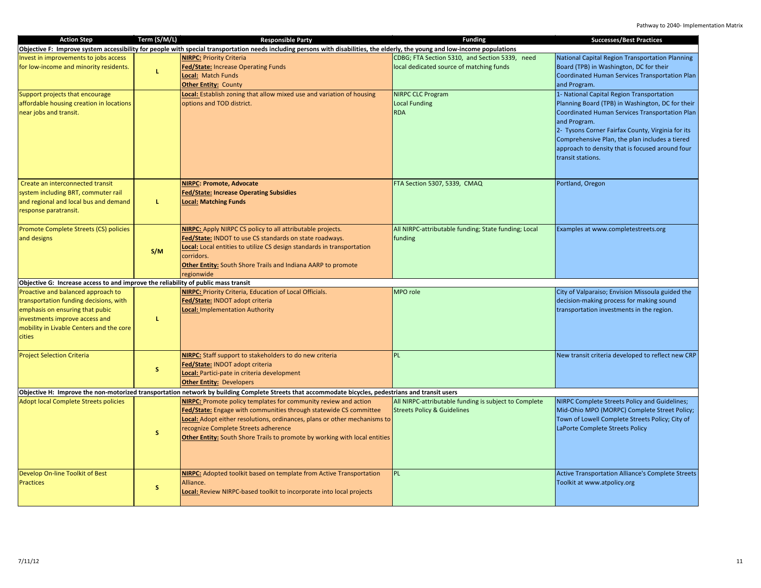| <b>Action Step</b>                                                                                                                                                                                      | Term (S/M/L) | <b>Responsible Party</b>                                                                                                                                                                                                                                                                                                                | <b>Funding</b>                                                                                  | <b>Successes/Best Practices</b>                                                                                                                                                                                                                                                                                                                |
|---------------------------------------------------------------------------------------------------------------------------------------------------------------------------------------------------------|--------------|-----------------------------------------------------------------------------------------------------------------------------------------------------------------------------------------------------------------------------------------------------------------------------------------------------------------------------------------|-------------------------------------------------------------------------------------------------|------------------------------------------------------------------------------------------------------------------------------------------------------------------------------------------------------------------------------------------------------------------------------------------------------------------------------------------------|
|                                                                                                                                                                                                         |              | Objective F: Improve system accessibility for people with special transportation needs including persons with disabilities, the elderly, the young and low-income populations                                                                                                                                                           |                                                                                                 |                                                                                                                                                                                                                                                                                                                                                |
| Invest in improvements to jobs access<br>for low-income and minority residents.                                                                                                                         | L.           | <b>NIRPC: Priority Criteria</b><br>Fed/State: Increase Operating Funds<br>Local: Match Funds<br><b>Other Entity: County</b>                                                                                                                                                                                                             | CDBG; FTA Section 5310, and Section 5339, need<br>local dedicated source of matching funds      | National Capital Region Transportation Planning<br>Board (TPB) in Washington, DC for their<br>Coordinated Human Services Transportation Plan<br>and Program.                                                                                                                                                                                   |
| Support projects that encourage<br>affordable housing creation in locations<br>near jobs and transit.                                                                                                   |              | Local: Establish zoning that allow mixed use and variation of housing<br>options and TOD district.                                                                                                                                                                                                                                      | <b>NIRPC CLC Program</b><br><b>Local Funding</b><br><b>RDA</b>                                  | 1- National Capital Region Transportation<br>Planning Board (TPB) in Washington, DC for their<br>Coordinated Human Services Transportation Plan<br>and Program.<br>2- Tysons Corner Fairfax County, Virginia for its<br>Comprehensive Plan, the plan includes a tiered<br>approach to density that is focused around four<br>transit stations. |
| Create an interconnected transit<br>system including BRT, commuter rail<br>and regional and local bus and demand<br>response paratransit.                                                               | L.           | <b>NIRPC: Promote, Advocate</b><br>Fed/State: Increase Operating Subsidies<br><b>Local: Matching Funds</b>                                                                                                                                                                                                                              | FTA Section 5307, 5339, CMAQ                                                                    | Portland, Oregon                                                                                                                                                                                                                                                                                                                               |
| Promote Complete Streets (CS) policies<br>and designs                                                                                                                                                   | S/M          | NIRPC: Apply NIRPC CS policy to all attributable projects.<br>Fed/State: INDOT to use CS standards on state roadways.<br><b>Local:</b> Local entities to utilize CS design standards in transportation<br>corridors.<br><b>Other Entity:</b> South Shore Trails and Indiana AARP to promote<br>regionwide                               | All NIRPC-attributable funding; State funding; Local<br>funding                                 | Examples at www.completestreets.org                                                                                                                                                                                                                                                                                                            |
| Objective G: Increase access to and improve the reliability of public mass transit                                                                                                                      |              |                                                                                                                                                                                                                                                                                                                                         |                                                                                                 |                                                                                                                                                                                                                                                                                                                                                |
| Proactive and balanced approach to<br>transportation funding decisions, with<br>emphasis on ensuring that pubic<br>investments improve access and<br>mobility in Livable Centers and the core<br>cities | L.           | NIRPC: Priority Criteria, Education of Local Officials.<br>Fed/State: INDOT adopt criteria<br><b>Local: Implementation Authority</b>                                                                                                                                                                                                    | MPO role                                                                                        | City of Valparaiso; Envision Missoula guided the<br>decision-making process for making sound<br>transportation investments in the region.                                                                                                                                                                                                      |
| <b>Project Selection Criteria</b>                                                                                                                                                                       | s.           | NIRPC: Staff support to stakeholders to do new criteria<br>Fed/State: INDOT adopt criteria<br>Local: Partici-pate in criteria development<br><b>Other Entity: Developers</b>                                                                                                                                                            | PL                                                                                              | New transit criteria developed to reflect new CRP                                                                                                                                                                                                                                                                                              |
|                                                                                                                                                                                                         |              | Objective H: Improve the non-motorized transportation network by building Complete Streets that accommodate bicycles, pedestrians and transit users                                                                                                                                                                                     |                                                                                                 |                                                                                                                                                                                                                                                                                                                                                |
| Adopt local Complete Streets policies                                                                                                                                                                   | S.           | NIRPC: Promote policy templates for community review and action<br>Fed/State: Engage with communities through statewide CS committee<br>Local: Adopt either resolutions, ordinances, plans or other mechanisms to<br>recognize Complete Streets adherence<br>Other Entity: South Shore Trails to promote by working with local entities | All NIRPC-attributable funding is subject to Complete<br><b>Streets Policy &amp; Guidelines</b> | NIRPC Complete Streets Policy and Guidelines;<br>Mid-Ohio MPO (MORPC) Complete Street Policy;<br>Town of Lowell Complete Streets Policy; City of<br>LaPorte Complete Streets Policy                                                                                                                                                            |
| Develop On-line Toolkit of Best<br><b>Practices</b>                                                                                                                                                     | S            | <b>NIRPC:</b> Adopted toolkit based on template from Active Transportation<br>Alliance.<br>Local: Review NIRPC-based toolkit to incorporate into local projects                                                                                                                                                                         | PL                                                                                              | Active Transportation Alliance's Complete Streets<br>Toolkit at www.atpolicy.org                                                                                                                                                                                                                                                               |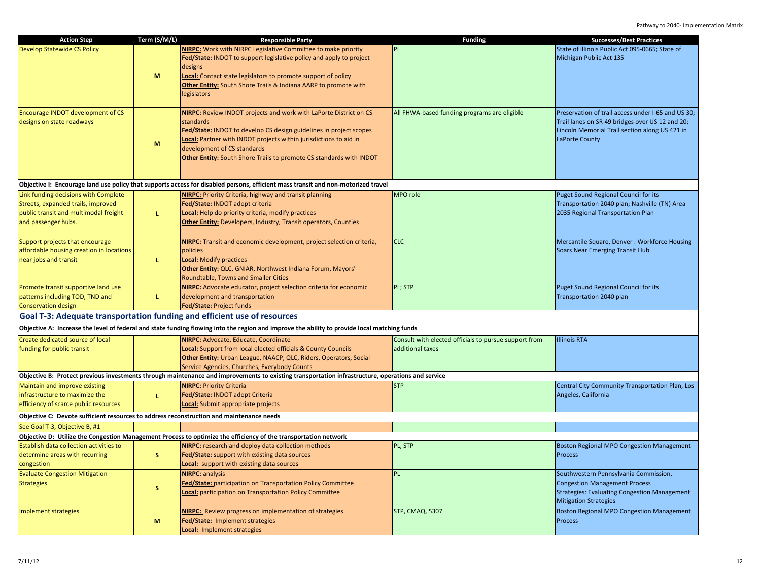| <b>Action Step</b>                                                                                                                         | Term (S/M/L) | <b>Responsible Party</b>                                                                                                                                                                                                                                                                                                               | <b>Funding</b>                                                            | <b>Successes/Best Practices</b>                                                                                                                                           |
|--------------------------------------------------------------------------------------------------------------------------------------------|--------------|----------------------------------------------------------------------------------------------------------------------------------------------------------------------------------------------------------------------------------------------------------------------------------------------------------------------------------------|---------------------------------------------------------------------------|---------------------------------------------------------------------------------------------------------------------------------------------------------------------------|
| <b>Develop Statewide CS Policy</b>                                                                                                         | M            | NIRPC: Work with NIRPC Legislative Committee to make priority<br>Fed/State: INDOT to support legislative policy and apply to project<br>designs<br>Local: Contact state legislators to promote support of policy<br>Other Entity: South Shore Trails & Indiana AARP to promote with<br>egislators                                      | PL.                                                                       | State of Illinois Public Act 095-0665; State of<br>Michigan Public Act 135                                                                                                |
| <b>Encourage INDOT development of CS</b><br>designs on state roadways                                                                      | M            | <b>NIRPC:</b> Review INDOT projects and work with LaPorte District on CS<br>standards<br>Fed/State: INDOT to develop CS design guidelines in project scopes<br>Local: Partner with INDOT projects within jurisdictions to aid in<br>development of CS standards<br>Other Entity: South Shore Trails to promote CS standards with INDOT | All FHWA-based funding programs are eligible                              | Preservation of trail access under I-65 and US 30;<br>Trail lanes on SR 49 bridges over US 12 and 20;<br>Lincoln Memorial Trail section along US 421 in<br>LaPorte County |
|                                                                                                                                            |              | Objective I: Encourage land use policy that supports access for disabled persons, efficient mass transit and non-motorized travel                                                                                                                                                                                                      |                                                                           |                                                                                                                                                                           |
| Link funding decisions with Complete<br>Streets, expanded trails, improved<br>public transit and multimodal freight<br>and passenger hubs. | L.           | <b>NIRPC:</b> Priority Criteria, highway and transit planning<br>Fed/State: INDOT adopt criteria<br><b>Local:</b> Help do priority criteria, modify practices<br><b>Other Entity:</b> Developers, Industry, Transit operators, Counties                                                                                                | MPO role                                                                  | <b>Puget Sound Regional Council for its</b><br>Transportation 2040 plan; Nashville (TN) Area<br>2035 Regional Transportation Plan                                         |
| Support projects that encourage<br>affordable housing creation in locations<br>near jobs and transit                                       | L            | NIRPC: Transit and economic development, project selection criteria,<br>policies<br><b>Local:</b> Modify practices<br>Other Entity: QLC, GNIAR, Northwest Indiana Forum, Mayors'<br><b>Roundtable, Towns and Smaller Cities</b>                                                                                                        | <b>CLC</b>                                                                | Mercantile Square, Denver: Workforce Housing<br><b>Soars Near Emerging Transit Hub</b>                                                                                    |
| Promote transit supportive land use<br>patterns including TOD, TND and<br><b>Conservation design</b>                                       | L.           | <b>NIRPC:</b> Advocate educator, project selection criteria for economic<br>development and transportation<br>Fed/State: Project funds                                                                                                                                                                                                 | PL; STP                                                                   | Puget Sound Regional Council for its<br>Transportation 2040 plan                                                                                                          |
|                                                                                                                                            |              | Goal T-3: Adequate transportation funding and efficient use of resources<br>Objective A: Increase the level of federal and state funding flowing into the region and improve the ability to provide local matching funds                                                                                                               |                                                                           |                                                                                                                                                                           |
| Create dedicated source of local                                                                                                           |              |                                                                                                                                                                                                                                                                                                                                        |                                                                           | <b>Illinois RTA</b>                                                                                                                                                       |
| funding for public transit                                                                                                                 |              | NIRPC: Advocate, Educate, Coordinate<br><b>Local:</b> Support from local elected officials & County Councils<br>Other Entity: Urban League, NAACP, QLC, Riders, Operators, Social<br>Service Agencies, Churches, Everybody Counts                                                                                                      | Consult with elected officials to pursue support from<br>additional taxes |                                                                                                                                                                           |
|                                                                                                                                            |              | Objective B: Protect previous investments through maintenance and improvements to existing transportation infrastructure, operations and service                                                                                                                                                                                       |                                                                           |                                                                                                                                                                           |
| Maintain and improve existing<br>infrastructure to maximize the<br>efficiency of scarce public resources                                   | L.           | <b>NIRPC: Priority Criteria</b><br>Fed/State: INDOT adopt Criteria<br>Local: Submit appropriate projects                                                                                                                                                                                                                               | <b>STP</b>                                                                | Central City Community Transportation Plan, Los<br>Angeles, California                                                                                                    |
| Objective C: Devote sufficient resources to address reconstruction and maintenance needs                                                   |              |                                                                                                                                                                                                                                                                                                                                        |                                                                           |                                                                                                                                                                           |
| See Goal T-3, Objective B, #1                                                                                                              |              |                                                                                                                                                                                                                                                                                                                                        |                                                                           |                                                                                                                                                                           |
|                                                                                                                                            |              | Objective D: Utilize the Congestion Management Process to optimize the efficiency of the transportation network                                                                                                                                                                                                                        |                                                                           |                                                                                                                                                                           |
| Establish data collection activities to<br>determine areas with recurring<br>congestion                                                    | s.           | <b>NIRPC:</b> research and deploy data collection methods<br>Fed/State: support with existing data sources<br>Local: support with existing data sources                                                                                                                                                                                | PL, STP                                                                   | <b>Boston Regional MPO Congestion Management</b><br>Process                                                                                                               |
| <b>Evaluate Congestion Mitigation</b><br><b>Strategies</b>                                                                                 | s            | <b>NIRPC:</b> analysis<br>Fed/State: participation on Transportation Policy Committee<br>Local: participation on Transportation Policy Committee                                                                                                                                                                                       | <b>PL</b>                                                                 | Southwestern Pennsylvania Commission,<br><b>Congestion Management Process</b><br><b>Strategies: Evaluating Congestion Management</b><br><b>Mitigation Strategies</b>      |
| Implement strategies                                                                                                                       | M            | <b>NIRPC:</b> Review progress on implementation of strategies<br>Fed/State: Implement strategies<br>Local: Implement strategies                                                                                                                                                                                                        | <b>STP, CMAQ, 5307</b>                                                    | <b>Boston Regional MPO Congestion Management</b><br><b>Process</b>                                                                                                        |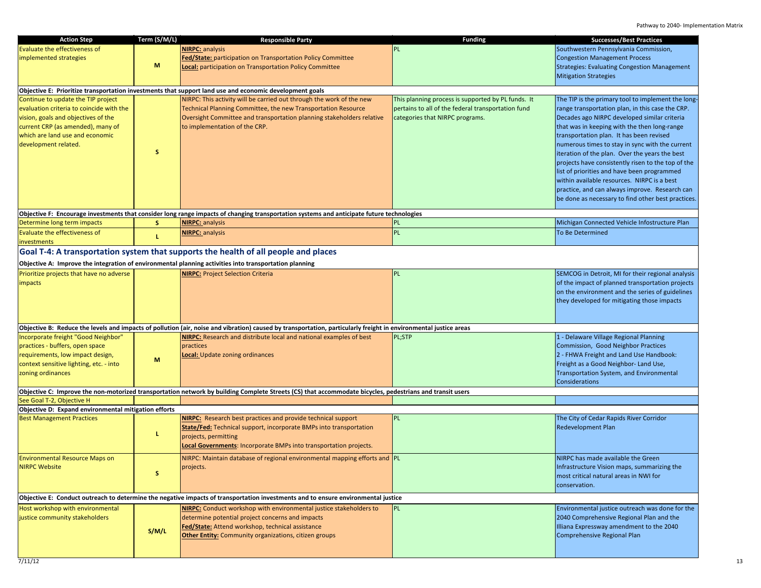| <b>Action Step</b>                                   | Term (S/M/L)                                                                        | <b>Responsible Party</b>                                                                                                                                         | <b>Funding</b>                                     | <b>Successes/Best Practices</b>                     |  |
|------------------------------------------------------|-------------------------------------------------------------------------------------|------------------------------------------------------------------------------------------------------------------------------------------------------------------|----------------------------------------------------|-----------------------------------------------------|--|
| <b>Evaluate the effectiveness of</b>                 |                                                                                     | <b>NIRPC: analysis</b>                                                                                                                                           | <b>PL</b>                                          | Southwestern Pennsylvania Commission,               |  |
| implemented strategies                               |                                                                                     | Fed/State: participation on Transportation Policy Committee                                                                                                      |                                                    | <b>Congestion Management Process</b>                |  |
|                                                      | M                                                                                   | Local: participation on Transportation Policy Committee                                                                                                          |                                                    | <b>Strategies: Evaluating Congestion Management</b> |  |
|                                                      |                                                                                     |                                                                                                                                                                  |                                                    | <b>Mitigation Strategies</b>                        |  |
|                                                      |                                                                                     |                                                                                                                                                                  |                                                    |                                                     |  |
|                                                      |                                                                                     | Objective E: Prioritize transportation investments that support land use and economic development goals                                                          |                                                    |                                                     |  |
| Continue to update the TIP project                   |                                                                                     | NIRPC: This activity will be carried out through the work of the new                                                                                             | This planning process is supported by PL funds. It | The TIP is the primary tool to implement the long   |  |
| evaluation criteria to coincide with the             |                                                                                     | Technical Planning Committee, the new Transportation Resource                                                                                                    | pertains to all of the federal transportation fund | range transportation plan, in this case the CRP.    |  |
| vision, goals and objectives of the                  |                                                                                     | Oversight Committee and transportation planning stakeholders relative                                                                                            | categories that NIRPC programs.                    | Decades ago NIRPC developed similar criteria        |  |
| current CRP (as amended), many of                    |                                                                                     | to implementation of the CRP.                                                                                                                                    |                                                    | that was in keeping with the then long-range        |  |
| which are land use and economic                      |                                                                                     |                                                                                                                                                                  |                                                    | transportation plan. It has been revised            |  |
| development related.                                 |                                                                                     |                                                                                                                                                                  |                                                    | numerous times to stay in sync with the current     |  |
|                                                      | S                                                                                   |                                                                                                                                                                  |                                                    | iteration of the plan. Over the years the best      |  |
|                                                      |                                                                                     |                                                                                                                                                                  |                                                    | projects have consistently risen to the top of the  |  |
|                                                      |                                                                                     |                                                                                                                                                                  |                                                    | list of priorities and have been programmed         |  |
|                                                      |                                                                                     |                                                                                                                                                                  |                                                    | within available resources. NIRPC is a best         |  |
|                                                      |                                                                                     |                                                                                                                                                                  |                                                    | practice, and can always improve. Research can      |  |
|                                                      |                                                                                     |                                                                                                                                                                  |                                                    | be done as necessary to find other best practices.  |  |
|                                                      |                                                                                     | Objective F: Encourage investments that consider long range impacts of changing transportation systems and anticipate future technologies                        |                                                    |                                                     |  |
| Determine long term impacts                          | S.                                                                                  | <b>NIRPC:</b> analysis                                                                                                                                           | PL                                                 | Michigan Connected Vehicle Infostructure Plan       |  |
| <b>Evaluate the effectiveness of</b>                 |                                                                                     | <b>NIRPC: analysis</b>                                                                                                                                           | PL                                                 | <b>To Be Determined</b>                             |  |
| <b>investments</b>                                   | L.                                                                                  |                                                                                                                                                                  |                                                    |                                                     |  |
|                                                      | Goal T-4: A transportation system that supports the health of all people and places |                                                                                                                                                                  |                                                    |                                                     |  |
|                                                      |                                                                                     | Objective A: Improve the integration of environmental planning activities into transportation planning                                                           |                                                    |                                                     |  |
|                                                      |                                                                                     |                                                                                                                                                                  | PL                                                 | SEMCOG in Detroit, MI for their regional analysis   |  |
| Prioritize projects that have no adverse             |                                                                                     | <b>NIRPC: Project Selection Criteria</b>                                                                                                                         |                                                    | of the impact of planned transportation projects    |  |
| <i>impacts</i>                                       |                                                                                     |                                                                                                                                                                  |                                                    | on the environment and the series of guidelines     |  |
|                                                      |                                                                                     |                                                                                                                                                                  |                                                    | they developed for mitigating those impacts         |  |
|                                                      |                                                                                     |                                                                                                                                                                  |                                                    |                                                     |  |
|                                                      |                                                                                     |                                                                                                                                                                  |                                                    |                                                     |  |
|                                                      |                                                                                     | Objective B: Reduce the levels and impacts of pollution (air, noise and vibration) caused by transportation, particularly freight in environmental justice areas |                                                    |                                                     |  |
| Incorporate freight "Good Neighbor"                  |                                                                                     | <b>NIRPC:</b> Research and distribute local and national examples of best                                                                                        | PL;STP                                             | 1 - Delaware Village Regional Planning              |  |
| practices - buffers, open space                      |                                                                                     | practices                                                                                                                                                        |                                                    | Commission, Good Neighbor Practices                 |  |
| requirements, low impact design,                     |                                                                                     | <b>Local:</b> Update zoning ordinances                                                                                                                           |                                                    | 2 - FHWA Freight and Land Use Handbook:             |  |
| context sensitive lighting, etc. - into              | M                                                                                   |                                                                                                                                                                  |                                                    | Freight as a Good Neighbor- Land Use,               |  |
| zoning ordinances                                    |                                                                                     |                                                                                                                                                                  |                                                    | Transportation System, and Environmental            |  |
|                                                      |                                                                                     |                                                                                                                                                                  |                                                    | Considerations                                      |  |
|                                                      |                                                                                     | Objective C: Improve the non-motorized transportation network by building Complete Streets (CS) that accommodate bicycles, pedestrians and transit users         |                                                    |                                                     |  |
| See Goal T-2, Objective H                            |                                                                                     |                                                                                                                                                                  |                                                    |                                                     |  |
| Objective D: Expand environmental mitigation efforts |                                                                                     |                                                                                                                                                                  |                                                    |                                                     |  |
| <b>Best Management Practices</b>                     |                                                                                     | <b>NIRPC:</b> Research best practices and provide technical support                                                                                              | PL                                                 | The City of Cedar Rapids River Corridor             |  |
|                                                      |                                                                                     | <b>State/Fed:</b> Technical support, incorporate BMPs into transportation                                                                                        |                                                    | <b>Redevelopment Plan</b>                           |  |
|                                                      | L.                                                                                  | projects, permitting                                                                                                                                             |                                                    |                                                     |  |
|                                                      |                                                                                     | Local Governments: Incorporate BMPs into transportation projects.                                                                                                |                                                    |                                                     |  |
| <b>Environmental Resource Maps on</b>                |                                                                                     | NIRPC: Maintain database of regional environmental mapping efforts and PL                                                                                        |                                                    | NIRPC has made available the Green                  |  |
| NIRPC Website                                        |                                                                                     | projects.                                                                                                                                                        |                                                    | Infrastructure Vision maps, summarizing the         |  |
|                                                      | S.                                                                                  |                                                                                                                                                                  |                                                    | most critical natural areas in NWI for              |  |
|                                                      |                                                                                     |                                                                                                                                                                  |                                                    | conservation.                                       |  |
|                                                      |                                                                                     |                                                                                                                                                                  |                                                    |                                                     |  |
|                                                      |                                                                                     | Objective E: Conduct outreach to determine the negative impacts of transportation investments and to ensure environmental justice                                |                                                    |                                                     |  |
| Host workshop with environmental                     |                                                                                     | <b>NIRPC:</b> Conduct workshop with environmental justice stakeholders to                                                                                        | PL                                                 | Environmental justice outreach was done for the     |  |
| justice community stakeholders                       |                                                                                     | determine potential project concerns and impacts                                                                                                                 |                                                    | 2040 Comprehensive Regional Plan and the            |  |
|                                                      | S/M/L                                                                               | Fed/State: Attend workshop, technical assistance                                                                                                                 |                                                    | Illiana Expressway amendment to the 2040            |  |
|                                                      |                                                                                     | <b>Other Entity:</b> Community organizations, citizen groups                                                                                                     |                                                    | Comprehensive Regional Plan                         |  |
|                                                      |                                                                                     |                                                                                                                                                                  |                                                    |                                                     |  |
|                                                      |                                                                                     |                                                                                                                                                                  |                                                    |                                                     |  |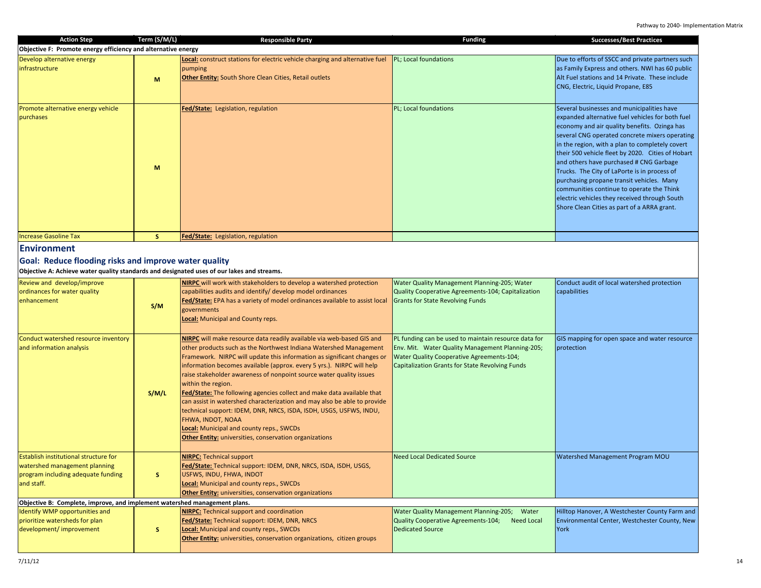| <b>Action Step</b>                                                                                                                                                                                      | Term (S/M/L) | <b>Responsible Party</b>                                                                                                                                                                                                                                                                                                                                                                                                                                                                                                                                                                                                                                                                                                                           | <b>Funding</b>                                                                                                                                                                                           | <b>Successes/Best Practices</b>                                                                                                                                                                                                                                                                                                                                                                                                                                                                                                                                                               |
|---------------------------------------------------------------------------------------------------------------------------------------------------------------------------------------------------------|--------------|----------------------------------------------------------------------------------------------------------------------------------------------------------------------------------------------------------------------------------------------------------------------------------------------------------------------------------------------------------------------------------------------------------------------------------------------------------------------------------------------------------------------------------------------------------------------------------------------------------------------------------------------------------------------------------------------------------------------------------------------------|----------------------------------------------------------------------------------------------------------------------------------------------------------------------------------------------------------|-----------------------------------------------------------------------------------------------------------------------------------------------------------------------------------------------------------------------------------------------------------------------------------------------------------------------------------------------------------------------------------------------------------------------------------------------------------------------------------------------------------------------------------------------------------------------------------------------|
| Objective F: Promote energy efficiency and alternative energy                                                                                                                                           |              |                                                                                                                                                                                                                                                                                                                                                                                                                                                                                                                                                                                                                                                                                                                                                    |                                                                                                                                                                                                          |                                                                                                                                                                                                                                                                                                                                                                                                                                                                                                                                                                                               |
| Develop alternative energy<br>infrastructure                                                                                                                                                            | M            | Local: construct stations for electric vehicle charging and alternative fuel<br>pumping<br><b>Other Entity:</b> South Shore Clean Cities, Retail outlets                                                                                                                                                                                                                                                                                                                                                                                                                                                                                                                                                                                           | PL; Local foundations                                                                                                                                                                                    | Due to efforts of SSCC and private partners such<br>as Family Express and others. NWI has 60 public<br>Alt Fuel stations and 14 Private. These include<br>CNG, Electric, Liquid Propane, E85                                                                                                                                                                                                                                                                                                                                                                                                  |
| Promote alternative energy vehicle<br>purchases                                                                                                                                                         | M            | Fed/State: Legislation, regulation                                                                                                                                                                                                                                                                                                                                                                                                                                                                                                                                                                                                                                                                                                                 | PL; Local foundations                                                                                                                                                                                    | Several businesses and municipalities have<br>expanded alternative fuel vehicles for both fuel<br>economy and air quality benefits. Ozinga has<br>several CNG operated concrete mixers operating<br>in the region, with a plan to completely covert<br>their 500 vehicle fleet by 2020. Cities of Hobart<br>and others have purchased # CNG Garbage<br>Trucks. The City of LaPorte is in process of<br>purchasing propane transit vehicles. Many<br>communities continue to operate the Think<br>electric vehicles they received through South<br>Shore Clean Cities as part of a ARRA grant. |
| <b>Increase Gasoline Tax</b>                                                                                                                                                                            | S            | Fed/State: Legislation, regulation                                                                                                                                                                                                                                                                                                                                                                                                                                                                                                                                                                                                                                                                                                                 |                                                                                                                                                                                                          |                                                                                                                                                                                                                                                                                                                                                                                                                                                                                                                                                                                               |
| <b>Environment</b><br>Goal: Reduce flooding risks and improve water quality<br>Objective A: Achieve water quality standards and designated uses of our lakes and streams.<br>Review and develop/improve |              | <b>NIRPC</b> will work with stakeholders to develop a watershed protection                                                                                                                                                                                                                                                                                                                                                                                                                                                                                                                                                                                                                                                                         | Water Quality Management Planning-205; Water                                                                                                                                                             | Conduct audit of local watershed protection                                                                                                                                                                                                                                                                                                                                                                                                                                                                                                                                                   |
| ordinances for water quality<br>enhancement                                                                                                                                                             | S/M          | capabilities audits and identify/ develop model ordinances<br><b>Fed/State:</b> EPA has a variety of model ordinances available to assist local<br>governments<br><b>Local:</b> Municipal and County reps.                                                                                                                                                                                                                                                                                                                                                                                                                                                                                                                                         | Quality Cooperative Agreements-104; Capitalization<br><b>Grants for State Revolving Funds</b>                                                                                                            | capabilities                                                                                                                                                                                                                                                                                                                                                                                                                                                                                                                                                                                  |
| Conduct watershed resource inventory<br>and information analysis                                                                                                                                        | S/M/L        | NIRPC will make resource data readily available via web-based GIS and<br>other products such as the Northwest Indiana Watershed Management<br>Framework. NIRPC will update this information as significant changes or<br>information becomes available (approx. every 5 yrs.). NIRPC will help<br>raise stakeholder awareness of nonpoint source water quality issues<br>within the region.<br>Fed/State: The following agencies collect and make data available that<br>can assist in watershed characterization and may also be able to provide<br>technical support: IDEM, DNR, NRCS, ISDA, ISDH, USGS, USFWS, INDU,<br>FHWA, INDOT, NOAA<br>Local: Municipal and county reps., SWCDs<br>Other Entity: universities, conservation organizations | PL funding can be used to maintain resource data for<br>Env. Mit. Water Quality Management Planning-205;<br>Water Quality Cooperative Agreements-104;<br>Capitalization Grants for State Revolving Funds | GIS mapping for open space and water resource<br>protection                                                                                                                                                                                                                                                                                                                                                                                                                                                                                                                                   |
| <b>Establish institutional structure for</b><br>watershed management planning<br>program including adequate funding<br>and staff.                                                                       | S.           | <b>NIRPC: Technical support</b><br>Fed/State: Technical support: IDEM, DNR, NRCS, ISDA, ISDH, USGS,<br>USFWS, INDU, FHWA, INDOT<br>Local: Municipal and county reps., SWCDs<br><b>Other Entity:</b> universities, conservation organizations                                                                                                                                                                                                                                                                                                                                                                                                                                                                                                       | <b>Need Local Dedicated Source</b>                                                                                                                                                                       | Watershed Management Program MOU                                                                                                                                                                                                                                                                                                                                                                                                                                                                                                                                                              |
| Objective B: Complete, improve, and implement watershed management plans.                                                                                                                               |              |                                                                                                                                                                                                                                                                                                                                                                                                                                                                                                                                                                                                                                                                                                                                                    |                                                                                                                                                                                                          |                                                                                                                                                                                                                                                                                                                                                                                                                                                                                                                                                                                               |
| Identify WMP opportunities and<br>prioritize watersheds for plan<br>development/improvement                                                                                                             | $\mathsf{s}$ | <b>NIRPC:</b> Technical support and coordination<br>Fed/State: Technical support: IDEM, DNR, NRCS<br>Local: Municipal and county reps., SWCDs<br>Other Entity: universities, conservation organizations, citizen groups                                                                                                                                                                                                                                                                                                                                                                                                                                                                                                                            | Water Quality Management Planning-205; Water<br>Quality Cooperative Agreements-104;<br><b>Need Local</b><br><b>Dedicated Source</b>                                                                      | Hilltop Hanover, A Westchester County Farm and<br>Environmental Center, Westchester County, New<br>York                                                                                                                                                                                                                                                                                                                                                                                                                                                                                       |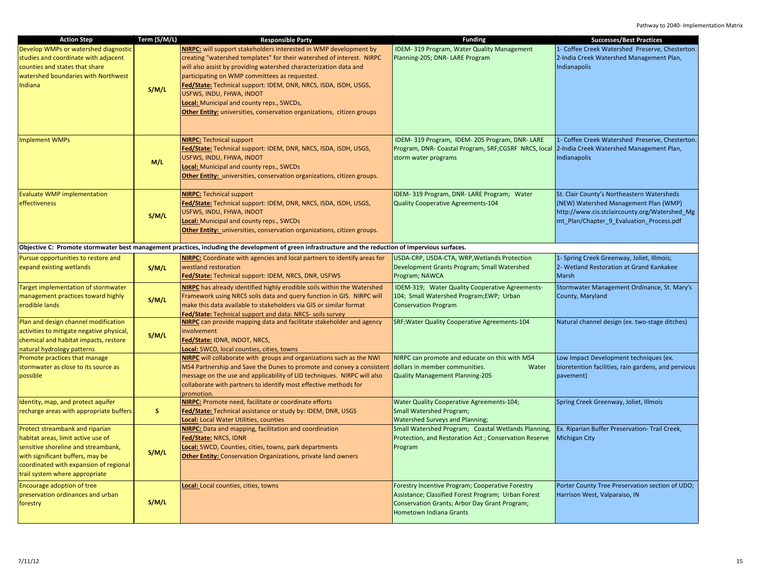| <b>Action Step</b>                        | Term (S/M/L) | <b>Responsible Party</b>                                                                                                                               | <b>Funding</b>                                                                                | <b>Successes/Best Practices</b>                     |
|-------------------------------------------|--------------|--------------------------------------------------------------------------------------------------------------------------------------------------------|-----------------------------------------------------------------------------------------------|-----------------------------------------------------|
| Develop WMPs or watershed diagnostic      |              | <b>NIRPC:</b> will support stakeholders interested in WMP development by                                                                               | IDEM-319 Program, Water Quality Management                                                    | 1- Coffee Creek Watershed Preserve, Chesterton.     |
| studies and coordinate with adjacent      |              | creating "watershed templates" for their watershed of interest. NIRPC                                                                                  | Planning-205; DNR-LARE Program                                                                | 2-India Creek Watershed Management Plan,            |
| counties and states that share            |              | will also assist by providing watershed characterization data and                                                                                      |                                                                                               | Indianapolis                                        |
| watershed boundaries with Northwest       |              | participating on WMP committees as requested.                                                                                                          |                                                                                               |                                                     |
| Indiana                                   |              | Fed/State: Technical support: IDEM, DNR, NRCS, ISDA, ISDH, USGS,                                                                                       |                                                                                               |                                                     |
|                                           | S/M/L        | USFWS, INDU, FHWA, INDOT                                                                                                                               |                                                                                               |                                                     |
|                                           |              | Local: Municipal and county reps., SWCDs,                                                                                                              |                                                                                               |                                                     |
|                                           |              | <b>Other Entity:</b> universities, conservation organizations, citizen groups                                                                          |                                                                                               |                                                     |
|                                           |              |                                                                                                                                                        |                                                                                               |                                                     |
|                                           |              |                                                                                                                                                        |                                                                                               |                                                     |
| <b>Implement WMPs</b>                     |              | <b>NIRPC: Technical support</b>                                                                                                                        | IDEM-319 Program, IDEM-205 Program, DNR-LARE                                                  | 1- Coffee Creek Watershed Preserve, Chesterton.     |
|                                           |              | Fed/State: Technical support: IDEM, DNR, NRCS, ISDA, ISDH, USGS,                                                                                       | Program, DNR- Coastal Program, SRF;CGSRF NRCS, local 2-India Creek Watershed Management Plan, |                                                     |
|                                           |              | USFWS, INDU, FHWA, INDOT                                                                                                                               | storm water programs                                                                          | Indianapolis                                        |
|                                           | M/L          | Local: Municipal and county reps., SWCDs                                                                                                               |                                                                                               |                                                     |
|                                           |              | Other Entity: universities, conservation organizations, citizen groups.                                                                                |                                                                                               |                                                     |
|                                           |              |                                                                                                                                                        |                                                                                               |                                                     |
| <b>Evaluate WMP implementation</b>        |              | <b>NIRPC:</b> Technical support                                                                                                                        | IDEM-319 Program, DNR-LARE Program; Water                                                     | St. Clair County's Northeastern Watersheds          |
| effectiveness                             |              | Fed/State: Technical support: IDEM, DNR, NRCS, ISDA, ISDH, USGS,                                                                                       | <b>Quality Cooperative Agreements-104</b>                                                     | (NEW) Watershed Management Plan (WMP)               |
|                                           |              | USFWS, INDU, FHWA, INDOT                                                                                                                               |                                                                                               | http://www.cis.stclaircounty.org/Watershed_Mg       |
|                                           | S/M/L        | Local: Municipal and county reps., SWCDs                                                                                                               |                                                                                               | mt_Plan/Chapter_9_Evaluation_Process.pdf            |
|                                           |              | <b>Other Entity:</b> universities, conservation organizations, citizen groups.                                                                         |                                                                                               |                                                     |
|                                           |              |                                                                                                                                                        |                                                                                               |                                                     |
|                                           |              | Objective C: Promote stormwater best management practices, including the development of green infrastructure and the reduction of impervious surfaces. |                                                                                               |                                                     |
| Pursue opportunities to restore and       |              | NIRPC: Coordinate with agencies and local partners to identify areas for                                                                               | USDA-CRP, USDA-CTA, WRP, Wetlands Protection                                                  | 1- Spring Creek Greenway, Joliet, Illmois;          |
| expand existing wetlands                  | S/M/L        | westland restoration                                                                                                                                   | Development Grants Program; Small Watershed                                                   | 2- Wetland Restoration at Grand Kankakee            |
|                                           |              | Fed/State: Technical support: IDEM, NRCS, DNR, USFWS                                                                                                   | Program; NAWCA                                                                                | <b>Marsh</b>                                        |
| Target implementation of stormwater       |              | NIRPC has already identified highly erodible soils within the Watershed                                                                                | IDEM-319; Water Quality Cooperative Agreements-                                               | Stormwater Management Ordinance, St. Mary's         |
| management practices toward highly        | S/M/L        | Framework using NRCS soils data and query function in GIS. NIRPC will                                                                                  | 104; Small Watershed Program;EWP; Urban                                                       | County, Maryland                                    |
| erodible lands                            |              | make this data available to stakeholders via GIS or similar format                                                                                     | <b>Conservation Program</b>                                                                   |                                                     |
|                                           |              | Fed/State: Technical support and data: NRCS- soils survey                                                                                              |                                                                                               |                                                     |
| Plan and design channel modification      |              | <b>NIRPC</b> can provide mapping data and facilitate stakeholder and agency                                                                            | SRF; Water Quality Cooperative Agreements-104                                                 | Natural channel design (ex. two-stage ditches)      |
| activities to mitigate negative physical, | S/M/L        | involvement                                                                                                                                            |                                                                                               |                                                     |
| chemical and habitat impacts, restore     |              | Fed/State: IDNR, INDOT, NRCS,                                                                                                                          |                                                                                               |                                                     |
| natural hydrology patterns                |              | Local: SWCD, local counties, cities, towns                                                                                                             |                                                                                               |                                                     |
| Promote practices that manage             |              | <b>NIRPC</b> will collaborate with groups and organizations such as the NWI                                                                            | NIRPC can promote and educate on this with MS4                                                | Low Impact Development techniques (ex.              |
| stormwater as close to its source as      |              | MS4 Partnership and Save the Dunes to promote and convey a consistent                                                                                  | dollars in member communities.<br>Water                                                       | bioretention facilities, rain gardens, and pervious |
| possible                                  |              | message on the use and applicability of LID techniques. NIRPC will also                                                                                | <b>Quality Management Planning-205</b>                                                        | pavement)                                           |
|                                           |              | collaborate with partners to identify most effective methods for                                                                                       |                                                                                               |                                                     |
|                                           |              | promotion.                                                                                                                                             |                                                                                               |                                                     |
| Identity, map, and protect aquifer        |              | NIRPC: Promote need, facilitate or coordinate efforts                                                                                                  | <b>Water Quality Cooperative Agreements-104;</b>                                              | Spring Creek Greenway, Joliet, Illmois              |
| recharge areas with appropriate buffers   | s.           | Fed/State: Technical assistance or study by: IDEM, DNR, USGS                                                                                           | <b>Small Watershed Program;</b>                                                               |                                                     |
|                                           |              | Local: Local Water Utilities, counties                                                                                                                 | <b>Watershed Surveys and Planning;</b>                                                        |                                                     |
| Protect streambank and riparian           |              | <b>NIRPC:</b> Data and mapping, facilitation and coordination                                                                                          | Small Watershed Program; Coastal Wetlands Planning,                                           | Ex. Riparian Buffer Preservation- Trail Creek,      |
| habitat areas, limit active use of        |              | Fed/State: NRCS, IDNR                                                                                                                                  | Protection, and Restoration Act ; Conservation Reserve                                        | <b>Michigan City</b>                                |
| sensitive shoreline and streambank,       | S/M/L        | Local: SWCD, Counties, cities, towns, park departments                                                                                                 | Program                                                                                       |                                                     |
| with significant buffers, may be          |              | <b>Other Entity:</b> Conservation Organizations, private land owners                                                                                   |                                                                                               |                                                     |
| coordinated with expansion of regional    |              |                                                                                                                                                        |                                                                                               |                                                     |
| trail system where appropriate            |              |                                                                                                                                                        |                                                                                               |                                                     |
| Encourage adoption of tree                |              | Local: Local counties, cities, towns                                                                                                                   | Forestry Incentive Program; Cooperative Forestry                                              | Porter County Tree Preservation section of UDO;     |
| preservation ordinances and urban         |              |                                                                                                                                                        | Assistance; Classified Forest Program; Urban Forest                                           | Harrison West, Valparaiso, IN                       |
| forestry                                  | S/M/L        |                                                                                                                                                        | Conservation Grants; Arbor Day Grant Program;                                                 |                                                     |
|                                           |              |                                                                                                                                                        | Hometown Indiana Grants                                                                       |                                                     |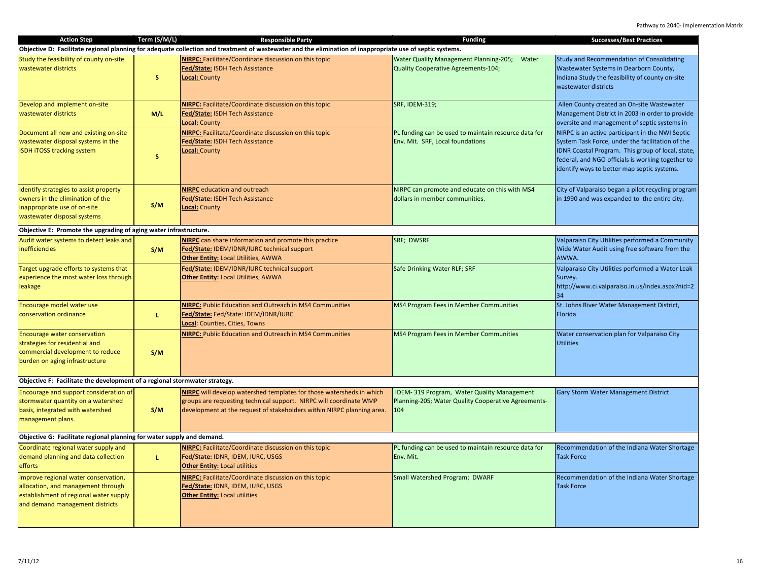| <b>Action Step</b>                                                                                                                                      | Term (S/M/L) | <b>Responsible Party</b>                                                                                                                                                                                             | <b>Funding</b>                                                                                           | <b>Successes/Best Practices</b>                                                                                                                                                                                                                               |
|---------------------------------------------------------------------------------------------------------------------------------------------------------|--------------|----------------------------------------------------------------------------------------------------------------------------------------------------------------------------------------------------------------------|----------------------------------------------------------------------------------------------------------|---------------------------------------------------------------------------------------------------------------------------------------------------------------------------------------------------------------------------------------------------------------|
|                                                                                                                                                         |              | Objective D: Facilitate regional planning for adequate collection and treatment of wastewater and the elimination of inappropriate use of septic systems.                                                            |                                                                                                          |                                                                                                                                                                                                                                                               |
| Study the feasibility of county on-site<br>wastewater districts                                                                                         | S.           | <b>NIRPC:</b> Facilitate/Coordinate discussion on this topic<br>Fed/State: ISDH Tech Assistance<br>Local: County                                                                                                     | <b>Water Quality Management Planning-205;</b><br>Water<br>Quality Cooperative Agreements-104;            | Study and Recommendation of Consolidating<br>Wastewater Systems in Dearborn County,<br>Indiana Study the feasibility of county on-site<br>wastewater districts                                                                                                |
| Develop and implement on-site<br>wastewater districts                                                                                                   | M/L          | NIRPC: Facilitate/Coordinate discussion on this topic<br>Fed/State: ISDH Tech Assistance<br>Local: County                                                                                                            | <b>SRF, IDEM-319;</b>                                                                                    | Allen County created an On-site Wastewater<br>Management District in 2003 in order to provide<br>oversite and management of septic systems in                                                                                                                 |
| Document all new and existing on-site<br>wastewater disposal systems in the<br><b>ISDH iTOSS tracking system</b>                                        | $\mathsf{s}$ | NIRPC: Facilitate/Coordinate discussion on this topic<br>Fed/State: ISDH Tech Assistance<br>Local: County                                                                                                            | PL funding can be used to maintain resource data for<br>Env. Mit. SRF, Local foundations                 | NIRPC is an active participant in the NWI Septic<br>System Task Force, under the facilitation of the<br>IDNR Coastal Program. This group of local, state,<br>federal, and NGO officials is working together to<br>identify ways to better map septic systems. |
| Identify strategies to assist property<br>owners in the elimination of the<br>inappropriate use of on-site<br>wastewater disposal systems               | S/M          | <b>NIRPC</b> education and outreach<br>Fed/State: ISDH Tech Assistance<br>Local: County                                                                                                                              | NIRPC can promote and educate on this with MS4<br>dollars in member communities.                         | City of Valparaiso began a pilot recycling program<br>in 1990 and was expanded to the entire city.                                                                                                                                                            |
| Objective E: Promote the upgrading of aging water infrastructure.                                                                                       |              |                                                                                                                                                                                                                      |                                                                                                          |                                                                                                                                                                                                                                                               |
| Audit water systems to detect leaks and<br><i>inefficiencies</i>                                                                                        | S/M          | <b>NIRPC</b> can share information and promote this practice<br>Fed/State: IDEM/IDNR/IURC technical support<br><b>Other Entity: Local Utilities, AWWA</b>                                                            | SRF; DWSRF                                                                                               | Valparaiso City Utilities performed a Community<br>Wide Water Audit using free software from the<br>AWWA.                                                                                                                                                     |
| Target upgrade efforts to systems that<br>experience the most water loss through<br>leakage                                                             |              | Fed/State: IDEM/IDNR/IURC technical support<br><b>Other Entity: Local Utilities, AWWA</b>                                                                                                                            | Safe Drinking Water RLF; SRF                                                                             | Valparaiso City Utilities performed a Water Leak<br>Survey.<br>http://www.ci.valparaiso.in.us/index.aspx?nid=2<br>34                                                                                                                                          |
| Encourage model water use<br>conservation ordinance                                                                                                     | L.           | <b>NIRPC:</b> Public Education and Outreach in MS4 Communities<br>Fed/State: Fed/State: IDEM/IDNR/IURC<br>Local: Counties, Cities, Towns                                                                             | MS4 Program Fees in Member Communities                                                                   | St. Johns River Water Management District,<br>Florida                                                                                                                                                                                                         |
| <b>Encourage water conservation</b><br>strategies for residential and<br>commercial development to reduce<br>burden on aging infrastructure             | S/M          | <b>NIRPC:</b> Public Education and Outreach in MS4 Communities                                                                                                                                                       | MS4 Program Fees in Member Communities                                                                   | Water conservation plan for Valparaiso City<br><b>Utilities</b>                                                                                                                                                                                               |
| Objective F: Facilitate the development of a regional stormwater strategy.                                                                              |              |                                                                                                                                                                                                                      |                                                                                                          |                                                                                                                                                                                                                                                               |
| Encourage and support consideration of<br>stormwater quantity on a watershed<br>basis, integrated with watershed<br>management plans.                   | S/M          | NIRPC will develop watershed templates for those watersheds in which<br>groups are requesting technical support. NIRPC will coordinate WMP<br>development at the request of stakeholders within NIRPC planning area. | IDEM-319 Program, Water Quality Management<br>Planning-205; Water Quality Cooperative Agreements-<br>104 | <b>Gary Storm Water Management District</b>                                                                                                                                                                                                                   |
| Objective G: Facilitate regional planning for water supply and demand.                                                                                  |              |                                                                                                                                                                                                                      |                                                                                                          |                                                                                                                                                                                                                                                               |
| Coordinate regional water supply and<br>demand planning and data collection<br>efforts                                                                  | L.           | NIRPC: Facilitate/Coordinate discussion on this topic<br>Fed/State: IDNR, IDEM, IURC, USGS<br><b>Other Entity: Local utilities</b>                                                                                   | PL funding can be used to maintain resource data for<br>Env. Mit.                                        | Recommendation of the Indiana Water Shortage<br><b>Task Force</b>                                                                                                                                                                                             |
| Improve regional water conservation,<br>allocation, and management through<br>establishment of regional water supply<br>and demand management districts |              | NIRPC: Facilitate/Coordinate discussion on this topic<br>ed/State: IDNR, IDEM, IURC, USGS<br><b>Other Entity: Local utilities</b>                                                                                    | Small Watershed Program; DWARF                                                                           | Recommendation of the Indiana Water Shortage<br><b>Task Force</b>                                                                                                                                                                                             |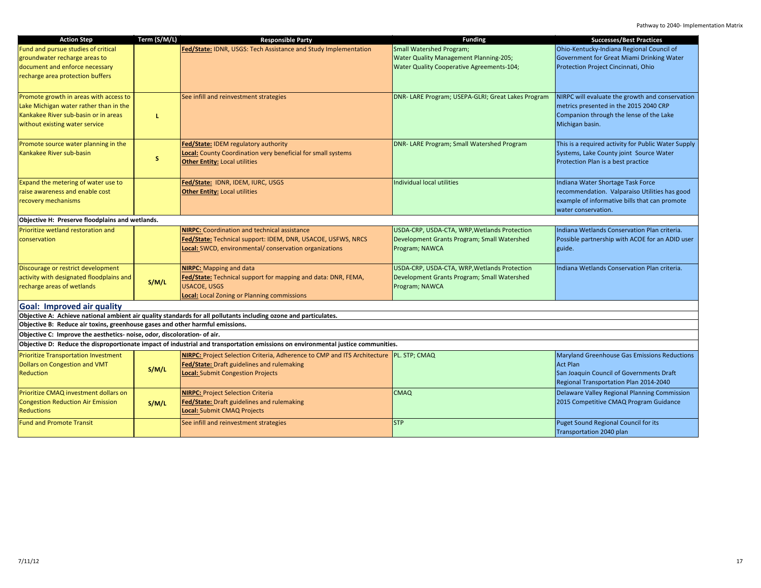| <b>Action Step</b>                                                            | Term (S/M/L) | <b>Responsible Party</b>                                                                                                         | <b>Funding</b>                                     | <b>Successes/Best Practices</b>                     |
|-------------------------------------------------------------------------------|--------------|----------------------------------------------------------------------------------------------------------------------------------|----------------------------------------------------|-----------------------------------------------------|
| Fund and pursue studies of critical                                           |              | Fed/State: IDNR, USGS: Tech Assistance and Study Implementation                                                                  | Small Watershed Program;                           | Ohio-Kentucky-Indiana Regional Council of           |
| groundwater recharge areas to                                                 |              |                                                                                                                                  | Water Quality Management Planning-205;             | Government for Great Miami Drinking Water           |
| document and enforce necessary                                                |              |                                                                                                                                  | <b>Water Quality Cooperative Agreements-104;</b>   | Protection Project Cincinnati, Ohio                 |
| recharge area protection buffers                                              |              |                                                                                                                                  |                                                    |                                                     |
|                                                                               |              |                                                                                                                                  |                                                    |                                                     |
| Promote growth in areas with access to                                        |              | See infill and reinvestment strategies                                                                                           | DNR- LARE Program; USEPA-GLRI; Great Lakes Program | NIRPC will evaluate the growth and conservation     |
| Lake Michigan water rather than in the                                        |              |                                                                                                                                  |                                                    | metrics presented in the 2015 2040 CRP              |
| Kankakee River sub-basin or in areas                                          | L.           |                                                                                                                                  |                                                    | Companion through the lense of the Lake             |
| without existing water service                                                |              |                                                                                                                                  |                                                    | Michigan basin.                                     |
|                                                                               |              |                                                                                                                                  |                                                    |                                                     |
| Promote source water planning in the                                          |              | Fed/State: IDEM regulatory authority                                                                                             | DNR- LARE Program; Small Watershed Program         | This is a required activity for Public Water Supply |
| Kankakee River sub-basin                                                      |              | Local: County Coordination very beneficial for small systems                                                                     |                                                    | Systems, Lake County joint Source Water             |
|                                                                               | s.           | <b>Other Entity: Local utilities</b>                                                                                             |                                                    | Protection Plan is a best practice                  |
|                                                                               |              |                                                                                                                                  |                                                    |                                                     |
| Expand the metering of water use to                                           |              | Fed/State: IDNR, IDEM, IURC, USGS                                                                                                | Individual local utilities                         | Indiana Water Shortage Task Force                   |
| raise awareness and enable cost                                               |              | <b>Other Entity: Local utilities</b>                                                                                             |                                                    | recommendation. Valparaiso Utilities has good       |
| recovery mechanisms                                                           |              |                                                                                                                                  |                                                    | example of informative bills that can promote       |
|                                                                               |              |                                                                                                                                  |                                                    | water conservation.                                 |
| Objective H: Preserve floodplains and wetlands.                               |              |                                                                                                                                  |                                                    |                                                     |
| Prioritize wetland restoration and                                            |              | <b>NIRPC:</b> Coordination and technical assistance                                                                              | USDA-CRP, USDA-CTA, WRP, Wetlands Protection       | Indiana Wetlands Conservation Plan criteria.        |
| conservation                                                                  |              | Fed/State: Technical support: IDEM, DNR, USACOE, USFWS, NRCS                                                                     | Development Grants Program; Small Watershed        | Possible partnership with ACOE for an ADID user     |
|                                                                               |              | Local: SWCD, environmental/ conservation organizations                                                                           | Program; NAWCA                                     | guide.                                              |
|                                                                               |              |                                                                                                                                  |                                                    |                                                     |
| Discourage or restrict development                                            |              | <b>NIRPC:</b> Mapping and data                                                                                                   | USDA-CRP, USDA-CTA, WRP, Wetlands Protection       | Indiana Wetlands Conservation Plan criteria.        |
| activity with designated floodplains and                                      | S/M/L        | Fed/State: Technical support for mapping and data: DNR, FEMA,                                                                    | Development Grants Program; Small Watershed        |                                                     |
| recharge areas of wetlands                                                    |              | <b>USACOE, USGS</b>                                                                                                              | Program; NAWCA                                     |                                                     |
|                                                                               |              | Local: Local Zoning or Planning commissions                                                                                      |                                                    |                                                     |
| <b>Goal: Improved air quality</b>                                             |              |                                                                                                                                  |                                                    |                                                     |
|                                                                               |              | Objective A: Achieve national ambient air quality standards for all pollutants including ozone and particulates.                 |                                                    |                                                     |
| Objective B: Reduce air toxins, greenhouse gases and other harmful emissions. |              |                                                                                                                                  |                                                    |                                                     |
| Objective C: Improve the aesthetics- noise, odor, discoloration- of air.      |              |                                                                                                                                  |                                                    |                                                     |
|                                                                               |              | Objective D: Reduce the disproportionate impact of industrial and transportation emissions on environmental justice communities. |                                                    |                                                     |
| <b>Prioritize Transportation Investment</b>                                   |              | NIRPC: Project Selection Criteria, Adherence to CMP and ITS Architecture PL. STP; CMAQ                                           |                                                    | <b>Maryland Greenhouse Gas Emissions Reductions</b> |
| <b>Dollars on Congestion and VMT</b>                                          | S/M/L        | Fed/State: Draft guidelines and rulemaking                                                                                       |                                                    | <b>Act Plan</b>                                     |
| <b>Reduction</b>                                                              |              | Local: Submit Congestion Projects                                                                                                |                                                    | San Joaquin Council of Governments Draft            |
|                                                                               |              |                                                                                                                                  |                                                    | Regional Transportation Plan 2014-2040              |
| Prioritize CMAQ investment dollars on                                         |              | <b>NIRPC: Project Selection Criteria</b>                                                                                         | <b>CMAQ</b>                                        | Delaware Valley Regional Planning Commission        |
| <b>Congestion Reduction Air Emission</b>                                      | S/M/L        | Fed/State: Draft guidelines and rulemaking                                                                                       |                                                    | 2015 Competitive CMAQ Program Guidance              |
| <b>Reductions</b>                                                             |              | Local: Submit CMAQ Projects                                                                                                      |                                                    |                                                     |
| <b>Fund and Promote Transit</b>                                               |              | See infill and reinvestment strategies                                                                                           | <b>STP</b>                                         | Puget Sound Regional Council for its                |
|                                                                               |              |                                                                                                                                  |                                                    | Transportation 2040 plan                            |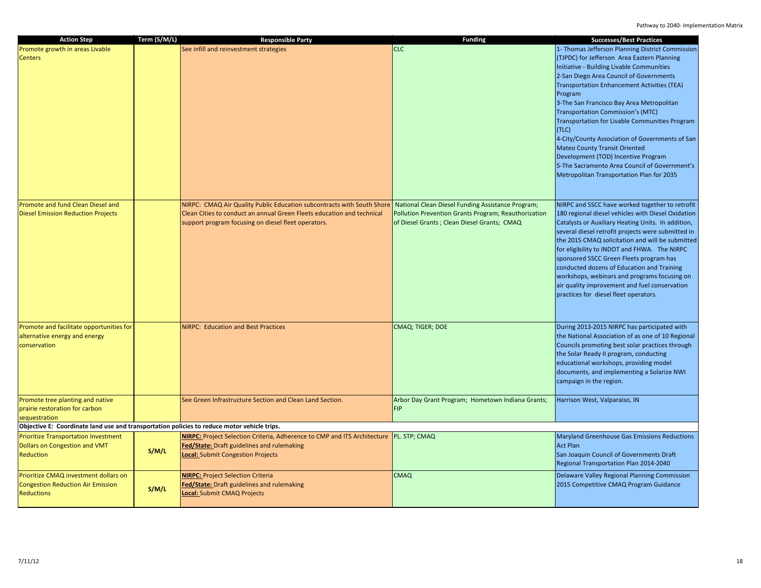| <b>Action Step</b>                                                                                     | Term (S/M/L) | <b>Responsible Party</b>                                                                                                                                                                                | <b>Funding</b>                                                                                                                                           | <b>Successes/Best Practices</b>                                                                                                                                                                                                                                                                                                                                                                                                                                                                                                                                                                                                |
|--------------------------------------------------------------------------------------------------------|--------------|---------------------------------------------------------------------------------------------------------------------------------------------------------------------------------------------------------|----------------------------------------------------------------------------------------------------------------------------------------------------------|--------------------------------------------------------------------------------------------------------------------------------------------------------------------------------------------------------------------------------------------------------------------------------------------------------------------------------------------------------------------------------------------------------------------------------------------------------------------------------------------------------------------------------------------------------------------------------------------------------------------------------|
| Promote growth in areas Livable<br><b>Centers</b>                                                      |              | See infill and reinvestment strategies                                                                                                                                                                  | <b>CLC</b>                                                                                                                                               | 1- Thomas Jefferson Planning District Commission<br>(TJPDC) for Jefferson Area Eastern Planning<br>Initiative - Building Livable Communities<br>2-San Diego Area Council of Governments<br>Transportation Enhancement Activities (TEA)<br>Program<br>3-The San Francisco Bay Area Metropolitan<br>Transportation Commission's (MTC)<br>Transportation for Livable Communities Program<br>(TLC)<br>4-City/County Association of Governments of San<br><b>Mateo County Transit Oriented</b><br>Development (TOD) Incentive Program<br>5-The Sacramento Area Council of Government's<br>Metropolitan Transportation Plan for 2035 |
| Promote and fund Clean Diesel and<br><b>Diesel Emission Reduction Projects</b>                         |              | NIRPC: CMAQ Air Quality Public Education subcontracts with South Shore<br>Clean Cities to conduct an annual Green Fleets education and technical<br>support program focusing on diesel fleet operators. | National Clean Diesel Funding Assistance Program;<br>Pollution Prevention Grants Program; Reauthorization<br>of Diesel Grants; Clean Diesel Grants; CMAQ | NIRPC and SSCC have worked together to retrofit<br>180 regional diesel vehicles with Diesel Oxidation<br>Catalysts or Auxiliary Heating Units. In addition,<br>several diesel retrofit projects were submitted in<br>the 2015 CMAQ solicitation and will be submitted<br>for eligibility to INDOT and FHWA. The NIRPC<br>sponsored SSCC Green Fleets program has<br>conducted dozens of Education and Training<br>workshops, webinars and programs focusing on<br>air quality improvement and fuel conservation<br>practices for diesel fleet operators.                                                                       |
| Promote and facilitate opportunities for<br>alternative energy and energy<br>conservation              |              | <b>NIRPC: Education and Best Practices</b>                                                                                                                                                              | CMAQ; TIGER; DOE                                                                                                                                         | During 2013-2015 NIRPC has participated with<br>the National Association of as one of 10 Regional<br>Councils promoting best solar practices through<br>the Solar Ready II program, conducting<br>educational workshops, providing model<br>documents, and implementing a Solarize NWI<br>campaign in the region.                                                                                                                                                                                                                                                                                                              |
| Promote tree planting and native<br>prairie restoration for carbon<br>sequestration                    |              | See Green Infrastructure Section and Clean Land Section.                                                                                                                                                | Arbor Day Grant Program; Hometown Indiana Grants;<br><b>FIP</b>                                                                                          | Harrison West, Valparaiso, IN                                                                                                                                                                                                                                                                                                                                                                                                                                                                                                                                                                                                  |
| Objective E: Coordinate land use and transportation policies to reduce motor vehicle trips.            |              |                                                                                                                                                                                                         |                                                                                                                                                          |                                                                                                                                                                                                                                                                                                                                                                                                                                                                                                                                                                                                                                |
| <b>Prioritize Transportation Investment</b><br>Dollars on Congestion and VMT<br>Reduction              | S/M/L        | NIRPC: Project Selection Criteria, Adherence to CMP and ITS Architecture  PL. STP; CMAQ<br><b>Fed/State:</b> Draft guidelines and rulemaking<br>Local: Submit Congestion Projects                       |                                                                                                                                                          | <b>Maryland Greenhouse Gas Emissions Reductions</b><br><b>Act Plan</b><br>San Joaquin Council of Governments Draft<br>Regional Transportation Plan 2014-2040                                                                                                                                                                                                                                                                                                                                                                                                                                                                   |
| Prioritize CMAQ investment dollars on<br><b>Congestion Reduction Air Emission</b><br><b>Reductions</b> | S/M/L        | <b>NIRPC: Project Selection Criteria</b><br>ed/State: Draft guidelines and rulemaking<br>ocal: Submit CMAQ Projects                                                                                     | <b>CMAQ</b>                                                                                                                                              | Delaware Valley Regional Planning Commission<br>2015 Competitive CMAQ Program Guidance                                                                                                                                                                                                                                                                                                                                                                                                                                                                                                                                         |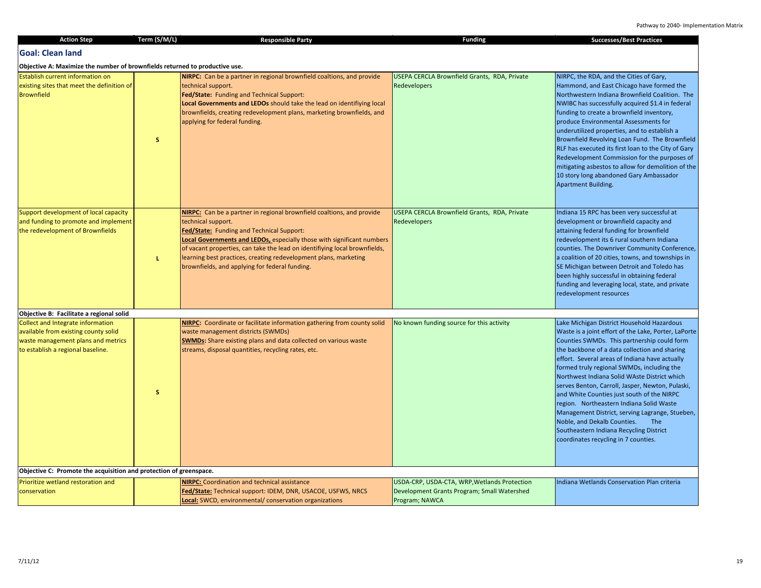| <b>Action Step</b>                                                                                                                                   | Term (S/M/L) | <b>Responsible Party</b>                                                                                                                                                                                                                                                                                                                                                                                               | <b>Funding</b>                                                                                                | <b>Successes/Best Practices</b>                                                                                                                                                                                                                                                                                                                                                                                                                                                                                                                                                                                                                                                     |
|------------------------------------------------------------------------------------------------------------------------------------------------------|--------------|------------------------------------------------------------------------------------------------------------------------------------------------------------------------------------------------------------------------------------------------------------------------------------------------------------------------------------------------------------------------------------------------------------------------|---------------------------------------------------------------------------------------------------------------|-------------------------------------------------------------------------------------------------------------------------------------------------------------------------------------------------------------------------------------------------------------------------------------------------------------------------------------------------------------------------------------------------------------------------------------------------------------------------------------------------------------------------------------------------------------------------------------------------------------------------------------------------------------------------------------|
| <b>Goal: Clean land</b>                                                                                                                              |              |                                                                                                                                                                                                                                                                                                                                                                                                                        |                                                                                                               |                                                                                                                                                                                                                                                                                                                                                                                                                                                                                                                                                                                                                                                                                     |
| Objective A: Maximize the number of brownfields returned to productive use.                                                                          |              |                                                                                                                                                                                                                                                                                                                                                                                                                        |                                                                                                               |                                                                                                                                                                                                                                                                                                                                                                                                                                                                                                                                                                                                                                                                                     |
| Establish current information on<br>existing sites that meet the definition of<br><b>Brownfield</b>                                                  | s.           | NIRPC: Can be a partner in regional brownfield coaltions, and provide<br>technical support.<br>Fed/State: Funding and Technical Support:<br>Local Governments and LEDOs should take the lead on identifiying local<br>brownfields, creating redevelopment plans, marketing brownfields, and<br>applying for federal funding.                                                                                           | USEPA CERCLA Brownfield Grants, RDA, Private<br><b>Redevelopers</b>                                           | NIRPC, the RDA, and the Cities of Gary,<br>Hammond, and East Chicago have formed the<br>Northwestern Indiana Brownfield Coalition. The<br>NWIBC has successfully acquired \$1.4 in federal<br>funding to create a brownfield inventory,<br>produce Environmental Assessments for<br>underutilized properties, and to establish a<br>Brownfield Revolving Loan Fund. The Brownfield<br>RLF has executed its first loan to the City of Gary<br>Redevelopment Commission for the purposes of<br>mitigating asbestos to allow for demolition of the<br>10 story long abandoned Gary Ambassador<br>Apartment Building.                                                                   |
| Support development of local capacity<br>and funding to promote and implement<br>the redevelopment of Brownfields                                    | L            | NIRPC: Can be a partner in regional brownfield coaltions, and provide<br>technical support.<br>Fed/State: Funding and Technical Support:<br>Local Governments and LEDOs, especially those with significant numbers<br>of vacant properties, can take the lead on identifiying local brownfields,<br>learning best practices, creating redevelopment plans, marketing<br>brownfields, and applying for federal funding. | USEPA CERCLA Brownfield Grants, RDA, Private<br>Redevelopers                                                  | Indiana 15 RPC has been very successful at<br>development or brownfield capacity and<br>attaining federal funding for brownfield<br>redevelopment its 6 rural southern Indiana<br>counties. The Downriver Community Conference,<br>a coalition of 20 cities, towns, and townships in<br>SE Michigan between Detroit and Toledo has<br>been highly successful in obtaining federal<br>funding and leveraging local, state, and private<br>redevelopment resources                                                                                                                                                                                                                    |
| Objective B: Facilitate a regional solid                                                                                                             |              |                                                                                                                                                                                                                                                                                                                                                                                                                        |                                                                                                               |                                                                                                                                                                                                                                                                                                                                                                                                                                                                                                                                                                                                                                                                                     |
| Collect and Integrate information<br>available from existing county solid<br>waste management plans and metrics<br>to establish a regional baseline. | s.           | <b>NIRPC:</b> Coordinate or facilitate information gathering from county solid<br>waste management districts (SWMDs)<br><b>SWMDs:</b> Share existing plans and data collected on various waste<br>streams, disposal quantities, recycling rates, etc.                                                                                                                                                                  | No known funding source for this activity                                                                     | Lake Michigan District Household Hazardous<br>Waste is a joint effort of the Lake, Porter, LaPorte<br>Counties SWMDs. This partnership could form<br>the backbone of a data collection and sharing<br>effort. Several areas of Indiana have actually<br>formed truly regional SWMDs, including the<br>Northwest Indiana Solid WAste District which<br>serves Benton, Carroll, Jasper, Newton, Pulaski,<br>and White Counties just south of the NIRPC<br>region. Northeastern Indiana Solid Waste<br>Management District, serving Lagrange, Stueben,<br>Noble, and Dekalb Counties.<br><b>The</b><br>Southeastern Indiana Recycling District<br>coordinates recycling in 7 counties. |
| Objective C: Promote the acquisition and protection of greenspace.                                                                                   |              |                                                                                                                                                                                                                                                                                                                                                                                                                        |                                                                                                               |                                                                                                                                                                                                                                                                                                                                                                                                                                                                                                                                                                                                                                                                                     |
| Prioritize wetland restoration and<br>conservation                                                                                                   |              | <b>NIRPC:</b> Coordination and technical assistance<br>Fed/State: Technical support: IDEM, DNR, USACOE, USFWS, NRCS<br>Local: SWCD, environmental/ conservation organizations                                                                                                                                                                                                                                          | USDA-CRP, USDA-CTA, WRP, Wetlands Protection<br>Development Grants Program; Small Watershed<br>Program; NAWCA | Indiana Wetlands Conservation Plan criteria                                                                                                                                                                                                                                                                                                                                                                                                                                                                                                                                                                                                                                         |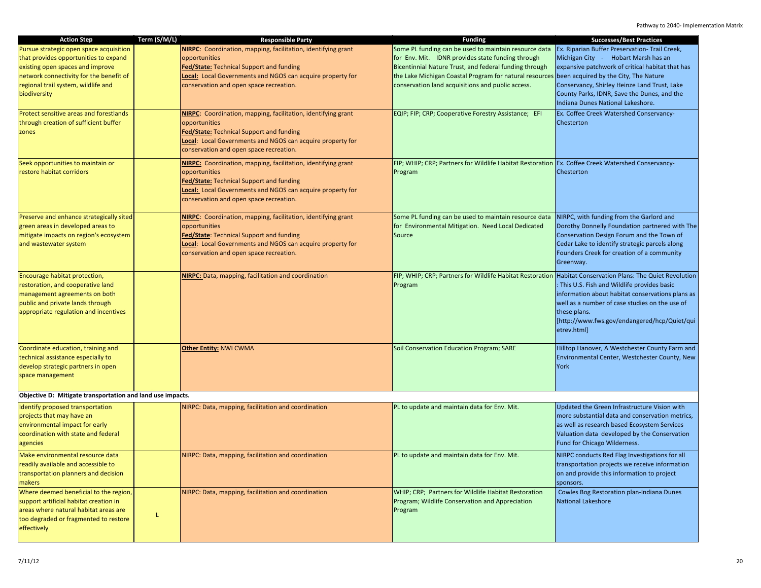| <b>Action Step</b>                                         | Term (S/M/L) | <b>Responsible Party</b>                                             | <b>Funding</b>                                                                                             | <b>Successes/Best Practices</b>                  |
|------------------------------------------------------------|--------------|----------------------------------------------------------------------|------------------------------------------------------------------------------------------------------------|--------------------------------------------------|
| Pursue strategic open space acquisition                    |              | NIRPC: Coordination, mapping, facilitation, identifying grant        | Some PL funding can be used to maintain resource data                                                      | Ex. Riparian Buffer Preservation- Trail Creek,   |
| that provides opportunities to expand                      |              | opportunities                                                        | for Env. Mit. IDNR provides state funding through                                                          | Michigan City - Hobart Marsh has an              |
| existing open spaces and improve                           |              | <b>Fed/State:</b> Technical Support and funding                      | Bicentinnial Nature Trust, and federal funding through                                                     | expansive patchwork of critical habitat that has |
| network connectivity for the benefit of                    |              | Local: Local Governments and NGOS can acquire property for           | the Lake Michigan Coastal Program for natural resources been acquired by the City, The Nature              |                                                  |
| regional trail system, wildlife and                        |              | conservation and open space recreation.                              | conservation land acquisitions and public access.                                                          | Conservancy, Shirley Heinze Land Trust, Lake     |
| biodiversity                                               |              |                                                                      |                                                                                                            | County Parks, IDNR, Save the Dunes, and the      |
|                                                            |              |                                                                      |                                                                                                            | Indiana Dunes National Lakeshore.                |
|                                                            |              |                                                                      |                                                                                                            |                                                  |
| Protect sensitive areas and forestlands                    |              | NIRPC: Coordination, mapping, facilitation, identifying grant        | EQIP; FIP; CRP; Cooperative Forestry Assistance; EFI                                                       | Ex. Coffee Creek Watershed Conservancy-          |
| through creation of sufficient buffer                      |              | opportunities                                                        |                                                                                                            | Chesterton                                       |
| zones                                                      |              | Fed/State: Technical Support and funding                             |                                                                                                            |                                                  |
|                                                            |              | <b>Local:</b> Local Governments and NGOS can acquire property for    |                                                                                                            |                                                  |
|                                                            |              | conservation and open space recreation.                              |                                                                                                            |                                                  |
| Seek opportunities to maintain or                          |              | <b>NIRPC:</b> Coordination, mapping, facilitation, identifying grant | FIP; WHIP; CRP; Partners for Wildlife Habitat Restoration Ex. Coffee Creek Watershed Conservancy-          |                                                  |
| restore habitat corridors                                  |              | opportunities                                                        | Program                                                                                                    | Chesterton                                       |
|                                                            |              | <b>Fed/State:</b> Technical Support and funding                      |                                                                                                            |                                                  |
|                                                            |              | Local: Local Governments and NGOS can acquire property for           |                                                                                                            |                                                  |
|                                                            |              | conservation and open space recreation.                              |                                                                                                            |                                                  |
|                                                            |              |                                                                      |                                                                                                            |                                                  |
| Preserve and enhance strategically sited                   |              | <b>NIRPC:</b> Coordination, mapping, facilitation, identifying grant | Some PL funding can be used to maintain resource data                                                      | NIRPC, with funding from the Garlord and         |
| green areas in developed areas to                          |              | opportunities                                                        | for Environmental Mitigation. Need Local Dedicated                                                         | Dorothy Donnelly Foundation partnered with The   |
| mitigate impacts on region's ecosystem                     |              | Fed/State: Technical Support and funding                             | Source                                                                                                     | Conservation Design Forum and the Town of        |
| and wastewater system                                      |              | <b>Local:</b> Local Governments and NGOS can acquire property for    |                                                                                                            | Cedar Lake to identify strategic parcels along   |
|                                                            |              | conservation and open space recreation.                              |                                                                                                            | Founders Creek for creation of a community       |
|                                                            |              |                                                                      |                                                                                                            | Greenway.                                        |
|                                                            |              |                                                                      |                                                                                                            |                                                  |
| Encourage habitat protection,                              |              | <b>NIRPC:</b> Data, mapping, facilitation and coordination           | FIP; WHIP; CRP; Partners for Wildlife Habitat Restoration Habitat Conservation Plans: The Quiet Revolution |                                                  |
| restoration, and cooperative land                          |              |                                                                      | Program                                                                                                    | : This U.S. Fish and Wildlife provides basic     |
| management agreements on both                              |              |                                                                      |                                                                                                            | information about habitat conservations plans as |
| public and private lands through                           |              |                                                                      |                                                                                                            | well as a number of case studies on the use of   |
| appropriate regulation and incentives                      |              |                                                                      |                                                                                                            | these plans.                                     |
|                                                            |              |                                                                      |                                                                                                            | [http://www.fws.gov/endangered/hcp/Quiet/qui     |
|                                                            |              |                                                                      |                                                                                                            | etrev.html]                                      |
| Coordinate education, training and                         |              | <b>Other Entity: NWI CWMA</b>                                        | Soil Conservation Education Program; SARE                                                                  | Hilltop Hanover, A Westchester County Farm and   |
| technical assistance especially to                         |              |                                                                      |                                                                                                            | Environmental Center, Westchester County, New    |
|                                                            |              |                                                                      |                                                                                                            | <b>York</b>                                      |
| develop strategic partners in open                         |              |                                                                      |                                                                                                            |                                                  |
| space management                                           |              |                                                                      |                                                                                                            |                                                  |
| Objective D: Mitigate transportation and land use impacts. |              |                                                                      |                                                                                                            |                                                  |
| Identify proposed transportation                           |              |                                                                      |                                                                                                            | Updated the Green Infrastructure Vision with     |
|                                                            |              | NIRPC: Data, mapping, facilitation and coordination                  | PL to update and maintain data for Env. Mit.                                                               | more substantial data and conservation metrics,  |
| projects that may have an                                  |              |                                                                      |                                                                                                            |                                                  |
| environmental impact for early                             |              |                                                                      |                                                                                                            | as well as research based Ecosystem Services     |
| coordination with state and federal                        |              |                                                                      |                                                                                                            | Valuation data developed by the Conservation     |
| agencies                                                   |              |                                                                      |                                                                                                            | Fund for Chicago Wilderness.                     |
| Make environmental resource data                           |              | NIRPC: Data, mapping, facilitation and coordination                  | PL to update and maintain data for Env. Mit.                                                               | NIRPC conducts Red Flag Investigations for all   |
| readily available and accessible to                        |              |                                                                      |                                                                                                            | transportation projects we receive information   |
| transportation planners and decision                       |              |                                                                      |                                                                                                            | on and provide this information to project       |
| makers                                                     |              |                                                                      |                                                                                                            | sponsors.                                        |
| Where deemed beneficial to the region,                     |              | NIRPC: Data, mapping, facilitation and coordination                  | WHIP; CRP; Partners for Wildlife Habitat Restoration                                                       | Cowles Bog Restoration plan-Indiana Dunes        |
| support artificial habitat creation in                     |              |                                                                      | Program; Wildlife Conservation and Appreciation                                                            | <b>National Lakeshore</b>                        |
| areas where natural habitat areas are                      |              |                                                                      | Program                                                                                                    |                                                  |
| too degraded or fragmented to restore                      | L            |                                                                      |                                                                                                            |                                                  |
| effectively                                                |              |                                                                      |                                                                                                            |                                                  |
|                                                            |              |                                                                      |                                                                                                            |                                                  |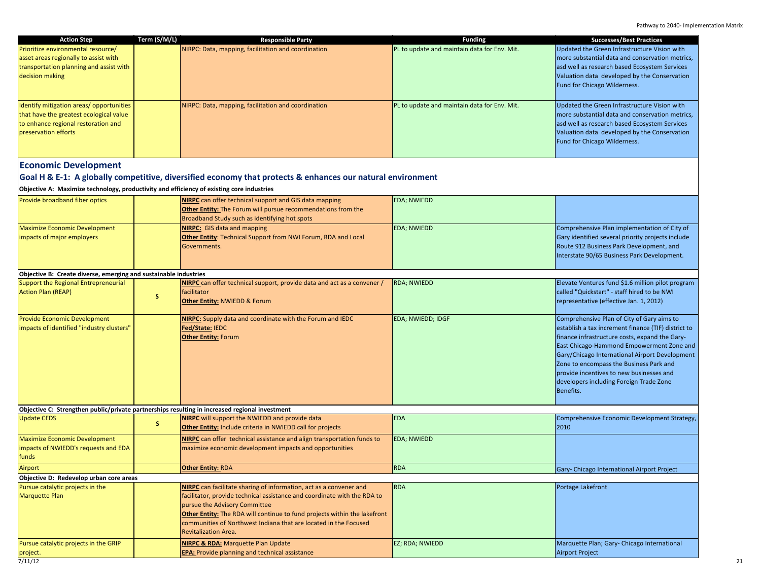| <b>Action Step</b><br>Prioritize environmental resource/<br>asset areas regionally to assist with<br>transportation planning and assist with<br>decision making | Term (S/M/L) | <b>Responsible Party</b><br>NIRPC: Data, mapping, facilitation and coordination                                                                                                                                                                                                                                                                          | <b>Funding</b><br>PL to update and maintain data for Env. Mit. | <b>Successes/Best Practices</b><br>Updated the Green Infrastructure Vision with<br>more substantial data and conservation metrics,<br>asd well as research based Ecosystem Services<br>Valuation data developed by the Conservation<br>Fund for Chicago Wilderness.                                                                                                                                      |  |
|-----------------------------------------------------------------------------------------------------------------------------------------------------------------|--------------|----------------------------------------------------------------------------------------------------------------------------------------------------------------------------------------------------------------------------------------------------------------------------------------------------------------------------------------------------------|----------------------------------------------------------------|----------------------------------------------------------------------------------------------------------------------------------------------------------------------------------------------------------------------------------------------------------------------------------------------------------------------------------------------------------------------------------------------------------|--|
| Identify mitigation areas/opportunities<br>that have the greatest ecological value<br>to enhance regional restoration and<br>preservation efforts               |              | NIRPC: Data, mapping, facilitation and coordination                                                                                                                                                                                                                                                                                                      | PL to update and maintain data for Env. Mit.                   | Updated the Green Infrastructure Vision with<br>more substantial data and conservation metrics,<br>asd well as research based Ecosystem Services<br>Valuation data developed by the Conservation<br>Fund for Chicago Wilderness.                                                                                                                                                                         |  |
| <b>Economic Development</b>                                                                                                                                     |              |                                                                                                                                                                                                                                                                                                                                                          |                                                                |                                                                                                                                                                                                                                                                                                                                                                                                          |  |
| Goal H & E-1: A globally competitive, diversified economy that protects & enhances our natural environment                                                      |              |                                                                                                                                                                                                                                                                                                                                                          |                                                                |                                                                                                                                                                                                                                                                                                                                                                                                          |  |
| Objective A: Maximize technology, productivity and efficiency of existing core industries                                                                       |              |                                                                                                                                                                                                                                                                                                                                                          |                                                                |                                                                                                                                                                                                                                                                                                                                                                                                          |  |
| Provide broadband fiber optics                                                                                                                                  |              | NIRPC can offer technical support and GIS data mapping<br>Other Entity: The Forum will pursue recommendations from the<br>Broadband Study such as identifying hot spots                                                                                                                                                                                  | <b>EDA; NWIEDD</b>                                             |                                                                                                                                                                                                                                                                                                                                                                                                          |  |
| <b>Maximize Economic Development</b><br>impacts of major employers                                                                                              |              | <b>NIRPC:</b> GIS data and mapping<br><b>Other Entity:</b> Technical Support from NWI Forum, RDA and Local<br>Governments.                                                                                                                                                                                                                               | <b>EDA</b> ; NWIEDD                                            | Comprehensive Plan implementation of City of<br>Gary identified several priority projects include<br>Route 912 Business Park Development, and<br>Interstate 90/65 Business Park Development.                                                                                                                                                                                                             |  |
| Objective B: Create diverse, emerging and sustainable industries                                                                                                |              |                                                                                                                                                                                                                                                                                                                                                          |                                                                |                                                                                                                                                                                                                                                                                                                                                                                                          |  |
| Support the Regional Entrepreneurial<br><b>Action Plan (REAP)</b>                                                                                               | s            | NIRPC can offer technical support, provide data and act as a convener /<br>facilitator<br>Other Entity: NWIEDD & Forum                                                                                                                                                                                                                                   | <b>RDA; NWIEDD</b>                                             | Elevate Ventures fund \$1.6 million pilot program<br>called "Quickstart" - staff hired to be NWI<br>representative (effective Jan. 1, 2012)                                                                                                                                                                                                                                                              |  |
| <b>Provide Economic Development</b><br>impacts of identified "industry clusters"                                                                                |              | <b>NIRPC:</b> Supply data and coordinate with the Forum and IEDC<br>Fed/State: IEDC<br><b>Other Entity: Forum</b>                                                                                                                                                                                                                                        | <b>EDA; NWIEDD; IDGF</b>                                       | Comprehensive Plan of City of Gary aims to<br>establish a tax increment finance (TIF) district to<br>finance infrastructure costs, expand the Gary-<br>East Chicago-Hammond Empowerment Zone and<br>Gary/Chicago International Airport Development<br>Zone to encompass the Business Park and<br>provide incentives to new businesses and<br>developers including Foreign Trade Zone<br><b>Benefits.</b> |  |
| Objective C: Strengthen public/private partnerships resulting in increased regional investment                                                                  |              |                                                                                                                                                                                                                                                                                                                                                          |                                                                |                                                                                                                                                                                                                                                                                                                                                                                                          |  |
| <b>Update CEDS</b>                                                                                                                                              | s            | NIRPC will support the NWIEDD and provide data<br>Other Entity: Include criteria in NWIEDD call for projects                                                                                                                                                                                                                                             | <b>EDA</b>                                                     | Comprehensive Economic Development Strategy,<br>2010                                                                                                                                                                                                                                                                                                                                                     |  |
| <b>Maximize Economic Development</b><br>impacts of NWIEDD's requests and EDA<br>funds                                                                           |              | NIRPC can offer technical assistance and align transportation funds to<br>maximize economic development impacts and opportunities                                                                                                                                                                                                                        | <b>EDA; NWIEDD</b>                                             |                                                                                                                                                                                                                                                                                                                                                                                                          |  |
| Airport                                                                                                                                                         |              | <b>Other Entity: RDA</b>                                                                                                                                                                                                                                                                                                                                 | <b>RDA</b>                                                     | Gary- Chicago International Airport Project                                                                                                                                                                                                                                                                                                                                                              |  |
| Objective D: Redevelop urban core areas                                                                                                                         |              |                                                                                                                                                                                                                                                                                                                                                          |                                                                |                                                                                                                                                                                                                                                                                                                                                                                                          |  |
| Pursue catalytic projects in the<br><b>Marquette Plan</b>                                                                                                       |              | NIRPC can facilitate sharing of information, act as a convener and<br>facilitator, provide technical assistance and coordinate with the RDA to<br>pursue the Advisory Committee<br>Other Entity: The RDA will continue to fund projects within the lakefront<br>communities of Northwest Indiana that are located in the Focused<br>Revitalization Area. | <b>RDA</b>                                                     | Portage Lakefront                                                                                                                                                                                                                                                                                                                                                                                        |  |
| Pursue catalytic projects in the GRIP                                                                                                                           |              | NIRPC & RDA: Marquette Plan Update                                                                                                                                                                                                                                                                                                                       | EZ; RDA; NWIEDD                                                | Marquette Plan; Gary- Chicago International                                                                                                                                                                                                                                                                                                                                                              |  |

**EPA:** Provide planning and technical assistance

Airport Project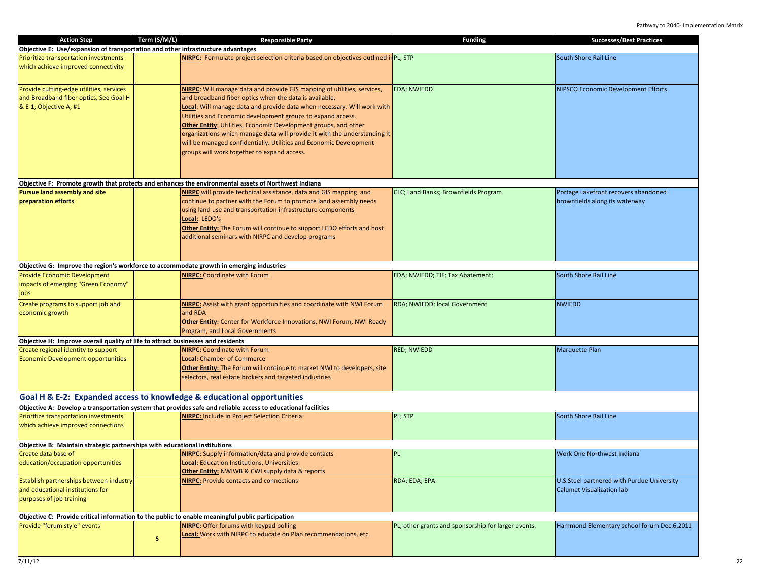| <b>Action Step</b>                                                                       | Term (S/M/L) | <b>Responsible Party</b>                                                                                      | <b>Funding</b>                                      | <b>Successes/Best Practices</b>            |
|------------------------------------------------------------------------------------------|--------------|---------------------------------------------------------------------------------------------------------------|-----------------------------------------------------|--------------------------------------------|
| Objective E: Use/expansion of transportation and other infrastructure advantages         |              |                                                                                                               |                                                     |                                            |
| Prioritize transportation investments                                                    |              | NIRPC: Formulate project selection criteria based on objectives outlined in PL; STP                           |                                                     | South Shore Rail Line                      |
| which achieve improved connectivity                                                      |              |                                                                                                               |                                                     |                                            |
|                                                                                          |              |                                                                                                               |                                                     |                                            |
| Provide cutting-edge utilities, services                                                 |              | <b>NIRPC:</b> Will manage data and provide GIS mapping of utilities, services,                                | <b>EDA; NWIEDD</b>                                  | <b>NIPSCO Economic Development Efforts</b> |
| and Broadband fiber optics, See Goal H                                                   |              | and broadband fiber optics when the data is available.                                                        |                                                     |                                            |
| & E-1, Objective A, #1                                                                   |              | Local: Will manage data and provide data when necessary. Will work with                                       |                                                     |                                            |
|                                                                                          |              | Utilities and Economic development groups to expand access.                                                   |                                                     |                                            |
|                                                                                          |              | Other Entity: Utilities, Economic Development groups, and other                                               |                                                     |                                            |
|                                                                                          |              | organizations which manage data will provide it with the understanding it                                     |                                                     |                                            |
|                                                                                          |              | will be managed confidentially. Utilities and Economic Development                                            |                                                     |                                            |
|                                                                                          |              | groups will work together to expand access.                                                                   |                                                     |                                            |
|                                                                                          |              |                                                                                                               |                                                     |                                            |
|                                                                                          |              |                                                                                                               |                                                     |                                            |
|                                                                                          |              | Objective F: Promote growth that protects and enhances the environmental assets of Northwest Indiana          |                                                     |                                            |
| <b>Pursue land assembly and site</b>                                                     |              | NIRPC will provide technical assistance, data and GIS mapping and                                             | CLC; Land Banks; Brownfields Program                | Portage Lakefront recovers abandoned       |
| preparation efforts                                                                      |              | continue to partner with the Forum to promote land assembly needs                                             |                                                     | brownfields along its waterway             |
|                                                                                          |              | using land use and transportation infrastructure components                                                   |                                                     |                                            |
|                                                                                          |              | Local: LEDO's                                                                                                 |                                                     |                                            |
|                                                                                          |              | Other Entity: The Forum will continue to support LEDO efforts and host                                        |                                                     |                                            |
|                                                                                          |              | additional seminars with NIRPC and develop programs                                                           |                                                     |                                            |
|                                                                                          |              |                                                                                                               |                                                     |                                            |
|                                                                                          |              |                                                                                                               |                                                     |                                            |
| Objective G: Improve the region's workforce to accommodate growth in emerging industries |              |                                                                                                               |                                                     |                                            |
| <b>Provide Economic Development</b>                                                      |              | <b>NIRPC:</b> Coordinate with Forum                                                                           | EDA; NWIEDD; TIF; Tax Abatement;                    | South Shore Rail Line                      |
| impacts of emerging "Green Economy"                                                      |              |                                                                                                               |                                                     |                                            |
| jobs                                                                                     |              |                                                                                                               |                                                     |                                            |
| Create programs to support job and                                                       |              | <b>NIRPC:</b> Assist with grant opportunities and coordinate with NWI Forum                                   | RDA; NWIEDD; local Government                       | <b>NWIEDD</b>                              |
| economic growth                                                                          |              | and RDA                                                                                                       |                                                     |                                            |
|                                                                                          |              | <b>Other Entity:</b> Center for Workforce Innovations, NWI Forum, NWI Ready                                   |                                                     |                                            |
|                                                                                          |              | <b>Program, and Local Governments</b>                                                                         |                                                     |                                            |
| Objective H: Improve overall quality of life to attract businesses and residents         |              |                                                                                                               |                                                     |                                            |
| Create regional identity to support                                                      |              | <b>NIRPC:</b> Coordinate with Forum                                                                           | <b>RED; NWIEDD</b>                                  | <b>Marquette Plan</b>                      |
| <b>Economic Development opportunities</b>                                                |              | Local: Chamber of Commerce                                                                                    |                                                     |                                            |
|                                                                                          |              | Other Entity: The Forum will continue to market NWI to developers, site                                       |                                                     |                                            |
|                                                                                          |              | selectors, real estate brokers and targeted industries                                                        |                                                     |                                            |
|                                                                                          |              |                                                                                                               |                                                     |                                            |
|                                                                                          |              | Goal H & E-2: Expanded access to knowledge & educational opportunities                                        |                                                     |                                            |
|                                                                                          |              | Objective A: Develop a transportation system that provides safe and reliable access to educational facilities |                                                     |                                            |
| Prioritize transportation investments                                                    |              | <b>NIRPC:</b> Include in Project Selection Criteria                                                           | PL; STP                                             | South Shore Rail Line                      |
| which achieve improved connections                                                       |              |                                                                                                               |                                                     |                                            |
|                                                                                          |              |                                                                                                               |                                                     |                                            |
| Objective B: Maintain strategic partnerships with educational institutions               |              |                                                                                                               |                                                     |                                            |
| Create data base of                                                                      |              | <b>NIRPC:</b> Supply information/data and provide contacts                                                    | <b>PL</b>                                           | Work One Northwest Indiana                 |
| education/occupation opportunities                                                       |              | <b>Local:</b> Education Institutions, Universities                                                            |                                                     |                                            |
|                                                                                          |              | <b>Other Entity: NWIWB &amp; CWI supply data &amp; reports</b>                                                |                                                     |                                            |
| Establish partnerships between industry                                                  |              | <b>NIRPC:</b> Provide contacts and connections                                                                | RDA; EDA; EPA                                       | U.S.Steel partnered with Purdue University |
| and educational institutions for                                                         |              |                                                                                                               |                                                     | <b>Calumet Visualization lab</b>           |
| purposes of job training                                                                 |              |                                                                                                               |                                                     |                                            |
|                                                                                          |              |                                                                                                               |                                                     |                                            |
|                                                                                          |              | Objective C: Provide critical information to the public to enable meaningful public participation             |                                                     |                                            |
| Provide "forum style" events                                                             |              | NIRPC: Offer forums with keypad polling                                                                       | PL, other grants and sponsorship for larger events. | Hammond Elementary school forum Dec.6,2011 |
|                                                                                          | s            | Local: Work with NIRPC to educate on Plan recommendations, etc.                                               |                                                     |                                            |
|                                                                                          |              |                                                                                                               |                                                     |                                            |
|                                                                                          |              |                                                                                                               |                                                     |                                            |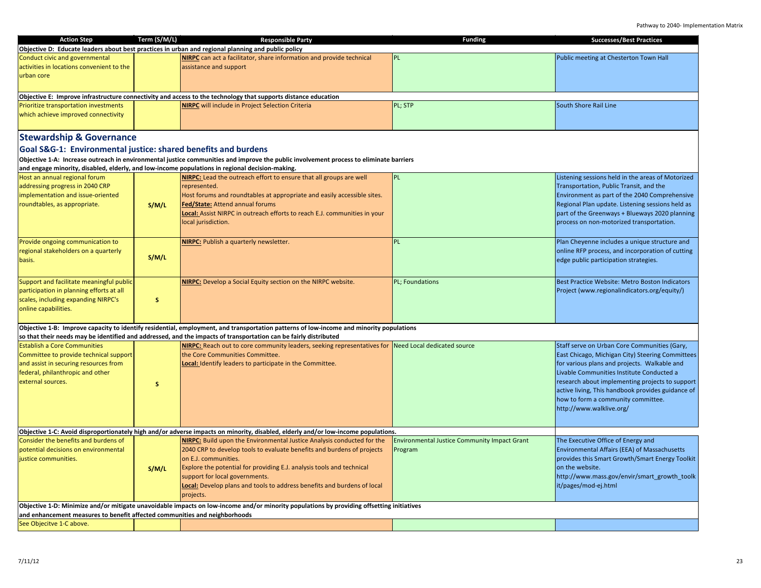| <b>Action Step</b>                                                         | Term (S/M/L) | <b>Responsible Party</b>                                                                                                                  | <b>Funding</b>                                      | <b>Successes/Best Practices</b>                   |
|----------------------------------------------------------------------------|--------------|-------------------------------------------------------------------------------------------------------------------------------------------|-----------------------------------------------------|---------------------------------------------------|
|                                                                            |              | Objective D: Educate leaders about best practices in urban and regional planning and public policy                                        |                                                     |                                                   |
| Conduct civic and governmental                                             |              | NIRPC can act a facilitator, share information and provide technical                                                                      | PL                                                  | Public meeting at Chesterton Town Hall            |
| activities in locations convenient to the                                  |              | assistance and support                                                                                                                    |                                                     |                                                   |
| urban core                                                                 |              |                                                                                                                                           |                                                     |                                                   |
|                                                                            |              |                                                                                                                                           |                                                     |                                                   |
|                                                                            |              | Objective E: Improve infrastructure connectivity and access to the technology that supports distance education                            |                                                     |                                                   |
| Prioritize transportation investments                                      |              | <b>NIRPC</b> will include in Project Selection Criteria                                                                                   | PL; STP                                             | South Shore Rail Line                             |
| which achieve improved connectivity                                        |              |                                                                                                                                           |                                                     |                                                   |
|                                                                            |              |                                                                                                                                           |                                                     |                                                   |
|                                                                            |              |                                                                                                                                           |                                                     |                                                   |
| <b>Stewardship &amp; Governance</b>                                        |              |                                                                                                                                           |                                                     |                                                   |
| Goal S&G-1: Environmental justice: shared benefits and burdens             |              |                                                                                                                                           |                                                     |                                                   |
|                                                                            |              | Objective 1-A: Increase outreach in environmental justice communities and improve the public involvement process to eliminate barriers    |                                                     |                                                   |
|                                                                            |              | and engage minority, disabled, elderly, and low-income populations in regional decision-making.                                           |                                                     |                                                   |
| Host an annual regional forum                                              |              | <b>NIRPC:</b> Lead the outreach effort to ensure that all groups are well                                                                 | PL                                                  | Listening sessions held in the areas of Motorized |
| addressing progress in 2040 CRP                                            |              | represented.                                                                                                                              |                                                     | Transportation, Public Transit, and the           |
| implementation and issue-oriented                                          |              | Host forums and roundtables at appropriate and easily accessible sites.                                                                   |                                                     | Environment as part of the 2040 Comprehensive     |
| roundtables, as appropriate.                                               | S/M/L        | <b>Fed/State:</b> Attend annual forums                                                                                                    |                                                     | Regional Plan update. Listening sessions held as  |
|                                                                            |              | Local: Assist NIRPC in outreach efforts to reach E.J. communities in your                                                                 |                                                     | part of the Greenways + Blueways 2020 planning    |
|                                                                            |              | local jurisdiction.                                                                                                                       |                                                     | process on non-motorized transportation.          |
|                                                                            |              |                                                                                                                                           |                                                     |                                                   |
| Provide ongoing communication to                                           |              | <b>NIRPC:</b> Publish a quarterly newsletter.                                                                                             | PL.                                                 | Plan Cheyenne includes a unique structure and     |
| regional stakeholders on a quarterly                                       |              |                                                                                                                                           |                                                     | online RFP process, and incorporation of cutting  |
| basis.                                                                     | S/M/L        |                                                                                                                                           |                                                     | edge public participation strategies.             |
|                                                                            |              |                                                                                                                                           |                                                     |                                                   |
|                                                                            |              |                                                                                                                                           |                                                     |                                                   |
| Support and facilitate meaningful public                                   |              | <b>NIRPC:</b> Develop a Social Equity section on the NIRPC website.                                                                       | PL; Foundations                                     | Best Practice Website: Metro Boston Indicators    |
| participation in planning efforts at all                                   |              |                                                                                                                                           |                                                     | Project (www.regionalindicators.org/equity/)      |
| scales, including expanding NIRPC's                                        | s            |                                                                                                                                           |                                                     |                                                   |
| online capabilities.                                                       |              |                                                                                                                                           |                                                     |                                                   |
|                                                                            |              |                                                                                                                                           |                                                     |                                                   |
|                                                                            |              | Objective 1-B: Improve capacity to identify residential, employment, and transportation patterns of low-income and minority populations   |                                                     |                                                   |
|                                                                            |              | so that their needs may be identified and addressed, and the impacts of transportation can be fairly distributed                          |                                                     |                                                   |
| <b>Establish a Core Communities</b>                                        |              | NIRPC: Reach out to core community leaders, seeking representatives for Need Local dedicated source                                       |                                                     | Staff serve on Urban Core Communities (Gary,      |
| Committee to provide technical support                                     |              | the Core Communities Committee.                                                                                                           |                                                     | East Chicago, Michigan City) Steering Committees  |
| and assist in securing resources from                                      |              | Local: Identify leaders to participate in the Committee.                                                                                  |                                                     | for various plans and projects. Walkable and      |
| federal, philanthropic and other                                           |              |                                                                                                                                           |                                                     | Livable Communities Institute Conducted a         |
| external sources.                                                          | s            |                                                                                                                                           |                                                     | research about implementing projects to support   |
|                                                                            |              |                                                                                                                                           |                                                     | active living, This handbook provides guidance of |
|                                                                            |              |                                                                                                                                           |                                                     | how to form a community committee.                |
|                                                                            |              |                                                                                                                                           |                                                     | http://www.walklive.org/                          |
|                                                                            |              |                                                                                                                                           |                                                     |                                                   |
|                                                                            |              | Objective 1-C: Avoid disproportionately high and/or adverse impacts on minority, disabled, elderly and/or low-income populations.         |                                                     |                                                   |
| Consider the benefits and burdens of                                       |              | <b>NIRPC:</b> Build upon the Environmental Justice Analysis conducted for the                                                             | <b>Environmental Justice Community Impact Grant</b> | The Executive Office of Energy and                |
| potential decisions on environmental                                       |              | 2040 CRP to develop tools to evaluate benefits and burdens of projects                                                                    | Program                                             | Environmental Affairs (EEA) of Massachusetts      |
| justice communities.                                                       |              | on E.J. communities.                                                                                                                      |                                                     | provides this Smart Growth/Smart Energy Toolkit   |
|                                                                            | S/M/L        | Explore the potential for providing E.J. analysis tools and technical                                                                     |                                                     | on the website.                                   |
|                                                                            |              | support for local governments.                                                                                                            |                                                     | http://www.mass.gov/envir/smart growth toolk      |
|                                                                            |              | <b>Local:</b> Develop plans and tools to address benefits and burdens of local                                                            |                                                     | it/pages/mod-ej.html                              |
|                                                                            |              | projects.                                                                                                                                 |                                                     |                                                   |
|                                                                            |              | Objective 1-D: Minimize and/or mitigate unavoidable impacts on low-income and/or minority populations by providing offsetting initiatives |                                                     |                                                   |
| and enhancement measures to benefit affected communities and neighborhoods |              |                                                                                                                                           |                                                     |                                                   |
| See Objecitve 1-C above.                                                   |              |                                                                                                                                           |                                                     |                                                   |
|                                                                            |              |                                                                                                                                           |                                                     |                                                   |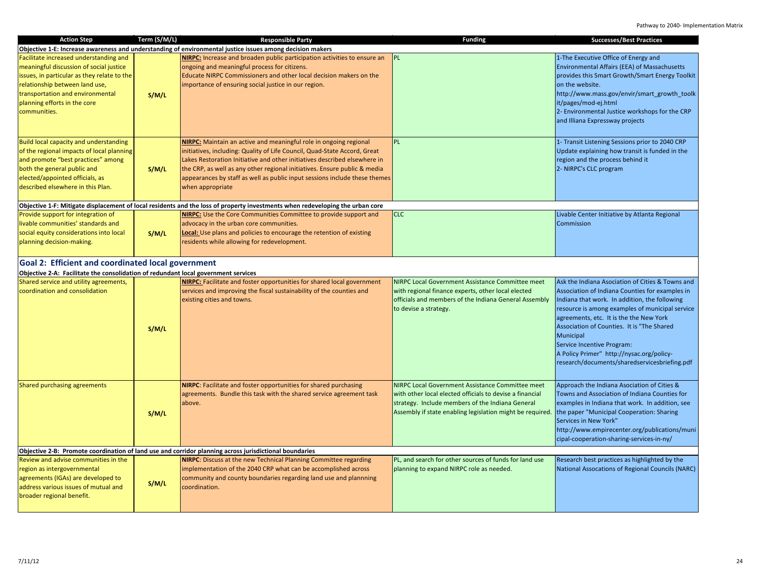Pathway to 2040- Implementation Matrix

| <b>Action Step</b>                                                                                                                                                                                                                                     | Term (S/M/L) | <b>Responsible Party</b>                                                                                                                                                                                                                                                                                                                                                                                          | <b>Funding</b>                                                                                                                                                                                                                                                          | <b>Successes/Best Practices</b>                                                                                                                                                                                                                                                                                                                                                                                                           |
|--------------------------------------------------------------------------------------------------------------------------------------------------------------------------------------------------------------------------------------------------------|--------------|-------------------------------------------------------------------------------------------------------------------------------------------------------------------------------------------------------------------------------------------------------------------------------------------------------------------------------------------------------------------------------------------------------------------|-------------------------------------------------------------------------------------------------------------------------------------------------------------------------------------------------------------------------------------------------------------------------|-------------------------------------------------------------------------------------------------------------------------------------------------------------------------------------------------------------------------------------------------------------------------------------------------------------------------------------------------------------------------------------------------------------------------------------------|
|                                                                                                                                                                                                                                                        |              | Objective 1-E: Increase awareness and understanding of environmental justice issues among decision makers                                                                                                                                                                                                                                                                                                         |                                                                                                                                                                                                                                                                         |                                                                                                                                                                                                                                                                                                                                                                                                                                           |
| Facilitate increased understanding and<br>meaningful discussion of social justice<br>issues, in particular as they relate to the<br>relationship between land use,<br>transportation and environmental<br>planning efforts in the core<br>communities. | S/M/L        | <b>NIRPC:</b> Increase and broaden public participation activities to ensure an<br>ongoing and meaningful process for citizens.<br>Educate NIRPC Commissioners and other local decision makers on the<br>importance of ensuring social justice in our region.                                                                                                                                                     | <b>PL</b>                                                                                                                                                                                                                                                               | 1-The Executive Office of Energy and<br>Environmental Affairs (EEA) of Massachusetts<br>provides this Smart Growth/Smart Energy Toolkit<br>on the website.<br>http://www.mass.gov/envir/smart_growth_toolk<br>it/pages/mod-ej.html<br>2- Environmental Justice workshops for the CRP<br>and Illiana Expressway projects                                                                                                                   |
| Build local capacity and understanding<br>of the regional impacts of local planning<br>and promote "best practices" among<br>both the general public and<br>elected/appointed officials, as<br>described elsewhere in this Plan.                       | S/M/L        | <b>NIRPC:</b> Maintain an active and meaningful role in ongoing regional<br>initiatives, including: Quality of Life Council, Quad-State Accord, Great<br>Lakes Restoration Initiative and other initiatives described elsewhere in<br>the CRP, as well as any other regional initiatives. Ensure public & media<br>appearances by staff as well as public input sessions include these themes<br>when appropriate | <b>PL</b>                                                                                                                                                                                                                                                               | 1- Transit Listening Sessions prior to 2040 CRP<br>Update explaining how transit is funded in the<br>region and the process behind it<br>2- NIRPC's CLC program                                                                                                                                                                                                                                                                           |
|                                                                                                                                                                                                                                                        |              | Objective 1-F: Mitigate displacement of local residents and the loss of property investments when redeveloping the urban core                                                                                                                                                                                                                                                                                     |                                                                                                                                                                                                                                                                         |                                                                                                                                                                                                                                                                                                                                                                                                                                           |
| Provide support for integration of<br>livable communities' standards and<br>social equity considerations into local<br>planning decision-making.                                                                                                       | S/M/L        | <b>NIRPC:</b> Use the Core Communities Committee to provide support and<br>advocacy in the urban core communities.<br>Local: Use plans and policies to encourage the retention of existing<br>residents while allowing for redevelopment.                                                                                                                                                                         | <b>CLC</b>                                                                                                                                                                                                                                                              | Livable Center Initiative by Atlanta Regional<br>Commission                                                                                                                                                                                                                                                                                                                                                                               |
| Goal 2: Efficient and coordinated local government                                                                                                                                                                                                     |              |                                                                                                                                                                                                                                                                                                                                                                                                                   |                                                                                                                                                                                                                                                                         |                                                                                                                                                                                                                                                                                                                                                                                                                                           |
| Objective 2-A: Facilitate the consolidation of redundant local government services                                                                                                                                                                     |              |                                                                                                                                                                                                                                                                                                                                                                                                                   |                                                                                                                                                                                                                                                                         |                                                                                                                                                                                                                                                                                                                                                                                                                                           |
| Shared service and utility agreements,<br>coordination and consolidation                                                                                                                                                                               | S/M/L        | <b>NIRPC:</b> Facilitate and foster opportunities for shared local government<br>services and improving the fiscal sustainability of the counties and<br>existing cities and towns.                                                                                                                                                                                                                               | NIRPC Local Government Assistance Committee meet<br>with regional finance experts, other local elected<br>officials and members of the Indiana General Assembly<br>to devise a strategy.                                                                                | Ask the Indiana Asociation of Cities & Towns and<br>Association of Indiana Counties for examples in<br>Indiana that work. In addition, the following<br>resource is among examples of municipal service<br>agreements, etc. It is the the New York<br>Association of Counties. It is "The Shared<br>Municipal<br>Service Incentive Program:<br>A Policy Primer" http://nysac.org/policy-<br>research/documents/sharedservicesbriefing.pdf |
| Shared purchasing agreements                                                                                                                                                                                                                           | S/M/L        | NIRPC: Facilitate and foster opportunities for shared purchasing<br>agreements. Bundle this task with the shared service agreement task<br>above.                                                                                                                                                                                                                                                                 | NIRPC Local Government Assistance Committee meet<br>with other local elected officials to devise a financial<br>strategy. Include members of the Indiana General<br>Assembly if state enabling legislation might be required. the paper "Municipal Cooperation: Sharing | Approach the Indiana Asociation of Cities &<br>Towns and Association of Indiana Counties for<br>examples in Indiana that work. In addition, see<br>Services in New York"<br>http://www.empirecenter.org/publications/muni<br>cipal-cooperation-sharing-services-in-ny/                                                                                                                                                                    |
|                                                                                                                                                                                                                                                        |              | Objective 2-B: Promote coordination of land use and corridor planning across jurisdictional boundaries                                                                                                                                                                                                                                                                                                            |                                                                                                                                                                                                                                                                         |                                                                                                                                                                                                                                                                                                                                                                                                                                           |
| Review and advise communities in the<br>region as intergovernmental<br>agreements (IGAs) are developed to<br>address various issues of mutual and<br>broader regional benefit.                                                                         | S/M/L        | <b>NIRPC:</b> Discuss at the new Technical Planning Committee regarding<br>implementation of the 2040 CRP what can be accomplished across<br>community and county boundaries regarding land use and plannning<br>coordination.                                                                                                                                                                                    | PL, and search for other sources of funds for land use<br>planning to expand NIRPC role as needed.                                                                                                                                                                      | Research best practices as highlighted by the<br>National Assocations of Regional Councils (NARC)                                                                                                                                                                                                                                                                                                                                         |